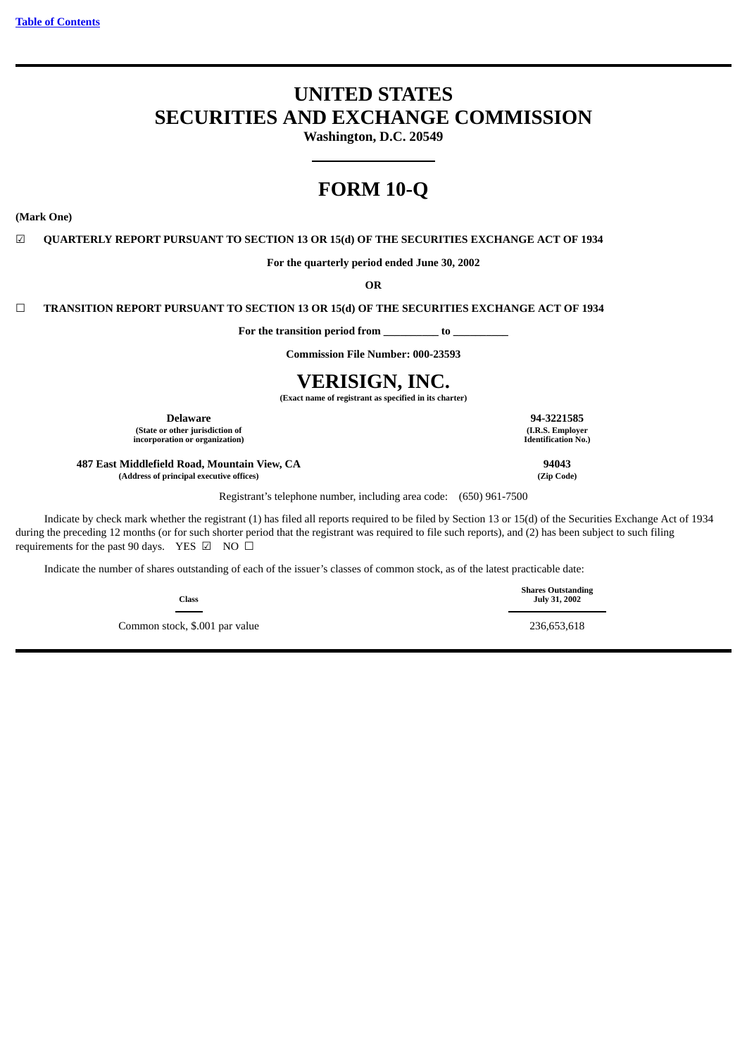# **UNITED STATES SECURITIES AND EXCHANGE COMMISSION**

**Washington, D.C. 20549**

# **FORM 10-Q**

**(Mark One)**

☑ **QUARTERLY REPORT PURSUANT TO SECTION 13 OR 15(d) OF THE SECURITIES EXCHANGE ACT OF 1934**

**For the quarterly period ended June 30, 2002**

**OR**

☐ **TRANSITION REPORT PURSUANT TO SECTION 13 OR 15(d) OF THE SECURITIES EXCHANGE ACT OF 1934**

**For the transition period from \_\_\_\_\_\_\_\_\_\_ to \_\_\_\_\_\_\_\_\_\_**

**Commission File Number: 000-23593**

# **VERISIGN, INC.**

**(Exact name of registrant as specified in its charter)**

**(State or other jurisdiction of** 

 $incorporation$  or organization)

**487 East Middlefield Road, Mountain View, CA 94043 (Address of principal executive offices) (Zip Code)**

Registrant's telephone number, including area code: (650) 961-7500

Indicate by check mark whether the registrant (1) has filed all reports required to be filed by Section 13 or 15(d) of the Securities Exchange Act of 1934 during the preceding 12 months (or for such shorter period that the registrant was required to file such reports), and (2) has been subject to such filing requirements for the past 90 days. YES  $\boxtimes$  NO  $\Box$ 

Indicate the number of shares outstanding of each of the issuer's classes of common stock, as of the latest practicable date:

**Class**

Common stock, \$.001 par value 236,653,618

**Delaware 94-3221585**<br> **194-3221585**<br> **194-3221585**<br> **194-3221585**<br> **194-3221585**<br> **194-3221585**<br> **194-3221585** 

**Shares Outstanding July 31, 2002**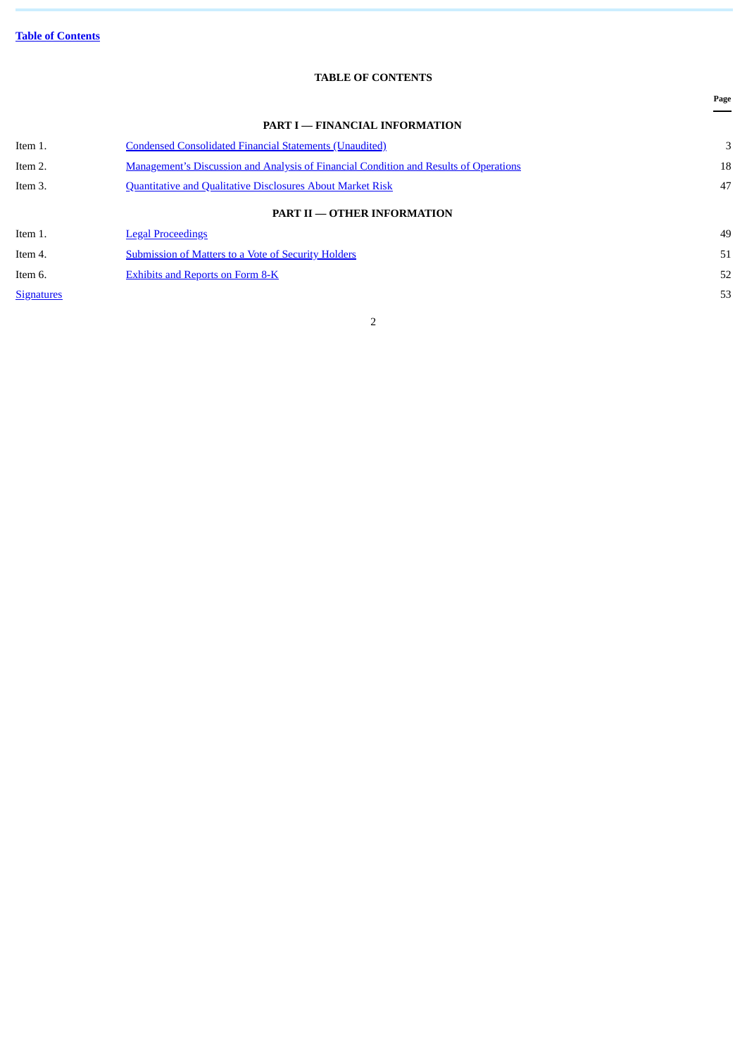# **TABLE OF CONTENTS**

<span id="page-1-0"></span>

|                   |                                                                                              | Page |
|-------------------|----------------------------------------------------------------------------------------------|------|
|                   | <b>PART I - FINANCIAL INFORMATION</b>                                                        |      |
| Item 1.           | <b>Condensed Consolidated Financial Statements (Unaudited)</b>                               | 3    |
| Item 2.           | <b>Management's Discussion and Analysis of Financial Condition and Results of Operations</b> | 18   |
| Item 3.           | <b>Quantitative and Qualitative Disclosures About Market Risk</b>                            | 47   |
|                   | <b>PART II - OTHER INFORMATION</b>                                                           |      |
| Item 1.           | <b>Legal Proceedings</b>                                                                     | 49   |
| Item 4.           | Submission of Matters to a Vote of Security Holders                                          | 51   |
| Item 6.           | <b>Exhibits and Reports on Form 8-K</b>                                                      | 52   |
| <b>Signatures</b> |                                                                                              | 53   |
|                   |                                                                                              |      |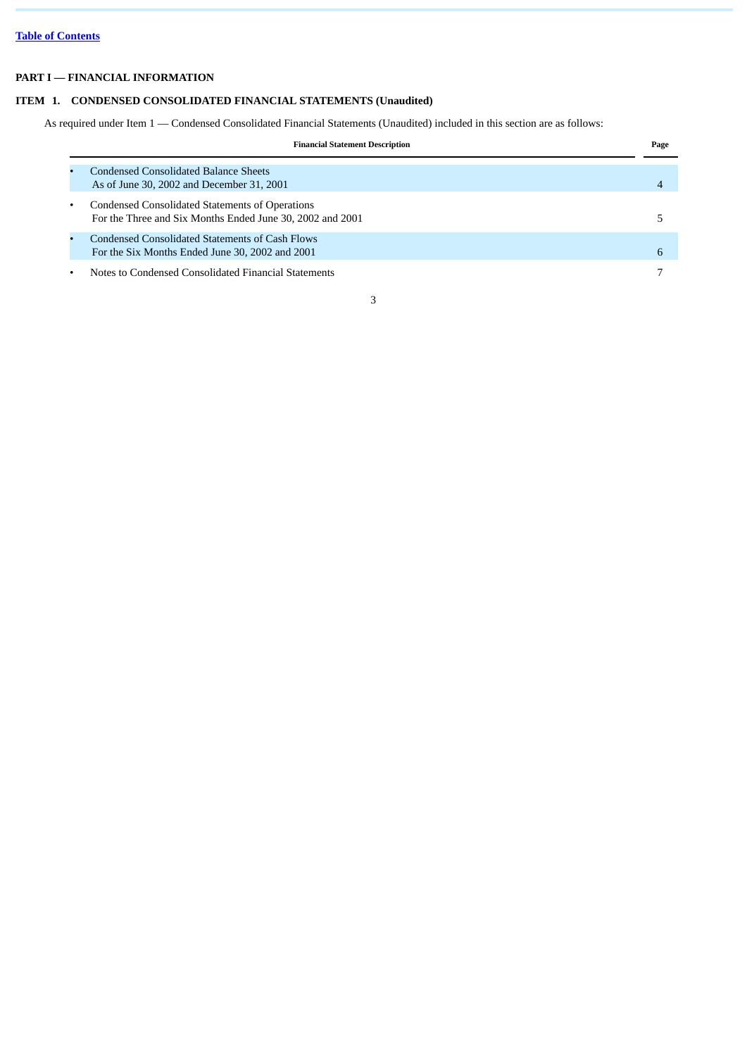# <span id="page-2-0"></span>**PART I — FINANCIAL INFORMATION**

# **ITEM 1. CONDENSED CONSOLIDATED FINANCIAL STATEMENTS (Unaudited)**

As required under Item 1 — Condensed Consolidated Financial Statements (Unaudited) included in this section are as follows:

| <b>Financial Statement Description</b>                                                                       | Page |
|--------------------------------------------------------------------------------------------------------------|------|
| <b>Condensed Consolidated Balance Sheets</b><br>As of June 30, 2002 and December 31, 2001                    |      |
| Condensed Consolidated Statements of Operations<br>For the Three and Six Months Ended June 30, 2002 and 2001 |      |
| Condensed Consolidated Statements of Cash Flows<br>For the Six Months Ended June 30, 2002 and 2001           | 6    |
| Notes to Condensed Consolidated Financial Statements                                                         |      |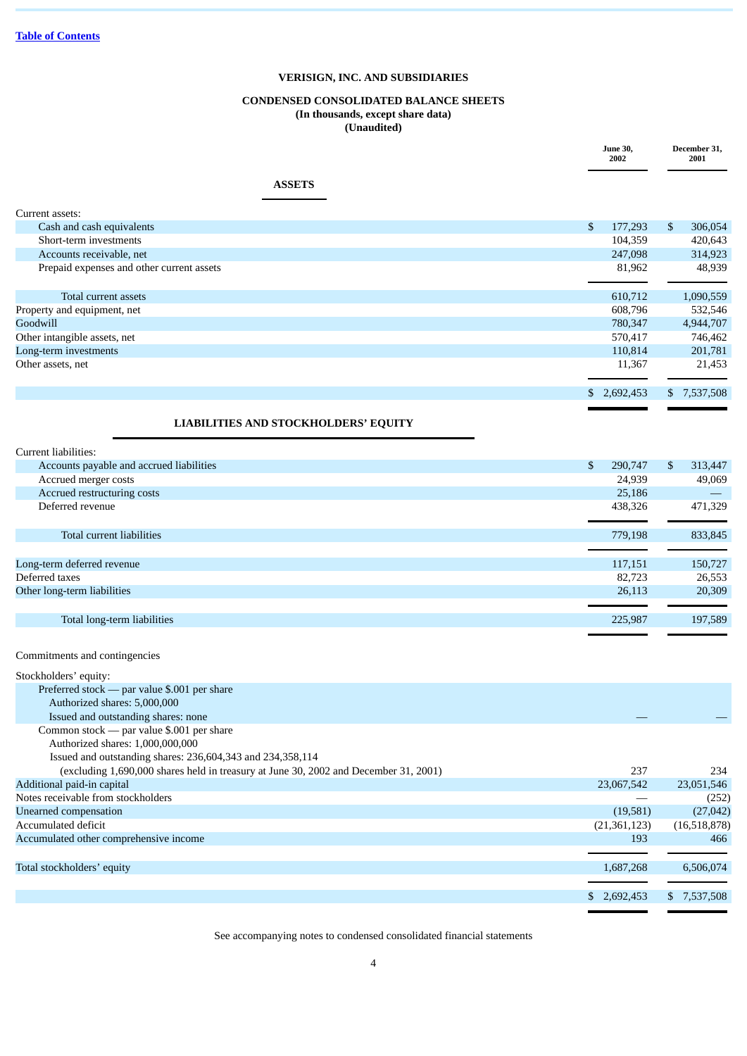# **CONDENSED CONSOLIDATED BALANCE SHEETS (In thousands, except share data) (Unaudited)**

|                                           | <b>June 30,</b><br>2002 |             | December 31,<br>2001 |
|-------------------------------------------|-------------------------|-------------|----------------------|
| <b>ASSETS</b>                             |                         |             |                      |
| Current assets:                           |                         |             |                      |
| Cash and cash equivalents                 | \$                      | 177,293     | \$<br>306,054        |
| Short-term investments                    |                         | 104,359     | 420,643              |
| Accounts receivable, net                  |                         | 247,098     | 314,923              |
| Prepaid expenses and other current assets |                         | 81,962      | 48,939               |
| Total current assets                      |                         | 610,712     | 1,090,559            |
| Property and equipment, net               |                         | 608,796     | 532,546              |
| Goodwill                                  |                         | 780,347     | 4,944,707            |
| Other intangible assets, net              |                         | 570,417     | 746,462              |
| Long-term investments                     |                         | 110,814     | 201,781              |
| Other assets, net                         |                         | 11,367      | 21,453               |
|                                           |                         | \$2,692,453 | \$7,537,508          |
| LIABILITIES AND STOCKHOLDERS' EQUITY      |                         |             |                      |
| Current liabilities:                      |                         |             |                      |
| Accounts payable and accrued liabilities  | $\mathbb{S}$            | 290,747     | \$<br>313,447        |
| Accrued merger costs                      |                         | 24,939      | 49,069               |
| Accrued restructuring costs               |                         | 25,186      | $\frac{1}{2}$        |
| Deferred revenue                          |                         | 438,326     | 471,329              |
| Total current liabilities                 |                         | 779,198     | 833,845              |
| Long-term deferred revenue                |                         | 117,151     | 150,727              |
| Deferred taxes                            |                         | 82,723      | 26,553               |
| Other long-term liabilities               |                         | 26,113      | 20,309               |
| Total long-term liabilities               |                         | 225,987     | 197,589              |
| Commitments and contingencies             |                         |             |                      |
| Stockholders' equity:                     |                         |             |                      |

| otochnonucio cuulty.                                                                 |              |              |
|--------------------------------------------------------------------------------------|--------------|--------------|
| Preferred stock — par value \$.001 per share                                         |              |              |
| Authorized shares: 5,000,000                                                         |              |              |
| Issued and outstanding shares: none                                                  |              |              |
| Common stock — par value \$.001 per share                                            |              |              |
| Authorized shares: 1,000,000,000                                                     |              |              |
| Issued and outstanding shares: 236,604,343 and 234,358,114                           |              |              |
| (excluding 1,690,000 shares held in treasury at June 30, 2002 and December 31, 2001) | 237          | 234          |
| Additional paid-in capital                                                           | 23,067,542   | 23,051,546   |
| Notes receivable from stockholders                                                   |              | (252)        |
| Unearned compensation                                                                | (19,581)     | (27, 042)    |
| Accumulated deficit                                                                  | (21,361,123) | (16,518,878) |
| Accumulated other comprehensive income                                               | 193          | 466          |
|                                                                                      |              |              |
| Total stockholders' equity                                                           | 1,687,268    | 6,506,074    |
|                                                                                      |              |              |
|                                                                                      | 2.692.453    | \$ 7,537,508 |
|                                                                                      |              |              |

See accompanying notes to condensed consolidated financial statements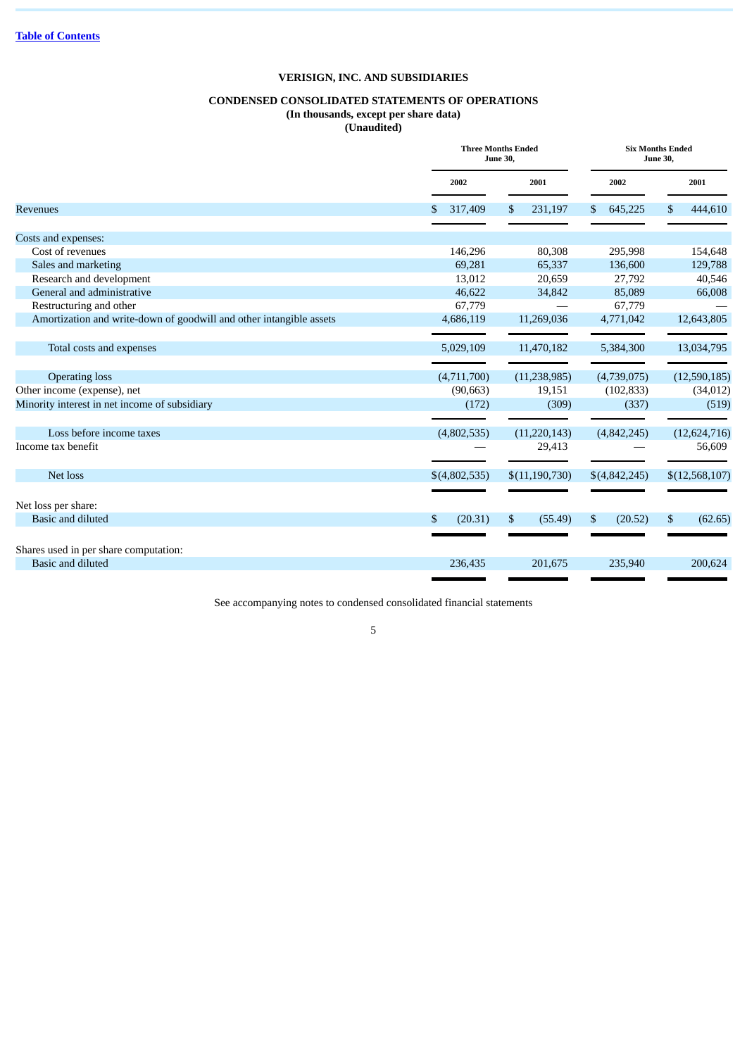# **CONDENSED CONSOLIDATED STATEMENTS OF OPERATIONS**

**(In thousands, except per share data) (Unaudited)**

|                                                                     | <b>Three Months Ended</b><br><b>June 30,</b> | <b>Six Months Ended</b><br><b>June 30,</b> |                         |                |  |
|---------------------------------------------------------------------|----------------------------------------------|--------------------------------------------|-------------------------|----------------|--|
|                                                                     | 2002                                         | 2001                                       | 2002                    | 2001           |  |
| <b>Revenues</b>                                                     | 317,409                                      | \$<br>231,197                              | \$645,225               | 444,610<br>\$  |  |
| Costs and expenses:                                                 |                                              |                                            |                         |                |  |
| Cost of revenues                                                    | 146,296                                      | 80,308                                     | 295,998                 | 154,648        |  |
| Sales and marketing                                                 | 69,281                                       | 65,337                                     | 136,600                 | 129,788        |  |
| Research and development                                            | 13,012                                       | 20,659                                     | 27,792                  | 40,546         |  |
| General and administrative                                          | 46,622                                       | 34,842                                     | 85,089                  | 66,008         |  |
| Restructuring and other                                             | 67,779                                       |                                            | 67,779                  |                |  |
| Amortization and write-down of goodwill and other intangible assets | 4,686,119                                    | 11,269,036                                 | 4,771,042               | 12,643,805     |  |
| Total costs and expenses                                            | 5,029,109                                    | 11,470,182                                 | 5,384,300               | 13,034,795     |  |
| <b>Operating loss</b>                                               | (4,711,700)                                  | (11, 238, 985)                             | (4,739,075)             | (12,590,185)   |  |
| Other income (expense), net                                         | (90,663)                                     | 19,151                                     | (102, 833)              | (34, 012)      |  |
| Minority interest in net income of subsidiary                       | (172)                                        | (309)                                      | (337)                   | (519)          |  |
| Loss before income taxes                                            | (4,802,535)                                  | (11, 220, 143)                             | (4,842,245)             | (12, 624, 716) |  |
| Income tax benefit                                                  |                                              | 29,413                                     |                         | 56,609         |  |
| Net loss                                                            | \$(4,802,535)                                | \$(11,190,730)                             | \$(4,842,245)           | \$(12,568,107) |  |
|                                                                     |                                              |                                            |                         |                |  |
| Net loss per share:                                                 |                                              |                                            |                         |                |  |
| Basic and diluted                                                   | (20.31)<br>S                                 | \$<br>(55.49)                              | $\mathbb{S}$<br>(20.52) | \$<br>(62.65)  |  |
| Shares used in per share computation:                               |                                              |                                            |                         |                |  |
| Basic and diluted                                                   | 236,435                                      | 201,675                                    | 235,940                 | 200,624        |  |
|                                                                     |                                              |                                            |                         |                |  |

See accompanying notes to condensed consolidated financial statements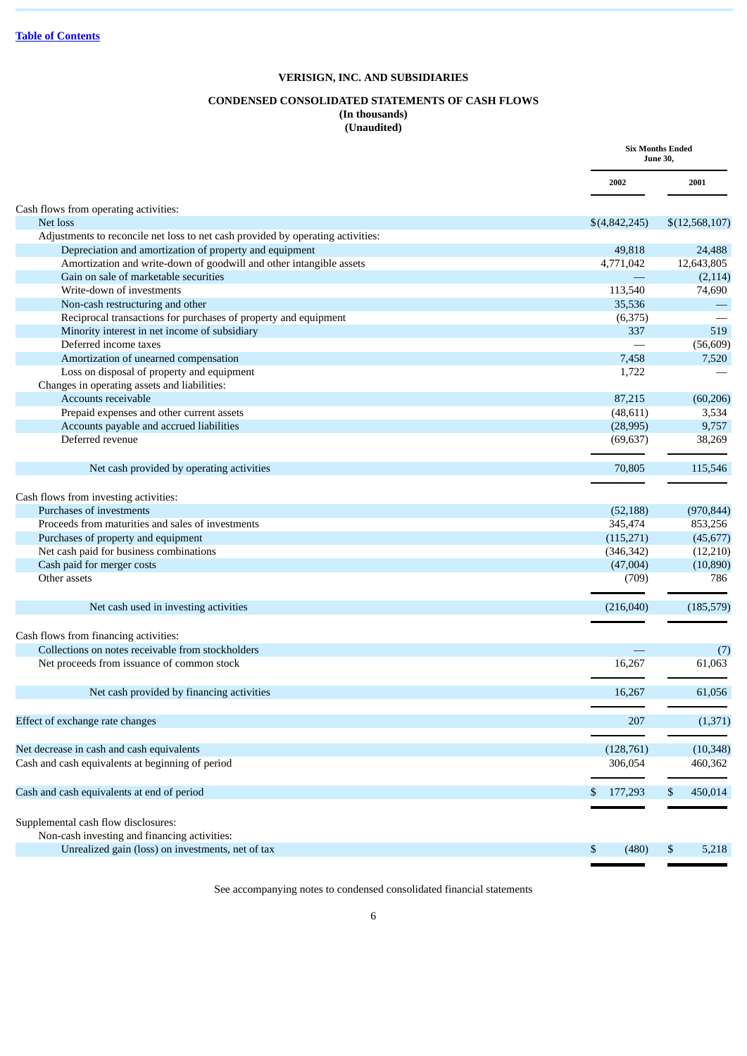# **CONDENSED CONSOLIDATED STATEMENTS OF CASH FLOWS (In thousands)**

**(Unaudited)**

|                                                                                 |               | <b>Six Months Ended</b><br><b>June 30,</b> |
|---------------------------------------------------------------------------------|---------------|--------------------------------------------|
|                                                                                 | 2002          | 2001                                       |
| Cash flows from operating activities:                                           |               |                                            |
| Net loss                                                                        | \$(4,842,245) | \$(12,568,107)                             |
| Adjustments to reconcile net loss to net cash provided by operating activities: |               |                                            |
| Depreciation and amortization of property and equipment                         | 49,818        | 24,488                                     |
| Amortization and write-down of goodwill and other intangible assets             | 4,771,042     | 12,643,805                                 |
| Gain on sale of marketable securities                                           |               | (2, 114)                                   |
| Write-down of investments                                                       | 113,540       | 74,690                                     |
| Non-cash restructuring and other                                                | 35,536        |                                            |
| Reciprocal transactions for purchases of property and equipment                 | (6,375)       |                                            |
| Minority interest in net income of subsidiary                                   | 337           | 519                                        |
| Deferred income taxes                                                           |               | (56, 609)                                  |
| Amortization of unearned compensation                                           | 7,458         | 7,520                                      |
| Loss on disposal of property and equipment                                      | 1,722         |                                            |
| Changes in operating assets and liabilities:                                    |               |                                            |
| Accounts receivable                                                             | 87,215        | (60, 206)                                  |
| Prepaid expenses and other current assets                                       | (48, 611)     | 3,534                                      |
| Accounts payable and accrued liabilities                                        | (28,995)      | 9,757                                      |
| Deferred revenue                                                                | (69, 637)     | 38,269                                     |
| Net cash provided by operating activities                                       | 70,805        | 115,546                                    |
|                                                                                 |               |                                            |
| Cash flows from investing activities:                                           |               |                                            |
| Purchases of investments                                                        | (52, 188)     | (970, 844)                                 |
| Proceeds from maturities and sales of investments                               | 345,474       | 853,256                                    |
| Purchases of property and equipment                                             | (115,271)     | (45, 677)                                  |
| Net cash paid for business combinations                                         | (346, 342)    | (12,210)                                   |
| Cash paid for merger costs                                                      | (47,004)      | (10, 890)                                  |
| Other assets                                                                    | (709)         | 786                                        |
| Net cash used in investing activities                                           | (216,040)     | (185, 579)                                 |
|                                                                                 |               |                                            |
| Cash flows from financing activities:                                           |               |                                            |
| Collections on notes receivable from stockholders                               |               | (7)                                        |
| Net proceeds from issuance of common stock                                      | 16,267        | 61,063                                     |
| Net cash provided by financing activities                                       | 16,267        | 61,056                                     |
|                                                                                 |               |                                            |
| Effect of exchange rate changes                                                 | 207           | (1, 371)                                   |
| Net decrease in cash and cash equivalents                                       | (128, 761)    | (10, 348)                                  |
| Cash and cash equivalents at beginning of period                                | 306,054       | 460,362                                    |
|                                                                                 |               |                                            |
| Cash and cash equivalents at end of period                                      | 177,293<br>\$ | \$<br>450,014                              |
| Supplemental cash flow disclosures:                                             |               |                                            |
| Non-cash investing and financing activities:                                    |               |                                            |
|                                                                                 |               |                                            |
| Unrealized gain (loss) on investments, net of tax                               | \$<br>(480)   | \$<br>5,218                                |

See accompanying notes to condensed consolidated financial statements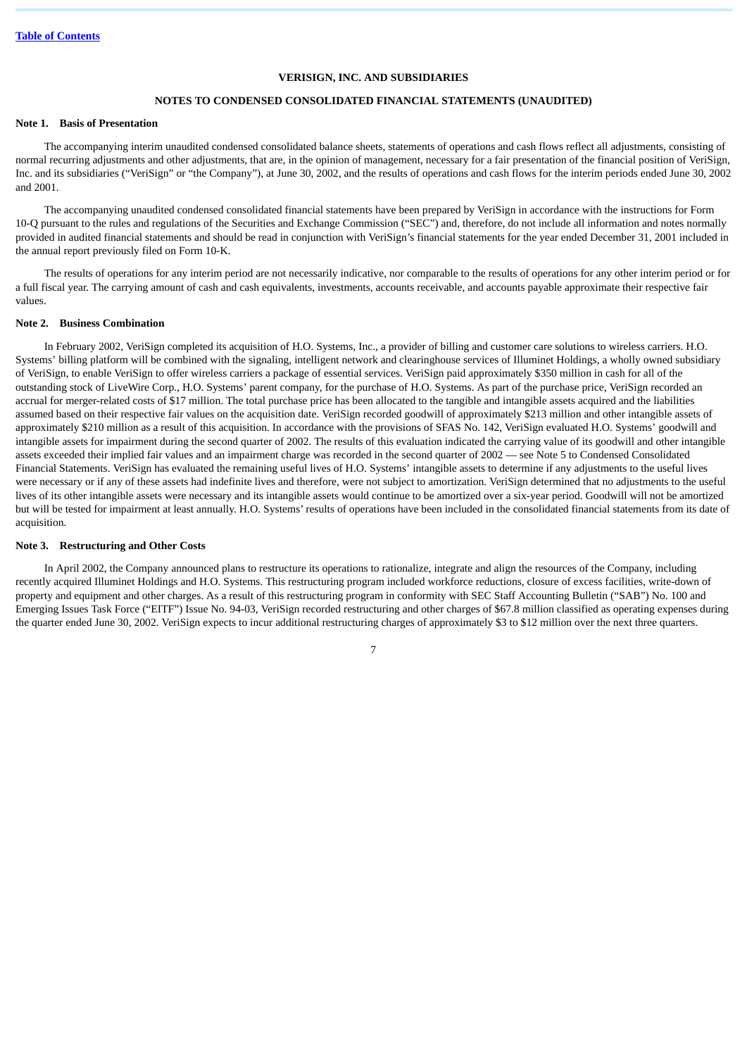### **NOTES TO CONDENSED CONSOLIDATED FINANCIAL STATEMENTS (UNAUDITED)**

### **Note 1. Basis of Presentation**

The accompanying interim unaudited condensed consolidated balance sheets, statements of operations and cash flows reflect all adjustments, consisting of normal recurring adjustments and other adjustments, that are, in the opinion of management, necessary for a fair presentation of the financial position of VeriSign, Inc. and its subsidiaries ("VeriSign" or "the Company"), at June 30, 2002, and the results of operations and cash flows for the interim periods ended June 30, 2002 and 2001.

The accompanying unaudited condensed consolidated financial statements have been prepared by VeriSign in accordance with the instructions for Form 10-Q pursuant to the rules and regulations of the Securities and Exchange Commission ("SEC") and, therefore, do not include all information and notes normally provided in audited financial statements and should be read in conjunction with VeriSign's financial statements for the year ended December 31, 2001 included in the annual report previously filed on Form 10-K.

The results of operations for any interim period are not necessarily indicative, nor comparable to the results of operations for any other interim period or for a full fiscal year. The carrying amount of cash and cash equivalents, investments, accounts receivable, and accounts payable approximate their respective fair values.

### **Note 2. Business Combination**

In February 2002, VeriSign completed its acquisition of H.O. Systems, Inc., a provider of billing and customer care solutions to wireless carriers. H.O. Systems' billing platform will be combined with the signaling, intelligent network and clearinghouse services of Illuminet Holdings, a wholly owned subsidiary of VeriSign, to enable VeriSign to offer wireless carriers a package of essential services. VeriSign paid approximately \$350 million in cash for all of the outstanding stock of LiveWire Corp., H.O. Systems' parent company, for the purchase of H.O. Systems. As part of the purchase price, VeriSign recorded an accrual for merger-related costs of \$17 million. The total purchase price has been allocated to the tangible and intangible assets acquired and the liabilities assumed based on their respective fair values on the acquisition date. VeriSign recorded goodwill of approximately \$213 million and other intangible assets of approximately \$210 million as a result of this acquisition. In accordance with the provisions of SFAS No. 142, VeriSign evaluated H.O. Systems' goodwill and intangible assets for impairment during the second quarter of 2002. The results of this evaluation indicated the carrying value of its goodwill and other intangible assets exceeded their implied fair values and an impairment charge was recorded in the second quarter of 2002 — see Note 5 to Condensed Consolidated Financial Statements. VeriSign has evaluated the remaining useful lives of H.O. Systems' intangible assets to determine if any adjustments to the useful lives were necessary or if any of these assets had indefinite lives and therefore, were not subject to amortization. VeriSign determined that no adjustments to the useful lives of its other intangible assets were necessary and its intangible assets would continue to be amortized over a six-year period. Goodwill will not be amortized but will be tested for impairment at least annually. H.O. Systems' results of operations have been included in the consolidated financial statements from its date of acquisition.

### **Note 3. Restructuring and Other Costs**

In April 2002, the Company announced plans to restructure its operations to rationalize, integrate and align the resources of the Company, including recently acquired Illuminet Holdings and H.O. Systems. This restructuring program included workforce reductions, closure of excess facilities, write-down of property and equipment and other charges. As a result of this restructuring program in conformity with SEC Staff Accounting Bulletin ("SAB") No. 100 and Emerging Issues Task Force ("EITF") Issue No. 94-03, VeriSign recorded restructuring and other charges of \$67.8 million classified as operating expenses during the quarter ended June 30, 2002. VeriSign expects to incur additional restructuring charges of approximately \$3 to \$12 million over the next three quarters.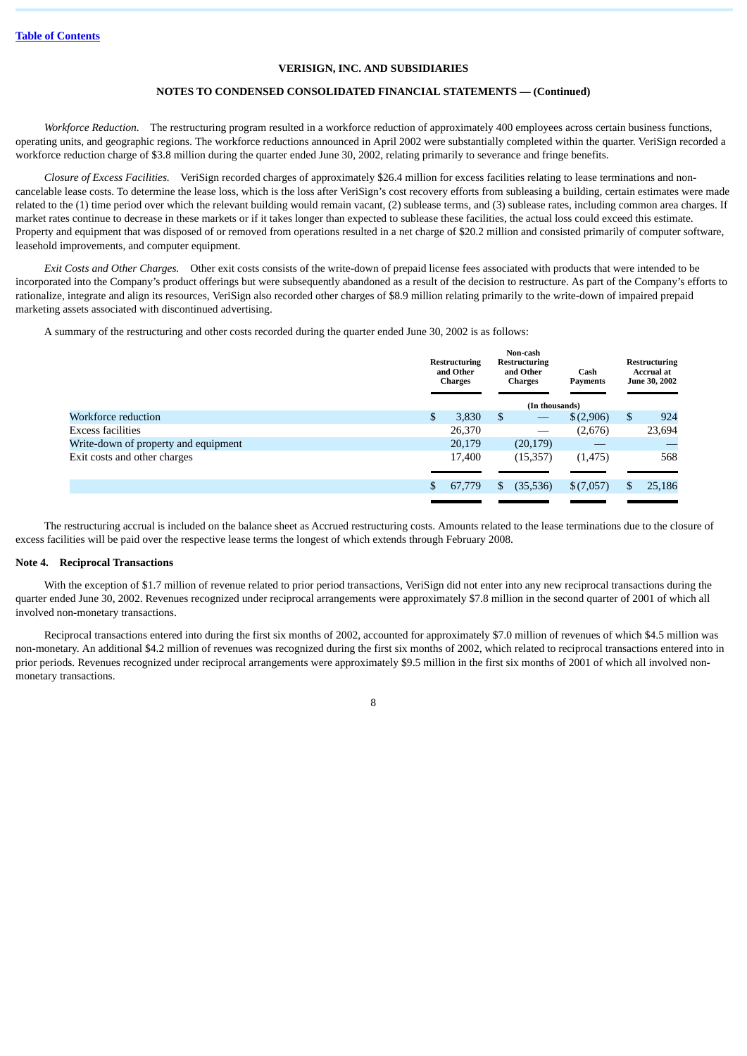# **NOTES TO CONDENSED CONSOLIDATED FINANCIAL STATEMENTS — (Continued)**

*Workforce Reduction.* The restructuring program resulted in a workforce reduction of approximately 400 employees across certain business functions, operating units, and geographic regions. The workforce reductions announced in April 2002 were substantially completed within the quarter. VeriSign recorded a workforce reduction charge of \$3.8 million during the quarter ended June 30, 2002, relating primarily to severance and fringe benefits.

*Closure of Excess Facilities.* VeriSign recorded charges of approximately \$26.4 million for excess facilities relating to lease terminations and noncancelable lease costs. To determine the lease loss, which is the loss after VeriSign's cost recovery efforts from subleasing a building, certain estimates were made related to the (1) time period over which the relevant building would remain vacant, (2) sublease terms, and (3) sublease rates, including common area charges. If market rates continue to decrease in these markets or if it takes longer than expected to sublease these facilities, the actual loss could exceed this estimate. Property and equipment that was disposed of or removed from operations resulted in a net charge of \$20.2 million and consisted primarily of computer software, leasehold improvements, and computer equipment.

*Exit Costs and Other Charges.* Other exit costs consists of the write-down of prepaid license fees associated with products that were intended to be incorporated into the Company's product offerings but were subsequently abandoned as a result of the decision to restructure. As part of the Company's efforts to rationalize, integrate and align its resources, VeriSign also recorded other charges of \$8.9 million relating primarily to the write-down of impaired prepaid marketing assets associated with discontinued advertising.

A summary of the restructuring and other costs recorded during the quarter ended June 30, 2002 is as follows:

|                                      |                | <b>Restructuring</b><br>and Other<br><b>Charges</b> |    | Non-cash<br>Restructuring<br>and Other<br><b>Charges</b> | Cash<br><b>Payments</b> | <b>Restructuring</b><br><b>Accrual at</b><br>June 30, 2002 |
|--------------------------------------|----------------|-----------------------------------------------------|----|----------------------------------------------------------|-------------------------|------------------------------------------------------------|
|                                      |                |                                                     |    | (In thousands)                                           |                         |                                                            |
| Workforce reduction                  | $\mathfrak{S}$ | 3,830                                               | \$ |                                                          | \$(2,906)               | \$<br>924                                                  |
| Excess facilities                    |                | 26,370                                              |    |                                                          | (2,676)                 | 23,694                                                     |
| Write-down of property and equipment |                | 20,179                                              |    | (20, 179)                                                |                         |                                                            |
| Exit costs and other charges         |                | 17,400                                              |    | (15, 357)                                                | (1, 475)                | 568                                                        |
|                                      |                |                                                     |    |                                                          |                         |                                                            |
|                                      | \$             | 67,779                                              | \$ | (35, 536)                                                | \$(7,057)               | \$<br>25,186                                               |
|                                      |                |                                                     |    |                                                          |                         |                                                            |

The restructuring accrual is included on the balance sheet as Accrued restructuring costs. Amounts related to the lease terminations due to the closure of excess facilities will be paid over the respective lease terms the longest of which extends through February 2008.

### **Note 4. Reciprocal Transactions**

With the exception of \$1.7 million of revenue related to prior period transactions. VeriSign did not enter into any new reciprocal transactions during the quarter ended June 30, 2002. Revenues recognized under reciprocal arrangements were approximately \$7.8 million in the second quarter of 2001 of which all involved non-monetary transactions.

Reciprocal transactions entered into during the first six months of 2002, accounted for approximately \$7.0 million of revenues of which \$4.5 million was non-monetary. An additional \$4.2 million of revenues was recognized during the first six months of 2002, which related to reciprocal transactions entered into in prior periods. Revenues recognized under reciprocal arrangements were approximately \$9.5 million in the first six months of 2001 of which all involved nonmonetary transactions.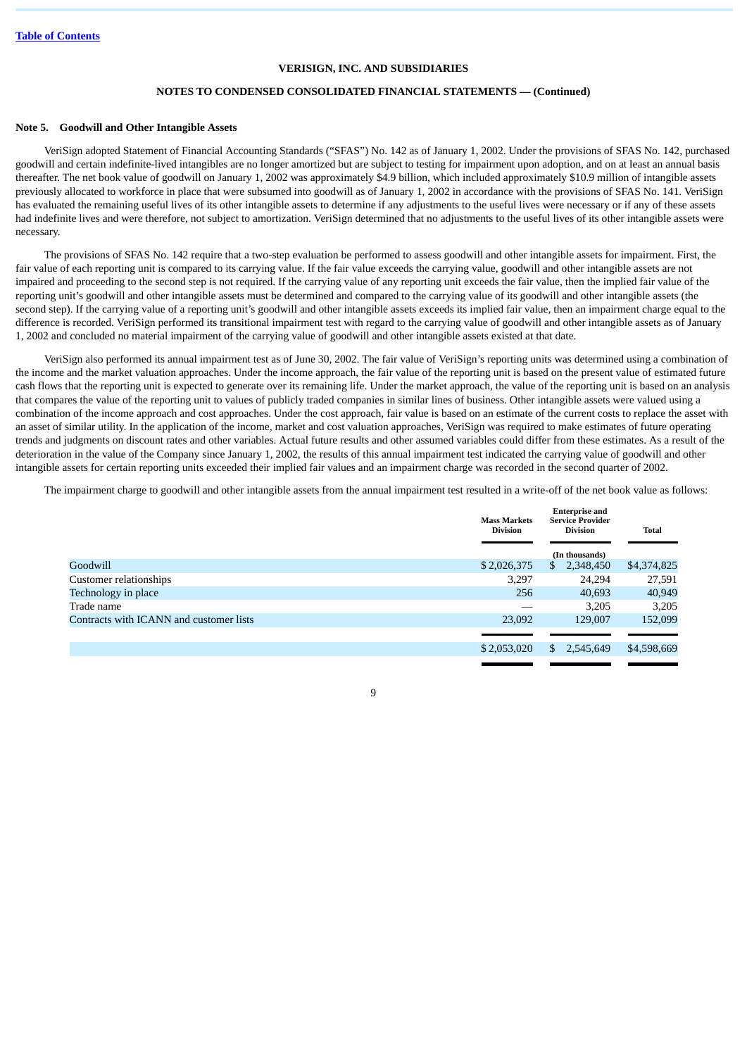# **NOTES TO CONDENSED CONSOLIDATED FINANCIAL STATEMENTS — (Continued)**

### **Note 5. Goodwill and Other Intangible Assets**

VeriSign adopted Statement of Financial Accounting Standards ("SFAS") No. 142 as of January 1, 2002. Under the provisions of SFAS No. 142, purchased goodwill and certain indefinite-lived intangibles are no longer amortized but are subject to testing for impairment upon adoption, and on at least an annual basis thereafter. The net book value of goodwill on January 1, 2002 was approximately \$4.9 billion, which included approximately \$10.9 million of intangible assets previously allocated to workforce in place that were subsumed into goodwill as of January 1, 2002 in accordance with the provisions of SFAS No. 141. VeriSign has evaluated the remaining useful lives of its other intangible assets to determine if any adjustments to the useful lives were necessary or if any of these assets had indefinite lives and were therefore, not subject to amortization. VeriSign determined that no adjustments to the useful lives of its other intangible assets were necessary.

The provisions of SFAS No. 142 require that a two-step evaluation be performed to assess goodwill and other intangible assets for impairment. First, the fair value of each reporting unit is compared to its carrying value. If the fair value exceeds the carrying value, goodwill and other intangible assets are not impaired and proceeding to the second step is not required. If the carrying value of any reporting unit exceeds the fair value, then the implied fair value of the reporting unit's goodwill and other intangible assets must be determined and compared to the carrying value of its goodwill and other intangible assets (the second step). If the carrying value of a reporting unit's goodwill and other intangible assets exceeds its implied fair value, then an impairment charge equal to the difference is recorded. VeriSign performed its transitional impairment test with regard to the carrying value of goodwill and other intangible assets as of January 1, 2002 and concluded no material impairment of the carrying value of goodwill and other intangible assets existed at that date.

VeriSign also performed its annual impairment test as of June 30, 2002. The fair value of VeriSign's reporting units was determined using a combination of the income and the market valuation approaches. Under the income approach, the fair value of the reporting unit is based on the present value of estimated future cash flows that the reporting unit is expected to generate over its remaining life. Under the market approach, the value of the reporting unit is based on an analysis that compares the value of the reporting unit to values of publicly traded companies in similar lines of business. Other intangible assets were valued using a combination of the income approach and cost approaches. Under the cost approach, fair value is based on an estimate of the current costs to replace the asset with an asset of similar utility. In the application of the income, market and cost valuation approaches, VeriSign was required to make estimates of future operating trends and judgments on discount rates and other variables. Actual future results and other assumed variables could differ from these estimates. As a result of the deterioration in the value of the Company since January 1, 2002, the results of this annual impairment test indicated the carrying value of goodwill and other intangible assets for certain reporting units exceeded their implied fair values and an impairment charge was recorded in the second quarter of 2002.

The impairment charge to goodwill and other intangible assets from the annual impairment test resulted in a write-off of the net book value as follows:

|                                         | <b>Mass Markets</b><br><b>Division</b> | <b>Enterprise and</b><br><b>Service Provider</b><br><b>Division</b> | <b>Total</b> |
|-----------------------------------------|----------------------------------------|---------------------------------------------------------------------|--------------|
|                                         |                                        | (In thousands)                                                      |              |
| Goodwill                                | \$2,026,375                            | 2,348,450<br>S.                                                     | \$4,374,825  |
| Customer relationships                  | 3,297                                  | 24,294                                                              | 27,591       |
| Technology in place                     | 256                                    | 40.693                                                              | 40,949       |
| Trade name                              |                                        | 3,205                                                               | 3,205        |
| Contracts with ICANN and customer lists | 23,092                                 | 129,007                                                             | 152,099      |
|                                         |                                        |                                                                     |              |
|                                         | \$2,053,020                            | 2,545,649<br>S.                                                     | \$4,598,669  |
|                                         |                                        |                                                                     |              |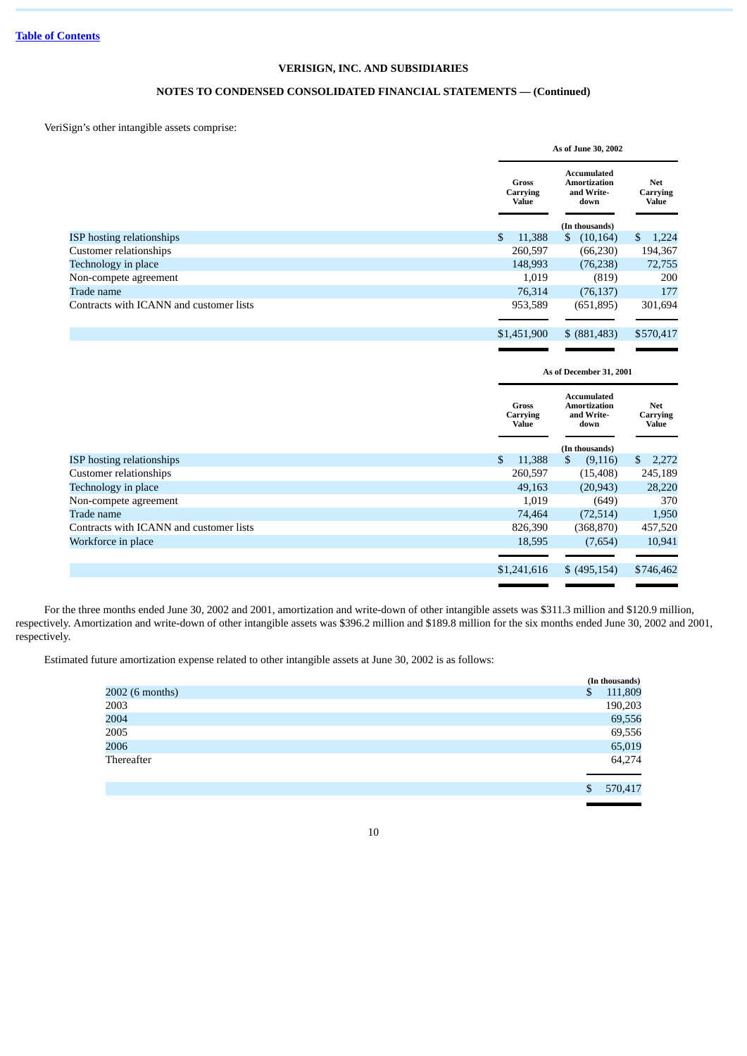# **NOTES TO CONDENSED CONSOLIDATED FINANCIAL STATEMENTS — (Continued)**

VeriSign's other intangible assets comprise:

|                                         |                                          | As of June 30, 2002                                                               |                                 |  |  |  |
|-----------------------------------------|------------------------------------------|-----------------------------------------------------------------------------------|---------------------------------|--|--|--|
|                                         | Gross<br>Carrying<br>Value               | <b>Accumulated</b><br><b>Amortization</b><br>and Write-<br>down                   | <b>Net</b><br>Carrying<br>Value |  |  |  |
|                                         |                                          | (In thousands)                                                                    |                                 |  |  |  |
| ISP hosting relationships               | $\mathbb{S}$<br>11,388                   | $\mathbb{S}$<br>(10, 164)                                                         | $\mathbb{S}$<br>1,224           |  |  |  |
| Customer relationships                  | 260,597                                  | (66, 230)                                                                         | 194,367                         |  |  |  |
| Technology in place                     | 148,993                                  | (76, 238)                                                                         | 72,755                          |  |  |  |
| Non-compete agreement                   | 1,019                                    | (819)                                                                             | 200                             |  |  |  |
| Trade name                              | 76,314                                   | (76, 137)                                                                         | 177                             |  |  |  |
| Contracts with ICANN and customer lists | 953,589                                  | (651, 895)                                                                        | 301,694                         |  |  |  |
|                                         | \$1,451,900                              | \$ (881,483)                                                                      | \$570,417                       |  |  |  |
|                                         |                                          | As of December 31, 2001                                                           |                                 |  |  |  |
|                                         | <b>Gross</b><br>Carrying<br><b>Value</b> | <b>Accumulated</b><br><b>Amortization</b><br>and Write-<br>down<br>(In thousands) | <b>Net</b><br>Carrying<br>Value |  |  |  |
| <b>ISP</b> hosting relationships        | 11,388<br>\$                             | \$<br>(9, 116)                                                                    | \$<br>2,272                     |  |  |  |

|                                         | (In thousands) |             |   |               |    |           |
|-----------------------------------------|----------------|-------------|---|---------------|----|-----------|
| ISP hosting relationships               | \$             | 11,388      | S | (9,116)       | \$ | 2,272     |
| Customer relationships                  |                | 260,597     |   | (15, 408)     |    | 245,189   |
| Technology in place                     |                | 49,163      |   | (20, 943)     |    | 28,220    |
| Non-compete agreement                   |                | 1,019       |   | (649)         |    | 370       |
| Trade name                              |                | 74,464      |   | (72, 514)     |    | 1,950     |
| Contracts with ICANN and customer lists |                | 826,390     |   | (368,870)     |    | 457,520   |
| Workforce in place                      |                | 18,595      |   | (7,654)       |    | 10,941    |
|                                         |                |             |   |               |    |           |
|                                         |                | \$1,241,616 |   | \$ (495, 154) |    | \$746,462 |

For the three months ended June 30, 2002 and 2001, amortization and write-down of other intangible assets was \$311.3 million and \$120.9 million, respectively. Amortization and write-down of other intangible assets was \$396.2 million and \$189.8 million for the six months ended June 30, 2002 and 2001, respectively.

Estimated future amortization expense related to other intangible assets at June 30, 2002 is as follows:

|                 | (In thousands) |
|-----------------|----------------|
| 2002 (6 months) | \$<br>111,809  |
| 2003            | 190,203        |
| 2004            | 69,556         |
| 2005            | 69,556         |
| 2006            | 65,019         |
| Thereafter      | 64,274         |
|                 | \$<br>570,417  |
|                 |                |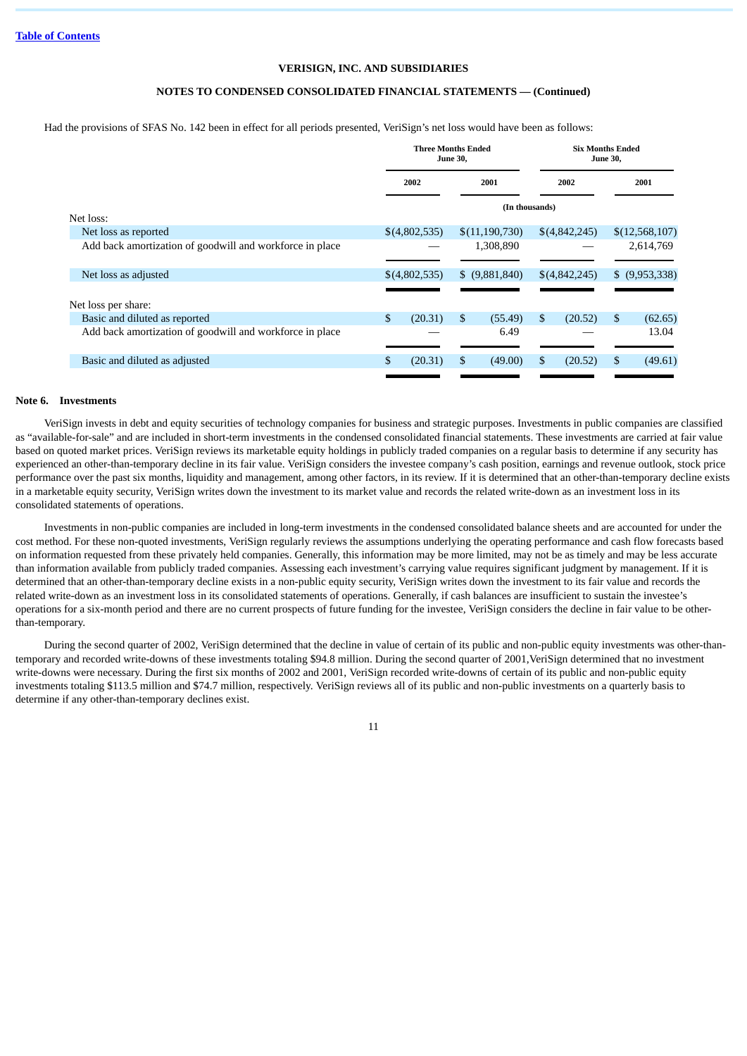# **NOTES TO CONDENSED CONSOLIDATED FINANCIAL STATEMENTS — (Continued)**

Had the provisions of SFAS No. 142 been in effect for all periods presented, VeriSign's net loss would have been as follows:

|                                                          | <b>Three Months Ended</b><br><b>June 30,</b> |    |                |    |               |    |                 |  | <b>Six Months Ended</b><br><b>June 30,</b> |  |
|----------------------------------------------------------|----------------------------------------------|----|----------------|----|---------------|----|-----------------|--|--------------------------------------------|--|
|                                                          | 2002<br>2001                                 |    |                |    |               |    | 2002            |  | 2001                                       |  |
|                                                          |                                              |    | (In thousands) |    |               |    |                 |  |                                            |  |
| Net loss:                                                |                                              |    |                |    |               |    |                 |  |                                            |  |
| Net loss as reported                                     | \$(4,802,535)                                |    | \$(11,190,730) |    | \$(4,842,245) |    | \$(12,568,107)  |  |                                            |  |
| Add back amortization of goodwill and workforce in place |                                              |    | 1,308,890      |    |               |    | 2,614,769       |  |                                            |  |
| Net loss as adjusted                                     | \$(4,802,535)                                |    | \$ (9,881,840) |    | \$(4,842,245) |    | $$$ (9,953,338) |  |                                            |  |
| Net loss per share:                                      |                                              |    |                |    |               |    |                 |  |                                            |  |
| Basic and diluted as reported                            | \$<br>(20.31)                                | \$ | (55.49)        | \$ | (20.52)       | \$ | (62.65)         |  |                                            |  |
| Add back amortization of goodwill and workforce in place |                                              |    | 6.49           |    |               |    | 13.04           |  |                                            |  |
| Basic and diluted as adjusted                            | S<br>(20.31)                                 | \$ | (49.00)        | \$ | (20.52)       | S  | (49.61)         |  |                                            |  |
|                                                          |                                              |    |                |    |               |    |                 |  |                                            |  |

### **Note 6. Investments**

VeriSign invests in debt and equity securities of technology companies for business and strategic purposes. Investments in public companies are classified as "available-for-sale" and are included in short-term investments in the condensed consolidated financial statements. These investments are carried at fair value based on quoted market prices. VeriSign reviews its marketable equity holdings in publicly traded companies on a regular basis to determine if any security has experienced an other-than-temporary decline in its fair value. VeriSign considers the investee company's cash position, earnings and revenue outlook, stock price performance over the past six months, liquidity and management, among other factors, in its review. If it is determined that an other-than-temporary decline exists in a marketable equity security, VeriSign writes down the investment to its market value and records the related write-down as an investment loss in its consolidated statements of operations.

Investments in non-public companies are included in long-term investments in the condensed consolidated balance sheets and are accounted for under the cost method. For these non-quoted investments, VeriSign regularly reviews the assumptions underlying the operating performance and cash flow forecasts based on information requested from these privately held companies. Generally, this information may be more limited, may not be as timely and may be less accurate than information available from publicly traded companies. Assessing each investment's carrying value requires significant judgment by management. If it is determined that an other-than-temporary decline exists in a non-public equity security, VeriSign writes down the investment to its fair value and records the related write-down as an investment loss in its consolidated statements of operations. Generally, if cash balances are insufficient to sustain the investee's operations for a six-month period and there are no current prospects of future funding for the investee, VeriSign considers the decline in fair value to be otherthan-temporary.

During the second quarter of 2002, VeriSign determined that the decline in value of certain of its public and non-public equity investments was other-thantemporary and recorded write-downs of these investments totaling \$94.8 million. During the second quarter of 2001,VeriSign determined that no investment write-downs were necessary. During the first six months of 2002 and 2001, VeriSign recorded write-downs of certain of its public and non-public equity investments totaling \$113.5 million and \$74.7 million, respectively. VeriSign reviews all of its public and non-public investments on a quarterly basis to determine if any other-than-temporary declines exist.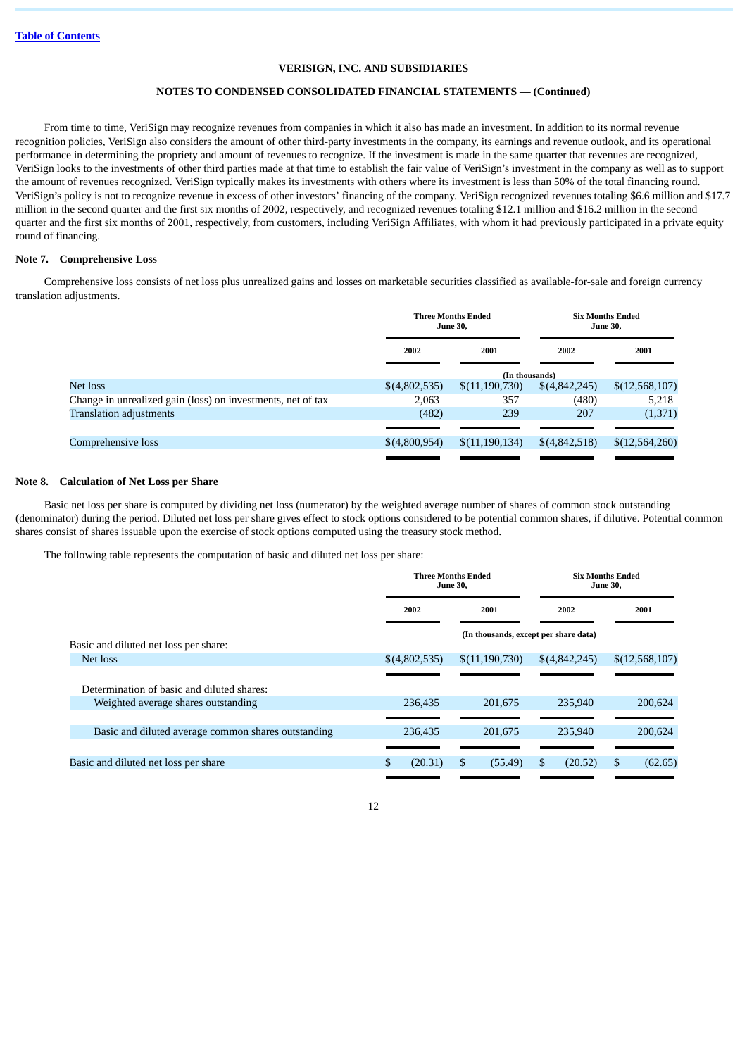# **NOTES TO CONDENSED CONSOLIDATED FINANCIAL STATEMENTS — (Continued)**

From time to time, VeriSign may recognize revenues from companies in which it also has made an investment. In addition to its normal revenue recognition policies, VeriSign also considers the amount of other third-party investments in the company, its earnings and revenue outlook, and its operational performance in determining the propriety and amount of revenues to recognize. If the investment is made in the same quarter that revenues are recognized, VeriSign looks to the investments of other third parties made at that time to establish the fair value of VeriSign's investment in the company as well as to support the amount of revenues recognized. VeriSign typically makes its investments with others where its investment is less than 50% of the total financing round. VeriSign's policy is not to recognize revenue in excess of other investors' financing of the company. VeriSign recognized revenues totaling \$6.6 million and \$17.7 million in the second quarter and the first six months of 2002, respectively, and recognized revenues totaling \$12.1 million and \$16.2 million in the second quarter and the first six months of 2001, respectively, from customers, including VeriSign Affiliates, with whom it had previously participated in a private equity round of financing.

### **Note 7. Comprehensive Loss**

Comprehensive loss consists of net loss plus unrealized gains and losses on marketable securities classified as available-for-sale and foreign currency translation adjustments.

|                                                             |               | <b>Three Months Ended</b><br><b>June 30.</b> |               | <b>Six Months Ended</b><br><b>June 30,</b> |  |  |
|-------------------------------------------------------------|---------------|----------------------------------------------|---------------|--------------------------------------------|--|--|
|                                                             | 2002          | 2001                                         | 2002          | 2001                                       |  |  |
|                                                             |               | (In thousands)                               |               |                                            |  |  |
| Net loss                                                    | \$(4,802,535) | \$(11,190,730)                               | \$(4,842,245) | \$(12,568,107)                             |  |  |
| Change in unrealized gain (loss) on investments, net of tax | 2,063         | 357                                          | (480)         | 5,218                                      |  |  |
| <b>Translation adjustments</b>                              | (482)         | 239                                          | 207           | (1,371)                                    |  |  |
|                                                             |               |                                              |               |                                            |  |  |
| Comprehensive loss                                          | \$(4,800,954) | \$(11,190,134)                               | \$(4,842,518) | \$(12,564,260)                             |  |  |
|                                                             |               |                                              |               |                                            |  |  |

### **Note 8. Calculation of Net Loss per Share**

Basic net loss per share is computed by dividing net loss (numerator) by the weighted average number of shares of common stock outstanding (denominator) during the period. Diluted net loss per share gives effect to stock options considered to be potential common shares, if dilutive. Potential common shares consist of shares issuable upon the exercise of stock options computed using the treasury stock method.

The following table represents the computation of basic and diluted net loss per share:

|                                                     | <b>Three Months Ended</b><br><b>June 30,</b> |               |                                       | <b>Six Months Ended</b><br><b>June 30.</b> |               |    |                |
|-----------------------------------------------------|----------------------------------------------|---------------|---------------------------------------|--------------------------------------------|---------------|----|----------------|
|                                                     |                                              | 2002          | 2001                                  |                                            | 2002          |    | 2001           |
|                                                     |                                              |               | (In thousands, except per share data) |                                            |               |    |                |
| Basic and diluted net loss per share:               |                                              |               |                                       |                                            |               |    |                |
| Net loss                                            |                                              | \$(4,802,535) | \$(11,190,730)                        |                                            | \$(4,842,245) |    | \$(12,568,107) |
|                                                     |                                              |               |                                       |                                            |               |    |                |
| Determination of basic and diluted shares:          |                                              |               |                                       |                                            |               |    |                |
| Weighted average shares outstanding                 |                                              | 236,435       | 201.675                               |                                            | 235,940       |    | 200,624        |
|                                                     |                                              |               |                                       |                                            |               |    |                |
| Basic and diluted average common shares outstanding |                                              | 236,435       | 201,675                               |                                            | 235,940       |    | 200,624        |
|                                                     |                                              |               |                                       |                                            |               |    |                |
| Basic and diluted net loss per share                | S                                            | (20.31)       | \$<br>(55.49)                         | S.                                         | (20.52)       | S. | (62.65)        |
|                                                     |                                              |               |                                       |                                            |               |    |                |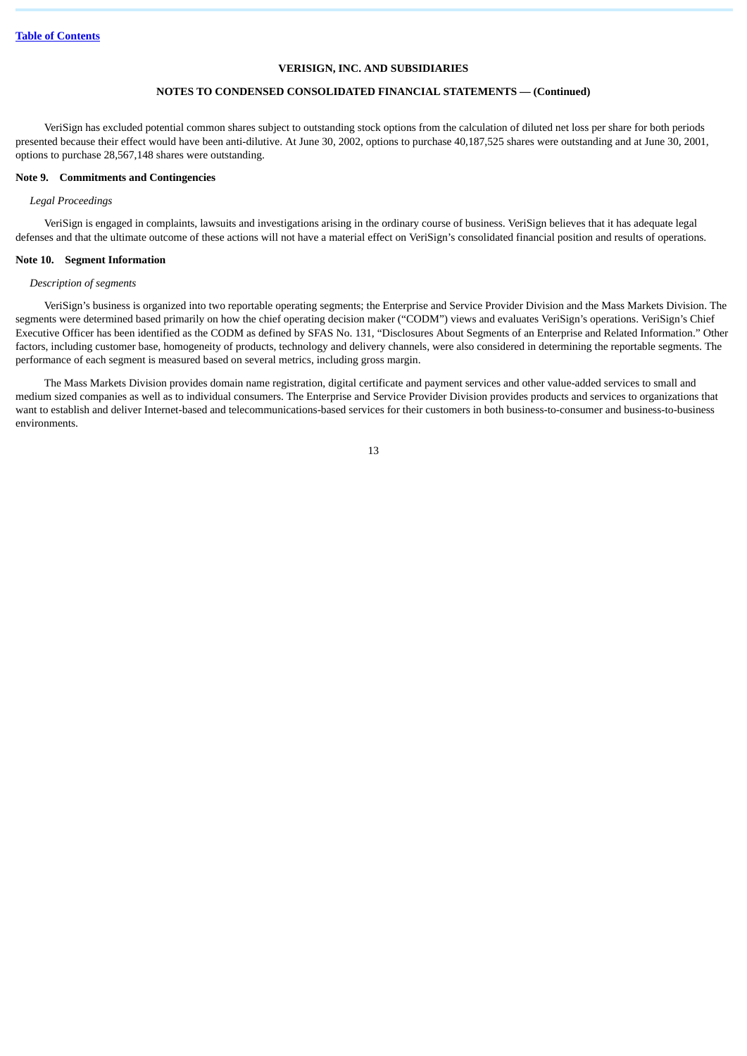# **NOTES TO CONDENSED CONSOLIDATED FINANCIAL STATEMENTS — (Continued)**

VeriSign has excluded potential common shares subject to outstanding stock options from the calculation of diluted net loss per share for both periods presented because their effect would have been anti-dilutive. At June 30, 2002, options to purchase 40,187,525 shares were outstanding and at June 30, 2001, options to purchase 28,567,148 shares were outstanding.

### **Note 9. Commitments and Contingencies**

# *Legal Proceedings*

VeriSign is engaged in complaints, lawsuits and investigations arising in the ordinary course of business. VeriSign believes that it has adequate legal defenses and that the ultimate outcome of these actions will not have a material effect on VeriSign's consolidated financial position and results of operations.

#### **Note 10. Segment Information**

### *Description of segments*

VeriSign's business is organized into two reportable operating segments; the Enterprise and Service Provider Division and the Mass Markets Division. The segments were determined based primarily on how the chief operating decision maker ("CODM") views and evaluates VeriSign's operations. VeriSign's Chief Executive Officer has been identified as the CODM as defined by SFAS No. 131, "Disclosures About Segments of an Enterprise and Related Information." Other factors, including customer base, homogeneity of products, technology and delivery channels, were also considered in determining the reportable segments. The performance of each segment is measured based on several metrics, including gross margin.

The Mass Markets Division provides domain name registration, digital certificate and payment services and other value-added services to small and medium sized companies as well as to individual consumers. The Enterprise and Service Provider Division provides products and services to organizations that want to establish and deliver Internet-based and telecommunications-based services for their customers in both business-to-consumer and business-to-business environments.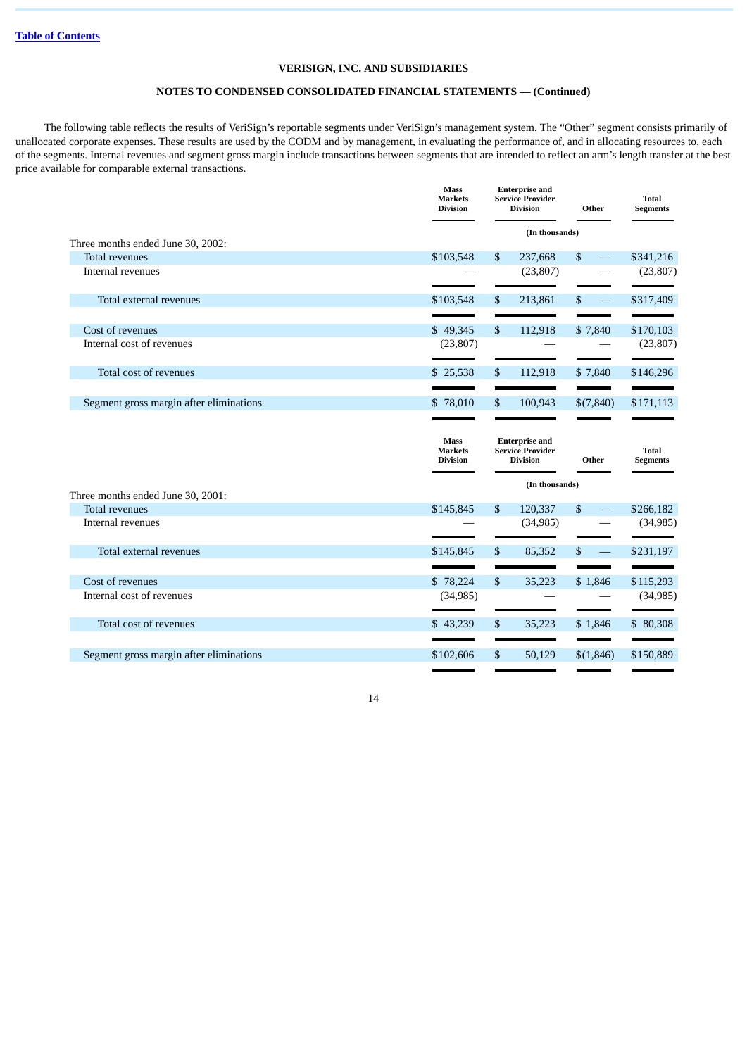# **NOTES TO CONDENSED CONSOLIDATED FINANCIAL STATEMENTS — (Continued)**

The following table reflects the results of VeriSign's reportable segments under VeriSign's management system. The "Other" segment consists primarily of unallocated corporate expenses. These results are used by the CODM and by management, in evaluating the performance of, and in allocating resources to, each of the segments. Internal revenues and segment gross margin include transactions between segments that are intended to reflect an arm's length transfer at the best price available for comparable external transactions.

|                                                            | <b>Mass</b><br><b>Markets</b><br><b>Division</b> |                | <b>Enterprise and</b><br><b>Service Provider</b><br><b>Division</b> | Other     | Total<br><b>Segments</b>        |
|------------------------------------------------------------|--------------------------------------------------|----------------|---------------------------------------------------------------------|-----------|---------------------------------|
|                                                            |                                                  |                | (In thousands)                                                      |           |                                 |
| Three months ended June 30, 2002:<br><b>Total revenues</b> | \$103,548                                        | \$             | 237,668                                                             | \$        | \$341,216                       |
| Internal revenues                                          |                                                  |                | (23, 807)                                                           |           | (23, 807)                       |
| Total external revenues                                    | \$103,548                                        | \$             | 213,861                                                             | \$        | \$317,409                       |
| Cost of revenues                                           | \$49,345                                         | $\sqrt{3}$     | 112,918                                                             | \$7,840   | \$170,103                       |
| Internal cost of revenues                                  | (23, 807)                                        |                |                                                                     |           | (23,807)                        |
| Total cost of revenues                                     | \$25,538                                         | \$             | 112,918                                                             | \$7,840   | \$146,296                       |
| Segment gross margin after eliminations                    | \$78,010                                         | \$             | 100,943                                                             | \$(7,840) | \$171,113                       |
|                                                            | <b>Mass</b><br><b>Markets</b><br><b>Division</b> |                | <b>Enterprise and</b><br><b>Service Provider</b><br><b>Division</b> | Other     | <b>Total</b><br><b>Segments</b> |
|                                                            |                                                  |                |                                                                     |           |                                 |
|                                                            |                                                  |                | (In thousands)                                                      |           |                                 |
| Three months ended June 30, 2001:<br><b>Total revenues</b> | \$145,845                                        | $\mathbb{S}$   | 120,337                                                             | \$        | \$266,182                       |
| Internal revenues                                          |                                                  |                | (34, 985)                                                           |           | (34,985)                        |
| Total external revenues                                    | \$145,845                                        | \$             | 85,352                                                              | \$        | \$231,197                       |
|                                                            |                                                  |                |                                                                     |           |                                 |
| Cost of revenues<br>Internal cost of revenues              | \$78,224<br>(34, 985)                            | $\mathfrak{S}$ | 35,223                                                              | \$1,846   | \$115,293<br>(34, 985)          |
| Total cost of revenues                                     | \$43,239                                         | \$             | 35,223                                                              | \$1,846   | \$80,308                        |
| Segment gross margin after eliminations                    | \$102,606                                        | $\mathfrak{S}$ | 50,129                                                              | \$(1,846) | \$150,889                       |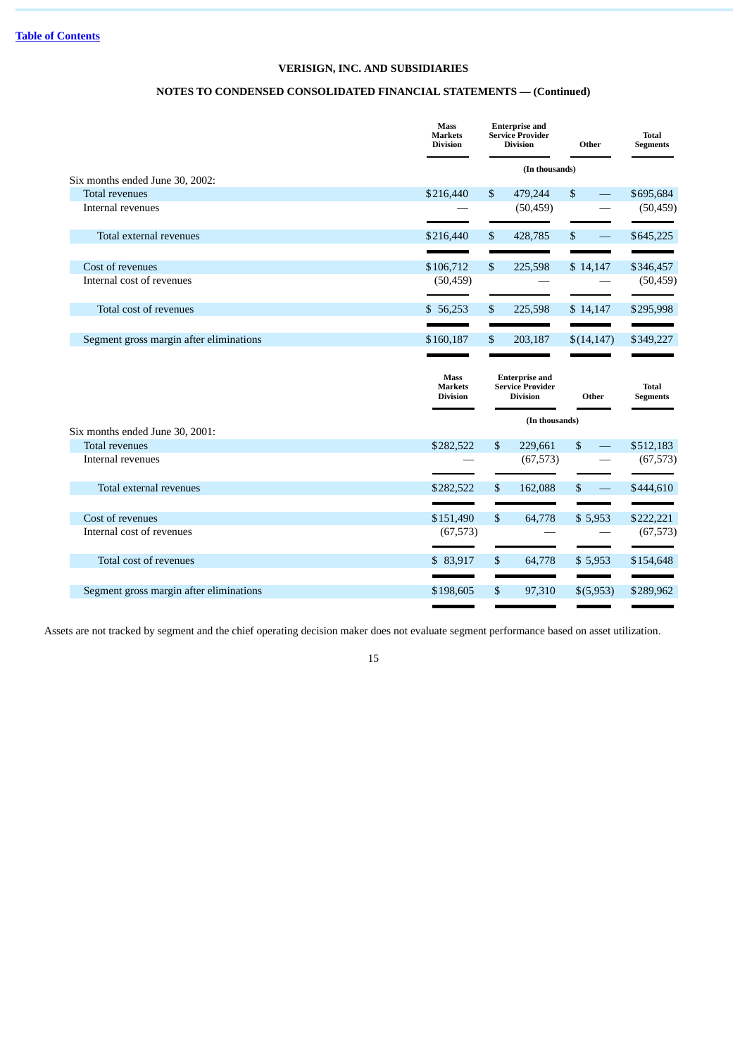# **NOTES TO CONDENSED CONSOLIDATED FINANCIAL STATEMENTS — (Continued)**

|                                               | <b>Mass</b><br><b>Markets</b><br><b>Division</b> | <b>Enterprise and</b><br><b>Service Provider</b><br><b>Division</b> | Other          | <b>Total</b><br><b>Segments</b> |
|-----------------------------------------------|--------------------------------------------------|---------------------------------------------------------------------|----------------|---------------------------------|
| Six months ended June 30, 2002:               |                                                  | (In thousands)                                                      |                |                                 |
| <b>Total revenues</b>                         | \$216,440                                        | \$<br>479,244                                                       | \$             | \$695,684                       |
| Internal revenues                             |                                                  | (50, 459)                                                           |                | (50, 459)                       |
| Total external revenues                       | \$216,440                                        | \$<br>428,785                                                       | \$<br>$\equiv$ | \$645,225                       |
|                                               |                                                  |                                                                     |                |                                 |
| Cost of revenues                              | \$106,712                                        | \$<br>225,598                                                       | \$14,147       | \$346,457                       |
| Internal cost of revenues                     | (50, 459)                                        |                                                                     |                | (50, 459)                       |
| Total cost of revenues                        | \$56,253                                         | \$<br>225,598                                                       | \$14,147       | \$295,998                       |
|                                               |                                                  | \$                                                                  |                |                                 |
| Segment gross margin after eliminations       | \$160,187                                        | 203,187                                                             | \$(14, 147)    | \$349,227                       |
|                                               |                                                  |                                                                     |                |                                 |
|                                               | <b>Mass</b><br><b>Markets</b><br><b>Division</b> | <b>Enterprise and</b><br><b>Service Provider</b><br><b>Division</b> | Other          | <b>Total</b><br>Segments        |
|                                               |                                                  | (In thousands)                                                      |                |                                 |
| Six months ended June 30, 2001:               |                                                  |                                                                     |                |                                 |
| <b>Total revenues</b><br>Internal revenues    | \$282,522                                        | \$<br>229,661<br>(67, 573)                                          | \$             | \$512,183<br>(67, 573)          |
| Total external revenues                       | \$282,522                                        | \$<br>162,088                                                       | \$             | \$444,610                       |
|                                               |                                                  |                                                                     |                |                                 |
| Cost of revenues<br>Internal cost of revenues | \$151,490<br>(67, 573)                           | \$<br>64,778                                                        | \$5,953        | \$222,221                       |
| Total cost of revenues                        | \$83,917                                         | \$<br>64,778                                                        | \$5,953        | \$154,648                       |
| Segment gross margin after eliminations       | \$198,605                                        | \$<br>97,310                                                        | \$(5,953)      | (67, 573)<br>\$289,962          |

Assets are not tracked by segment and the chief operating decision maker does not evaluate segment performance based on asset utilization.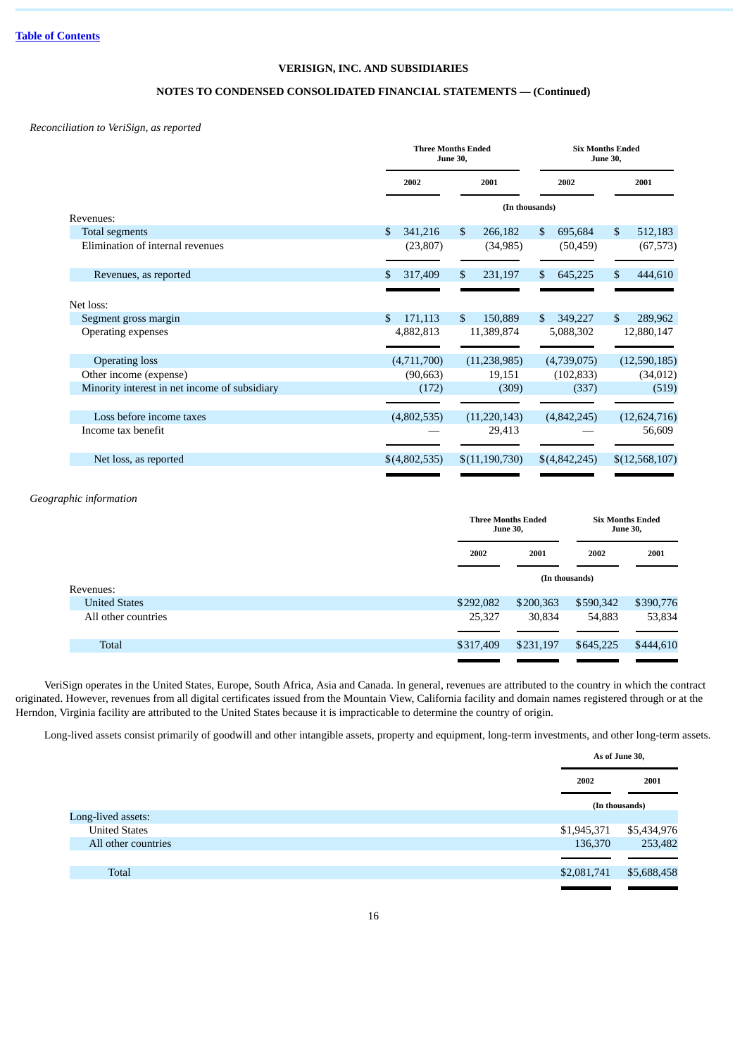# **NOTES TO CONDENSED CONSOLIDATED FINANCIAL STATEMENTS — (Continued)**

*Reconciliation to VeriSign, as reported*

|                                               | <b>Three Months Ended</b><br><b>June 30,</b> |                         | <b>Six Months Ended</b><br><b>June 30,</b> |                |  |
|-----------------------------------------------|----------------------------------------------|-------------------------|--------------------------------------------|----------------|--|
|                                               | 2002                                         | 2001                    | 2002                                       | 2001           |  |
| Revenues:                                     |                                              |                         | (In thousands)                             |                |  |
| <b>Total segments</b>                         | \$<br>341,216                                | $\mathbb{S}$<br>266,182 | \$<br>695,684                              | \$<br>512,183  |  |
| Elimination of internal revenues              | (23, 807)                                    | (34, 985)               | (50, 459)                                  | (67, 573)      |  |
| Revenues, as reported                         | \$<br>317,409                                | \$<br>231,197           | 645,225<br>\$                              | 444,610<br>S   |  |
| Net loss:                                     |                                              |                         |                                            |                |  |
| Segment gross margin                          | \$<br>171,113                                | \$<br>150,889           | 349,227<br>$\mathbb{S}$                    | \$<br>289,962  |  |
| <b>Operating expenses</b>                     | 4,882,813                                    | 11,389,874              | 5,088,302                                  | 12,880,147     |  |
| <b>Operating loss</b>                         | (4,711,700)                                  | (11, 238, 985)          | (4,739,075)                                | (12,590,185)   |  |
| Other income (expense)                        | (90, 663)                                    | 19,151                  | (102, 833)                                 | (34,012)       |  |
| Minority interest in net income of subsidiary | (172)                                        | (309)                   | (337)                                      | (519)          |  |
| Loss before income taxes                      | (4,802,535)                                  | (11, 220, 143)          | (4,842,245)                                | (12, 624, 716) |  |
| Income tax benefit                            |                                              | 29,413                  |                                            | 56,609         |  |
| Net loss, as reported                         | \$(4,802,535)                                | \$(11,190,730)          | \$(4,842,245)                              | \$(12,568,107) |  |
|                                               |                                              |                         |                                            |                |  |

# *Geographic information*

|                      |           | <b>Three Months Ended</b><br><b>June 30,</b> |                | <b>Six Months Ended</b><br><b>June 30,</b> |  |
|----------------------|-----------|----------------------------------------------|----------------|--------------------------------------------|--|
|                      | 2002      | 2001                                         | 2002           | 2001                                       |  |
| Revenues:            |           |                                              | (In thousands) |                                            |  |
| <b>United States</b> | \$292,082 | \$200,363                                    | \$590,342      | \$390,776                                  |  |
| All other countries  | 25,327    | 30,834                                       | 54,883         | 53,834                                     |  |
|                      |           |                                              |                |                                            |  |
| <b>Total</b>         | \$317,409 | \$231,197                                    | \$645,225      | \$444,610                                  |  |
|                      |           |                                              |                |                                            |  |

VeriSign operates in the United States, Europe, South Africa, Asia and Canada. In general, revenues are attributed to the country in which the contract originated. However, revenues from all digital certificates issued from the Mountain View, California facility and domain names registered through or at the Herndon, Virginia facility are attributed to the United States because it is impracticable to determine the country of origin.

Long-lived assets consist primarily of goodwill and other intangible assets, property and equipment, long-term investments, and other long-term assets.

|                      |             | As of June 30, |
|----------------------|-------------|----------------|
|                      | 2002        | 2001           |
|                      |             | (In thousands) |
| Long-lived assets:   |             |                |
| <b>United States</b> | \$1,945,371 | \$5,434,976    |
| All other countries  | 136,370     | 253,482        |
|                      |             |                |
| <b>Total</b>         | \$2,081,741 | \$5,688,458    |
|                      |             |                |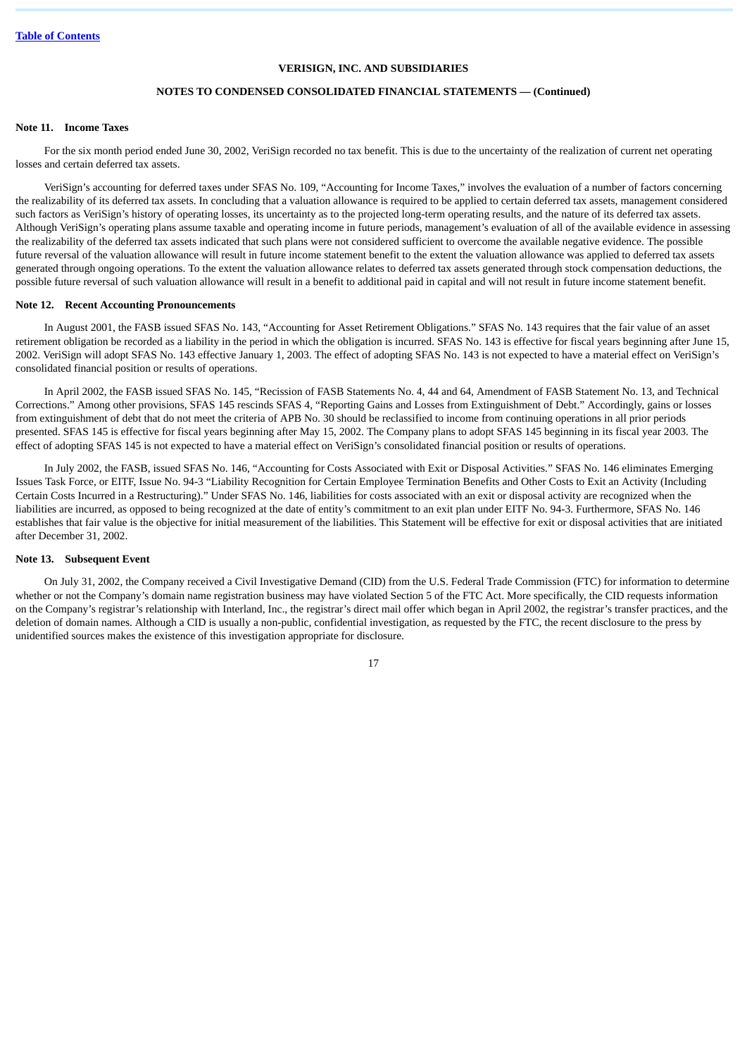# **NOTES TO CONDENSED CONSOLIDATED FINANCIAL STATEMENTS — (Continued)**

# **Note 11. Income Taxes**

For the six month period ended June 30, 2002, VeriSign recorded no tax benefit. This is due to the uncertainty of the realization of current net operating losses and certain deferred tax assets.

VeriSign's accounting for deferred taxes under SFAS No. 109, "Accounting for Income Taxes," involves the evaluation of a number of factors concerning the realizability of its deferred tax assets. In concluding that a valuation allowance is required to be applied to certain deferred tax assets, management considered such factors as VeriSign's history of operating losses, its uncertainty as to the projected long-term operating results, and the nature of its deferred tax assets. Although VeriSign's operating plans assume taxable and operating income in future periods, management's evaluation of all of the available evidence in assessing the realizability of the deferred tax assets indicated that such plans were not considered sufficient to overcome the available negative evidence. The possible future reversal of the valuation allowance will result in future income statement benefit to the extent the valuation allowance was applied to deferred tax assets generated through ongoing operations. To the extent the valuation allowance relates to deferred tax assets generated through stock compensation deductions, the possible future reversal of such valuation allowance will result in a benefit to additional paid in capital and will not result in future income statement benefit.

### **Note 12. Recent Accounting Pronouncements**

In August 2001, the FASB issued SFAS No. 143, "Accounting for Asset Retirement Obligations." SFAS No. 143 requires that the fair value of an asset retirement obligation be recorded as a liability in the period in which the obligation is incurred. SFAS No. 143 is effective for fiscal years beginning after June 15, 2002. VeriSign will adopt SFAS No. 143 effective January 1, 2003. The effect of adopting SFAS No. 143 is not expected to have a material effect on VeriSign's consolidated financial position or results of operations.

In April 2002, the FASB issued SFAS No. 145, "Recission of FASB Statements No. 4, 44 and 64, Amendment of FASB Statement No. 13, and Technical Corrections." Among other provisions, SFAS 145 rescinds SFAS 4, "Reporting Gains and Losses from Extinguishment of Debt." Accordingly, gains or losses from extinguishment of debt that do not meet the criteria of APB No. 30 should be reclassified to income from continuing operations in all prior periods presented. SFAS 145 is effective for fiscal years beginning after May 15, 2002. The Company plans to adopt SFAS 145 beginning in its fiscal year 2003. The effect of adopting SFAS 145 is not expected to have a material effect on VeriSign's consolidated financial position or results of operations.

In July 2002, the FASB, issued SFAS No. 146, "Accounting for Costs Associated with Exit or Disposal Activities." SFAS No. 146 eliminates Emerging Issues Task Force, or EITF, Issue No. 94-3 "Liability Recognition for Certain Employee Termination Benefits and Other Costs to Exit an Activity (Including Certain Costs Incurred in a Restructuring)." Under SFAS No. 146, liabilities for costs associated with an exit or disposal activity are recognized when the liabilities are incurred, as opposed to being recognized at the date of entity's commitment to an exit plan under EITF No. 94-3. Furthermore, SFAS No. 146 establishes that fair value is the objective for initial measurement of the liabilities. This Statement will be effective for exit or disposal activities that are initiated after December 31, 2002.

### **Note 13. Subsequent Event**

On July 31, 2002, the Company received a Civil Investigative Demand (CID) from the U.S. Federal Trade Commission (FTC) for information to determine whether or not the Company's domain name registration business may have violated Section 5 of the FTC Act. More specifically, the CID requests information on the Company's registrar's relationship with Interland, Inc., the registrar's direct mail offer which began in April 2002, the registrar's transfer practices, and the deletion of domain names. Although a CID is usually a non-public, confidential investigation, as requested by the FTC, the recent disclosure to the press by unidentified sources makes the existence of this investigation appropriate for disclosure.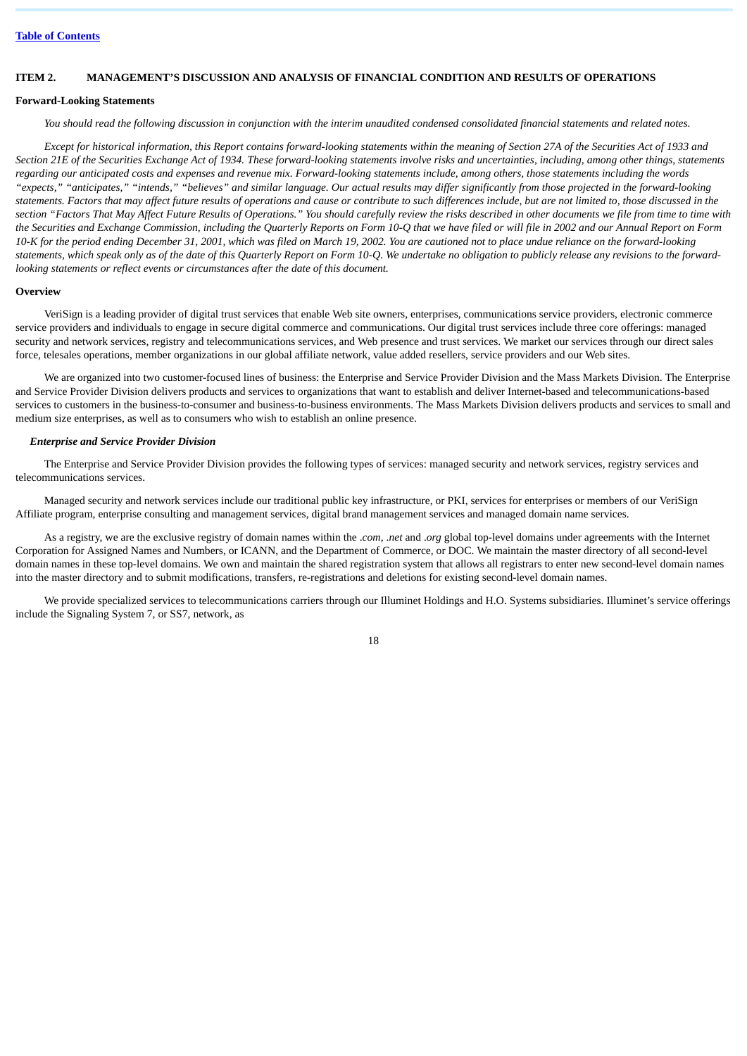# <span id="page-17-0"></span>**ITEM 2. MANAGEMENT'S DISCUSSION AND ANALYSIS OF FINANCIAL CONDITION AND RESULTS OF OPERATIONS**

### **Forward-Looking Statements**

*You should read the following discussion in conjunction with the interim unaudited condensed consolidated financial statements and related notes.*

*Except for historical information, this Report contains forward-looking statements within the meaning of Section 27A of the Securities Act of 1933 and Section 21E of the Securities Exchange Act of 1934. These forward-looking statements involve risks and uncertainties, including, among other things, statements regarding our anticipated costs and expenses and revenue mix. Forward-looking statements include, among others, those statements including the words "expects," "anticipates," "intends," "believes" and similar language. Our actual results may differ significantly from those projected in the forward-looking statements. Factors that may affect future results of operations and cause or contribute to such differences include, but are not limited to, those discussed in the section "Factors That May Affect Future Results of Operations." You should carefully review the risks described in other documents we file from time to time with the Securities and Exchange Commission, including the Quarterly Reports on Form 10-Q that we have filed or will file in 2002 and our Annual Report on Form 10-K for the period ending December 31, 2001, which was filed on March 19, 2002. You are cautioned not to place undue reliance on the forward-looking statements, which speak only as of the date of this Quarterly Report on Form 10-Q. We undertake no obligation to publicly release any revisions to the forwardlooking statements or reflect events or circumstances after the date of this document.*

#### **Overview**

VeriSign is a leading provider of digital trust services that enable Web site owners, enterprises, communications service providers, electronic commerce service providers and individuals to engage in secure digital commerce and communications. Our digital trust services include three core offerings: managed security and network services, registry and telecommunications services, and Web presence and trust services. We market our services through our direct sales force, telesales operations, member organizations in our global affiliate network, value added resellers, service providers and our Web sites.

We are organized into two customer-focused lines of business: the Enterprise and Service Provider Division and the Mass Markets Division. The Enterprise and Service Provider Division delivers products and services to organizations that want to establish and deliver Internet-based and telecommunications-based services to customers in the business-to-consumer and business-to-business environments. The Mass Markets Division delivers products and services to small and medium size enterprises, as well as to consumers who wish to establish an online presence.

### *Enterprise and Service Provider Division*

The Enterprise and Service Provider Division provides the following types of services: managed security and network services, registry services and telecommunications services.

Managed security and network services include our traditional public key infrastructure, or PKI, services for enterprises or members of our VeriSign Affiliate program, enterprise consulting and management services, digital brand management services and managed domain name services.

As a registry, we are the exclusive registry of domain names within the .*com*, .*net* and .*org* global top-level domains under agreements with the Internet Corporation for Assigned Names and Numbers, or ICANN, and the Department of Commerce, or DOC. We maintain the master directory of all second-level domain names in these top-level domains. We own and maintain the shared registration system that allows all registrars to enter new second-level domain names into the master directory and to submit modifications, transfers, re-registrations and deletions for existing second-level domain names.

We provide specialized services to telecommunications carriers through our Illuminet Holdings and H.O. Systems subsidiaries. Illuminet's service offerings include the Signaling System 7, or SS7, network, as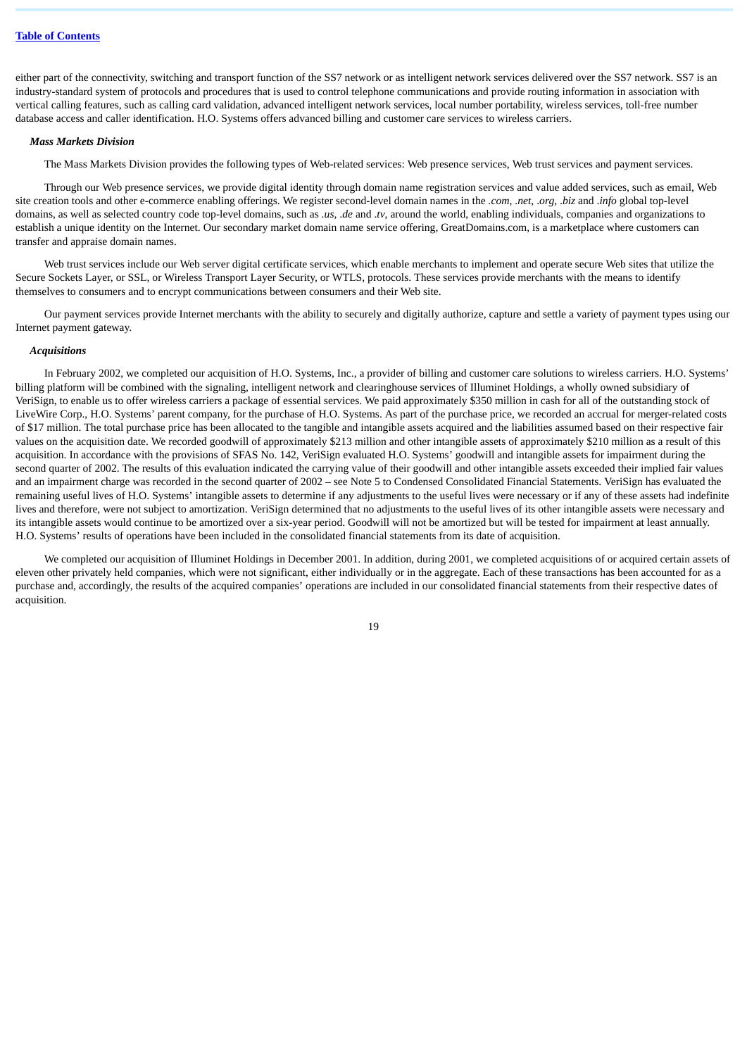either part of the connectivity, switching and transport function of the SS7 network or as intelligent network services delivered over the SS7 network. SS7 is an industry-standard system of protocols and procedures that is used to control telephone communications and provide routing information in association with vertical calling features, such as calling card validation, advanced intelligent network services, local number portability, wireless services, toll-free number database access and caller identification. H.O. Systems offers advanced billing and customer care services to wireless carriers.

#### *Mass Markets Division*

The Mass Markets Division provides the following types of Web-related services: Web presence services, Web trust services and payment services.

Through our Web presence services, we provide digital identity through domain name registration services and value added services, such as email, Web site creation tools and other e-commerce enabling offerings. We register second-level domain names in the *.com*, .*net*, .*org*, .*biz* and .*info* global top-level domains, as well as selected country code top-level domains, such as *.us,* .*de* and .*tv*, around the world, enabling individuals, companies and organizations to establish a unique identity on the Internet. Our secondary market domain name service offering, GreatDomains.com, is a marketplace where customers can transfer and appraise domain names.

Web trust services include our Web server digital certificate services, which enable merchants to implement and operate secure Web sites that utilize the Secure Sockets Layer, or SSL, or Wireless Transport Layer Security, or WTLS, protocols. These services provide merchants with the means to identify themselves to consumers and to encrypt communications between consumers and their Web site.

Our payment services provide Internet merchants with the ability to securely and digitally authorize, capture and settle a variety of payment types using our Internet payment gateway.

### *Acquisitions*

In February 2002, we completed our acquisition of H.O. Systems, Inc., a provider of billing and customer care solutions to wireless carriers. H.O. Systems' billing platform will be combined with the signaling, intelligent network and clearinghouse services of Illuminet Holdings, a wholly owned subsidiary of VeriSign, to enable us to offer wireless carriers a package of essential services. We paid approximately \$350 million in cash for all of the outstanding stock of LiveWire Corp., H.O. Systems' parent company, for the purchase of H.O. Systems. As part of the purchase price, we recorded an accrual for merger-related costs of \$17 million. The total purchase price has been allocated to the tangible and intangible assets acquired and the liabilities assumed based on their respective fair values on the acquisition date. We recorded goodwill of approximately \$213 million and other intangible assets of approximately \$210 million as a result of this acquisition. In accordance with the provisions of SFAS No. 142, VeriSign evaluated H.O. Systems' goodwill and intangible assets for impairment during the second quarter of 2002. The results of this evaluation indicated the carrying value of their goodwill and other intangible assets exceeded their implied fair values and an impairment charge was recorded in the second quarter of 2002 – see Note 5 to Condensed Consolidated Financial Statements. VeriSign has evaluated the remaining useful lives of H.O. Systems' intangible assets to determine if any adjustments to the useful lives were necessary or if any of these assets had indefinite lives and therefore, were not subject to amortization. VeriSign determined that no adjustments to the useful lives of its other intangible assets were necessary and its intangible assets would continue to be amortized over a six-year period. Goodwill will not be amortized but will be tested for impairment at least annually. H.O. Systems' results of operations have been included in the consolidated financial statements from its date of acquisition.

We completed our acquisition of Illuminet Holdings in December 2001. In addition, during 2001, we completed acquisitions of or acquired certain assets of eleven other privately held companies, which were not significant, either individually or in the aggregate. Each of these transactions has been accounted for as a purchase and, accordingly, the results of the acquired companies' operations are included in our consolidated financial statements from their respective dates of acquisition.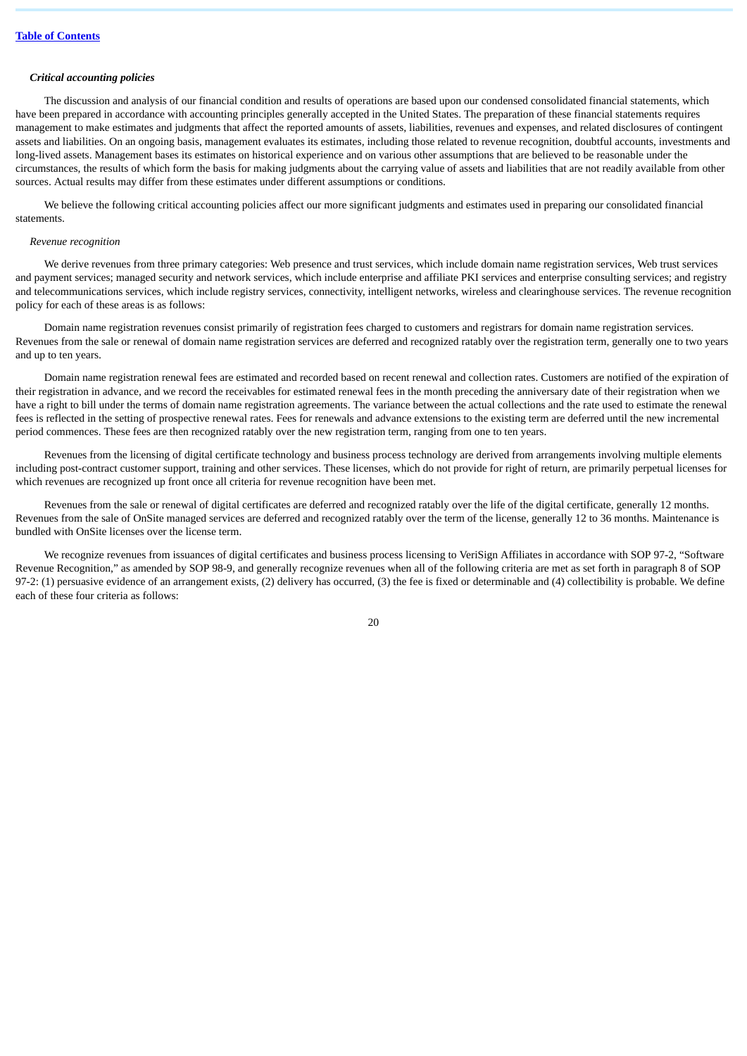# *Critical accounting policies*

The discussion and analysis of our financial condition and results of operations are based upon our condensed consolidated financial statements, which have been prepared in accordance with accounting principles generally accepted in the United States. The preparation of these financial statements requires management to make estimates and judgments that affect the reported amounts of assets, liabilities, revenues and expenses, and related disclosures of contingent assets and liabilities. On an ongoing basis, management evaluates its estimates, including those related to revenue recognition, doubtful accounts, investments and long-lived assets. Management bases its estimates on historical experience and on various other assumptions that are believed to be reasonable under the circumstances, the results of which form the basis for making judgments about the carrying value of assets and liabilities that are not readily available from other sources. Actual results may differ from these estimates under different assumptions or conditions.

We believe the following critical accounting policies affect our more significant judgments and estimates used in preparing our consolidated financial statements.

#### *Revenue recognition*

We derive revenues from three primary categories: Web presence and trust services, which include domain name registration services, Web trust services and payment services; managed security and network services, which include enterprise and affiliate PKI services and enterprise consulting services; and registry and telecommunications services, which include registry services, connectivity, intelligent networks, wireless and clearinghouse services. The revenue recognition policy for each of these areas is as follows:

Domain name registration revenues consist primarily of registration fees charged to customers and registrars for domain name registration services. Revenues from the sale or renewal of domain name registration services are deferred and recognized ratably over the registration term, generally one to two years and up to ten years.

Domain name registration renewal fees are estimated and recorded based on recent renewal and collection rates. Customers are notified of the expiration of their registration in advance, and we record the receivables for estimated renewal fees in the month preceding the anniversary date of their registration when we have a right to bill under the terms of domain name registration agreements. The variance between the actual collections and the rate used to estimate the renewal fees is reflected in the setting of prospective renewal rates. Fees for renewals and advance extensions to the existing term are deferred until the new incremental period commences. These fees are then recognized ratably over the new registration term, ranging from one to ten years.

Revenues from the licensing of digital certificate technology and business process technology are derived from arrangements involving multiple elements including post-contract customer support, training and other services. These licenses, which do not provide for right of return, are primarily perpetual licenses for which revenues are recognized up front once all criteria for revenue recognition have been met.

Revenues from the sale or renewal of digital certificates are deferred and recognized ratably over the life of the digital certificate, generally 12 months. Revenues from the sale of OnSite managed services are deferred and recognized ratably over the term of the license, generally 12 to 36 months. Maintenance is bundled with OnSite licenses over the license term.

We recognize revenues from issuances of digital certificates and business process licensing to VeriSign Affiliates in accordance with SOP 97-2, "Software Revenue Recognition," as amended by SOP 98-9, and generally recognize revenues when all of the following criteria are met as set forth in paragraph 8 of SOP 97-2: (1) persuasive evidence of an arrangement exists, (2) delivery has occurred, (3) the fee is fixed or determinable and (4) collectibility is probable. We define each of these four criteria as follows: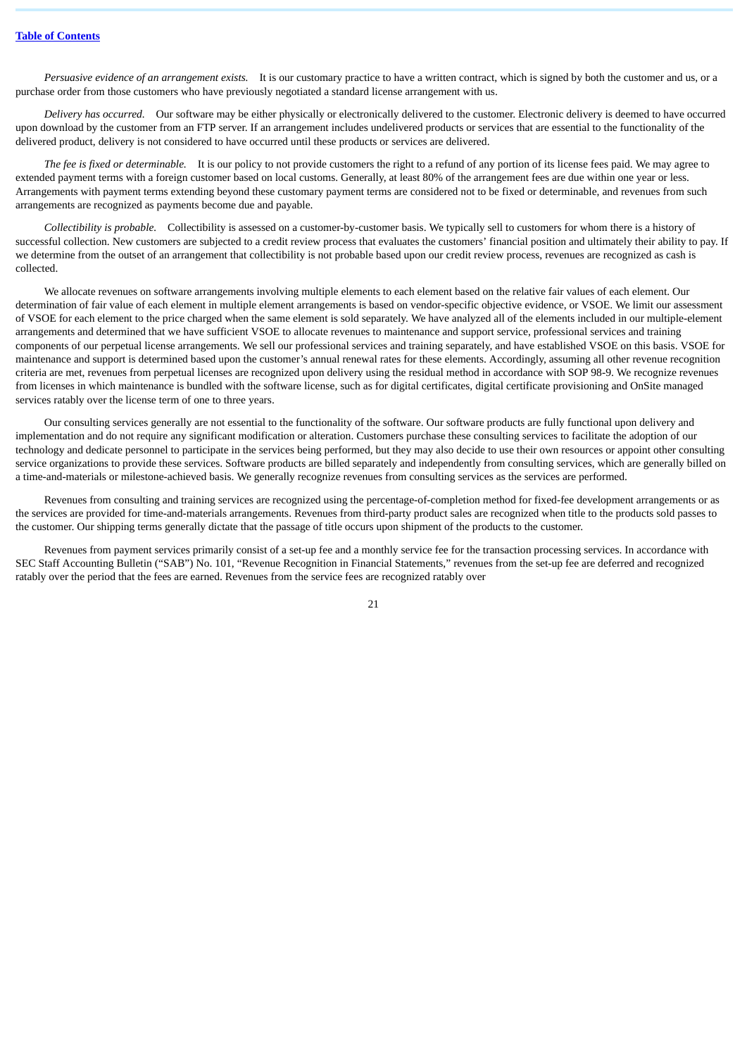*Persuasive evidence of an arrangement exists.* It is our customary practice to have a written contract, which is signed by both the customer and us, or a purchase order from those customers who have previously negotiated a standard license arrangement with us.

*Delivery has occurred.* Our software may be either physically or electronically delivered to the customer. Electronic delivery is deemed to have occurred upon download by the customer from an FTP server. If an arrangement includes undelivered products or services that are essential to the functionality of the delivered product, delivery is not considered to have occurred until these products or services are delivered.

*The fee is fixed or determinable.* It is our policy to not provide customers the right to a refund of any portion of its license fees paid. We may agree to extended payment terms with a foreign customer based on local customs. Generally, at least 80% of the arrangement fees are due within one year or less. Arrangements with payment terms extending beyond these customary payment terms are considered not to be fixed or determinable, and revenues from such arrangements are recognized as payments become due and payable.

*Collectibility is probable.* Collectibility is assessed on a customer-by-customer basis. We typically sell to customers for whom there is a history of successful collection. New customers are subjected to a credit review process that evaluates the customers' financial position and ultimately their ability to pay. If we determine from the outset of an arrangement that collectibility is not probable based upon our credit review process, revenues are recognized as cash is collected.

We allocate revenues on software arrangements involving multiple elements to each element based on the relative fair values of each element. Our determination of fair value of each element in multiple element arrangements is based on vendor-specific objective evidence, or VSOE. We limit our assessment of VSOE for each element to the price charged when the same element is sold separately. We have analyzed all of the elements included in our multiple-element arrangements and determined that we have sufficient VSOE to allocate revenues to maintenance and support service, professional services and training components of our perpetual license arrangements. We sell our professional services and training separately, and have established VSOE on this basis. VSOE for maintenance and support is determined based upon the customer's annual renewal rates for these elements. Accordingly, assuming all other revenue recognition criteria are met, revenues from perpetual licenses are recognized upon delivery using the residual method in accordance with SOP 98-9. We recognize revenues from licenses in which maintenance is bundled with the software license, such as for digital certificates, digital certificate provisioning and OnSite managed services ratably over the license term of one to three years.

Our consulting services generally are not essential to the functionality of the software. Our software products are fully functional upon delivery and implementation and do not require any significant modification or alteration. Customers purchase these consulting services to facilitate the adoption of our technology and dedicate personnel to participate in the services being performed, but they may also decide to use their own resources or appoint other consulting service organizations to provide these services. Software products are billed separately and independently from consulting services, which are generally billed on a time-and-materials or milestone-achieved basis. We generally recognize revenues from consulting services as the services are performed.

Revenues from consulting and training services are recognized using the percentage-of-completion method for fixed-fee development arrangements or as the services are provided for time-and-materials arrangements. Revenues from third-party product sales are recognized when title to the products sold passes to the customer. Our shipping terms generally dictate that the passage of title occurs upon shipment of the products to the customer.

Revenues from payment services primarily consist of a set-up fee and a monthly service fee for the transaction processing services. In accordance with SEC Staff Accounting Bulletin ("SAB") No. 101, "Revenue Recognition in Financial Statements," revenues from the set-up fee are deferred and recognized ratably over the period that the fees are earned. Revenues from the service fees are recognized ratably over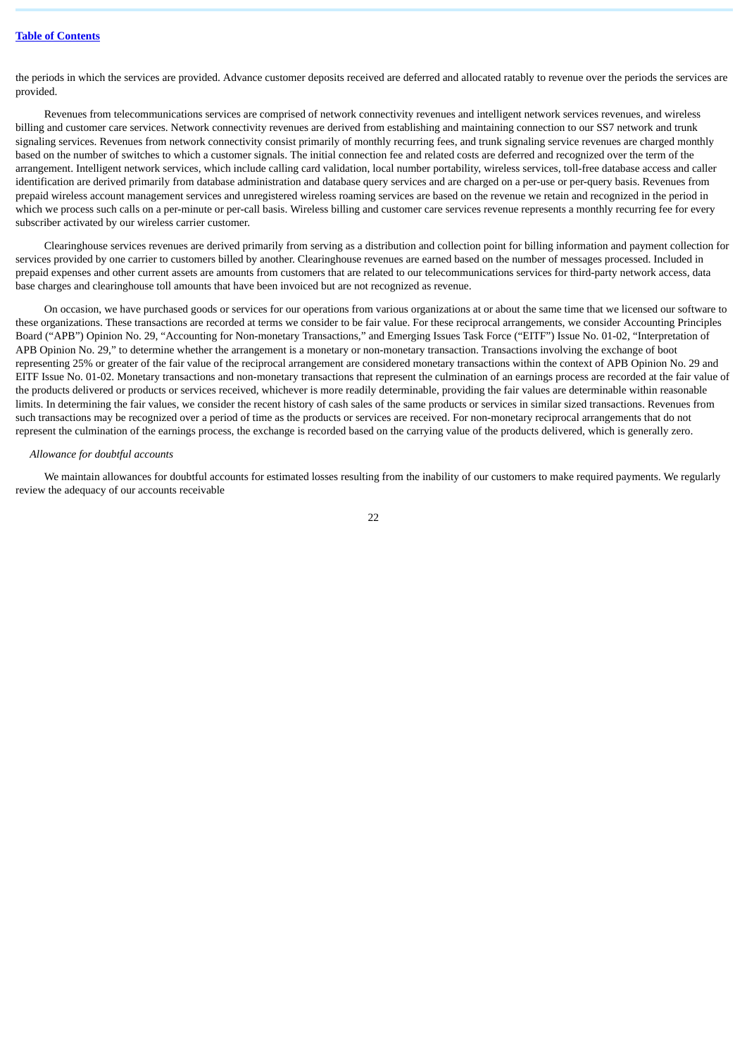the periods in which the services are provided. Advance customer deposits received are deferred and allocated ratably to revenue over the periods the services are provided.

Revenues from telecommunications services are comprised of network connectivity revenues and intelligent network services revenues, and wireless billing and customer care services. Network connectivity revenues are derived from establishing and maintaining connection to our SS7 network and trunk signaling services. Revenues from network connectivity consist primarily of monthly recurring fees, and trunk signaling service revenues are charged monthly based on the number of switches to which a customer signals. The initial connection fee and related costs are deferred and recognized over the term of the arrangement. Intelligent network services, which include calling card validation, local number portability, wireless services, toll-free database access and caller identification are derived primarily from database administration and database query services and are charged on a per-use or per-query basis. Revenues from prepaid wireless account management services and unregistered wireless roaming services are based on the revenue we retain and recognized in the period in which we process such calls on a per-minute or per-call basis. Wireless billing and customer care services revenue represents a monthly recurring fee for every subscriber activated by our wireless carrier customer.

Clearinghouse services revenues are derived primarily from serving as a distribution and collection point for billing information and payment collection for services provided by one carrier to customers billed by another. Clearinghouse revenues are earned based on the number of messages processed. Included in prepaid expenses and other current assets are amounts from customers that are related to our telecommunications services for third-party network access, data base charges and clearinghouse toll amounts that have been invoiced but are not recognized as revenue.

On occasion, we have purchased goods or services for our operations from various organizations at or about the same time that we licensed our software to these organizations. These transactions are recorded at terms we consider to be fair value. For these reciprocal arrangements, we consider Accounting Principles Board ("APB") Opinion No. 29, "Accounting for Non-monetary Transactions," and Emerging Issues Task Force ("EITF") Issue No. 01-02, "Interpretation of APB Opinion No. 29," to determine whether the arrangement is a monetary or non-monetary transaction. Transactions involving the exchange of boot representing 25% or greater of the fair value of the reciprocal arrangement are considered monetary transactions within the context of APB Opinion No. 29 and EITF Issue No. 01-02. Monetary transactions and non-monetary transactions that represent the culmination of an earnings process are recorded at the fair value of the products delivered or products or services received, whichever is more readily determinable, providing the fair values are determinable within reasonable limits. In determining the fair values, we consider the recent history of cash sales of the same products or services in similar sized transactions. Revenues from such transactions may be recognized over a period of time as the products or services are received. For non-monetary reciprocal arrangements that do not represent the culmination of the earnings process, the exchange is recorded based on the carrying value of the products delivered, which is generally zero.

#### *Allowance for doubtful accounts*

We maintain allowances for doubtful accounts for estimated losses resulting from the inability of our customers to make required payments. We regularly review the adequacy of our accounts receivable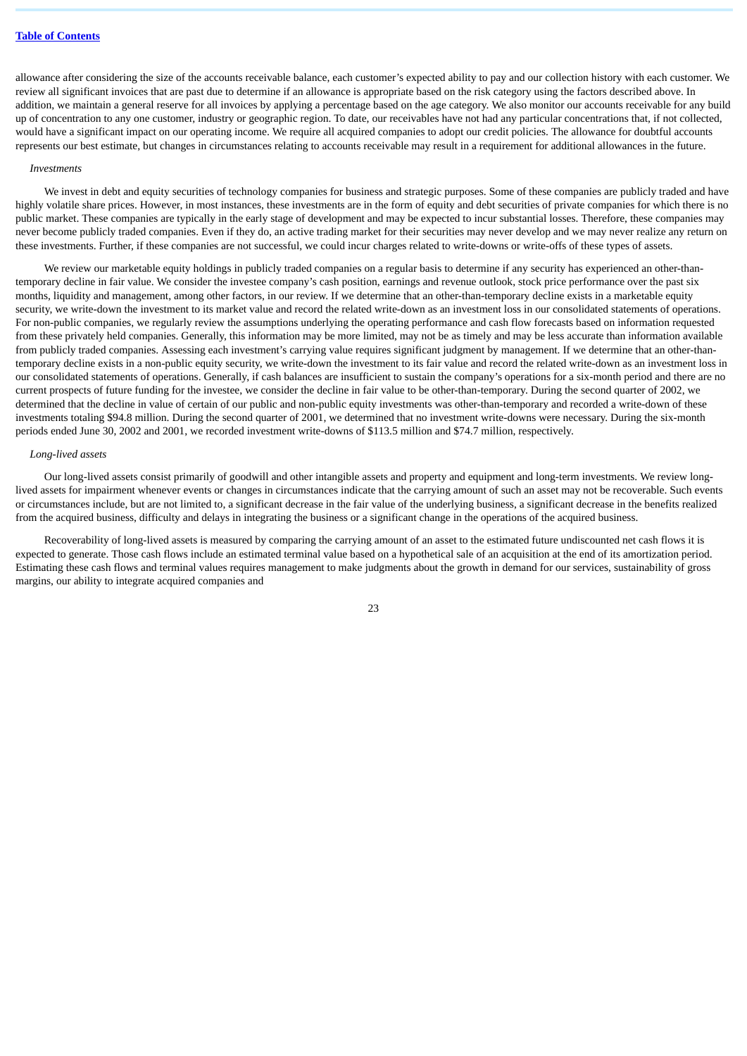allowance after considering the size of the accounts receivable balance, each customer's expected ability to pay and our collection history with each customer. We review all significant invoices that are past due to determine if an allowance is appropriate based on the risk category using the factors described above. In addition, we maintain a general reserve for all invoices by applying a percentage based on the age category. We also monitor our accounts receivable for any build up of concentration to any one customer, industry or geographic region. To date, our receivables have not had any particular concentrations that, if not collected, would have a significant impact on our operating income. We require all acquired companies to adopt our credit policies. The allowance for doubtful accounts represents our best estimate, but changes in circumstances relating to accounts receivable may result in a requirement for additional allowances in the future.

#### *Investments*

We invest in debt and equity securities of technology companies for business and strategic purposes. Some of these companies are publicly traded and have highly volatile share prices. However, in most instances, these investments are in the form of equity and debt securities of private companies for which there is no public market. These companies are typically in the early stage of development and may be expected to incur substantial losses. Therefore, these companies may never become publicly traded companies. Even if they do, an active trading market for their securities may never develop and we may never realize any return on these investments. Further, if these companies are not successful, we could incur charges related to write-downs or write-offs of these types of assets.

We review our marketable equity holdings in publicly traded companies on a regular basis to determine if any security has experienced an other-thantemporary decline in fair value. We consider the investee company's cash position, earnings and revenue outlook, stock price performance over the past six months, liquidity and management, among other factors, in our review. If we determine that an other-than-temporary decline exists in a marketable equity security, we write-down the investment to its market value and record the related write-down as an investment loss in our consolidated statements of operations. For non-public companies, we regularly review the assumptions underlying the operating performance and cash flow forecasts based on information requested from these privately held companies. Generally, this information may be more limited, may not be as timely and may be less accurate than information available from publicly traded companies. Assessing each investment's carrying value requires significant judgment by management. If we determine that an other-thantemporary decline exists in a non-public equity security, we write-down the investment to its fair value and record the related write-down as an investment loss in our consolidated statements of operations. Generally, if cash balances are insufficient to sustain the company's operations for a six-month period and there are no current prospects of future funding for the investee, we consider the decline in fair value to be other-than-temporary. During the second quarter of 2002, we determined that the decline in value of certain of our public and non-public equity investments was other-than-temporary and recorded a write-down of these investments totaling \$94.8 million. During the second quarter of 2001, we determined that no investment write-downs were necessary. During the six-month periods ended June 30, 2002 and 2001, we recorded investment write-downs of \$113.5 million and \$74.7 million, respectively.

#### *Long-lived assets*

Our long-lived assets consist primarily of goodwill and other intangible assets and property and equipment and long-term investments. We review longlived assets for impairment whenever events or changes in circumstances indicate that the carrying amount of such an asset may not be recoverable. Such events or circumstances include, but are not limited to, a significant decrease in the fair value of the underlying business, a significant decrease in the benefits realized from the acquired business, difficulty and delays in integrating the business or a significant change in the operations of the acquired business.

Recoverability of long-lived assets is measured by comparing the carrying amount of an asset to the estimated future undiscounted net cash flows it is expected to generate. Those cash flows include an estimated terminal value based on a hypothetical sale of an acquisition at the end of its amortization period. Estimating these cash flows and terminal values requires management to make judgments about the growth in demand for our services, sustainability of gross margins, our ability to integrate acquired companies and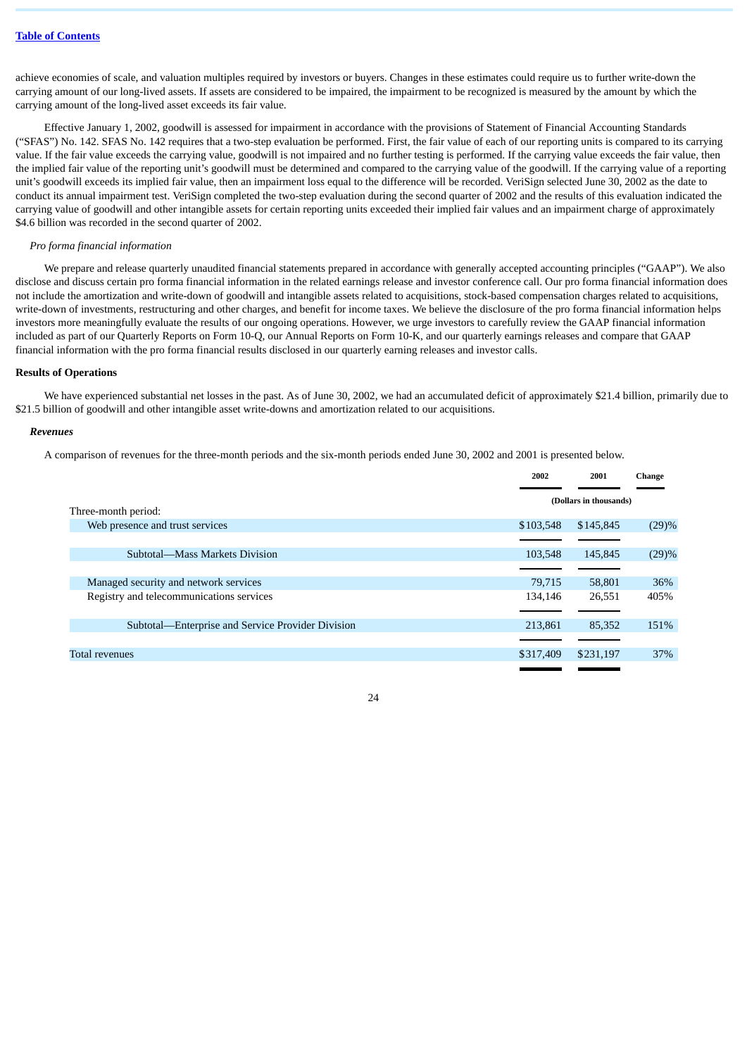achieve economies of scale, and valuation multiples required by investors or buyers. Changes in these estimates could require us to further write-down the carrying amount of our long-lived assets. If assets are considered to be impaired, the impairment to be recognized is measured by the amount by which the carrying amount of the long-lived asset exceeds its fair value.

Effective January 1, 2002, goodwill is assessed for impairment in accordance with the provisions of Statement of Financial Accounting Standards ("SFAS") No. 142. SFAS No. 142 requires that a two-step evaluation be performed. First, the fair value of each of our reporting units is compared to its carrying value. If the fair value exceeds the carrying value, goodwill is not impaired and no further testing is performed. If the carrying value exceeds the fair value, then the implied fair value of the reporting unit's goodwill must be determined and compared to the carrying value of the goodwill. If the carrying value of a reporting unit's goodwill exceeds its implied fair value, then an impairment loss equal to the difference will be recorded. VeriSign selected June 30, 2002 as the date to conduct its annual impairment test. VeriSign completed the two-step evaluation during the second quarter of 2002 and the results of this evaluation indicated the carrying value of goodwill and other intangible assets for certain reporting units exceeded their implied fair values and an impairment charge of approximately \$4.6 billion was recorded in the second quarter of 2002.

### *Pro forma financial information*

We prepare and release quarterly unaudited financial statements prepared in accordance with generally accepted accounting principles ("GAAP"). We also disclose and discuss certain pro forma financial information in the related earnings release and investor conference call. Our pro forma financial information does not include the amortization and write-down of goodwill and intangible assets related to acquisitions, stock-based compensation charges related to acquisitions, write-down of investments, restructuring and other charges, and benefit for income taxes. We believe the disclosure of the pro forma financial information helps investors more meaningfully evaluate the results of our ongoing operations. However, we urge investors to carefully review the GAAP financial information included as part of our Quarterly Reports on Form 10-Q, our Annual Reports on Form 10-K, and our quarterly earnings releases and compare that GAAP financial information with the pro forma financial results disclosed in our quarterly earning releases and investor calls.

### **Results of Operations**

We have experienced substantial net losses in the past. As of June 30, 2002, we had an accumulated deficit of approximately \$21.4 billion, primarily due to \$21.5 billion of goodwill and other intangible asset write-downs and amortization related to our acquisitions.

#### *Revenues*

A comparison of revenues for the three-month periods and the six-month periods ended June 30, 2002 and 2001 is presented below.

|                                                   | 2002      | 2001                   | Change |
|---------------------------------------------------|-----------|------------------------|--------|
|                                                   |           | (Dollars in thousands) |        |
| Three-month period:                               |           |                        |        |
| Web presence and trust services                   | \$103,548 | \$145,845              | (29)%  |
|                                                   |           |                        |        |
| Subtotal—Mass Markets Division                    | 103.548   | 145,845                | (29)%  |
|                                                   |           |                        |        |
| Managed security and network services             | 79,715    | 58,801                 | 36%    |
| Registry and telecommunications services          | 134,146   | 26,551                 | 405%   |
|                                                   |           |                        |        |
| Subtotal—Enterprise and Service Provider Division | 213,861   | 85,352                 | 151%   |
|                                                   |           |                        |        |
| Total revenues                                    | \$317,409 | \$231,197              | 37%    |
|                                                   |           |                        |        |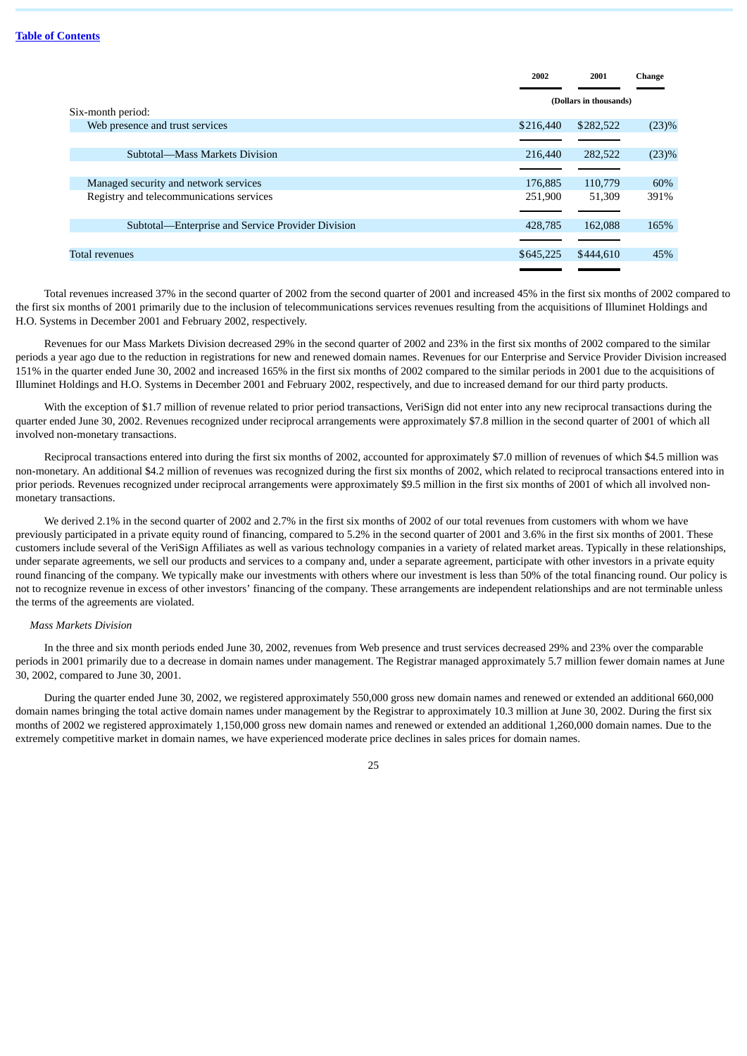|                                                      | 2002      | 2001                   | Change   |
|------------------------------------------------------|-----------|------------------------|----------|
|                                                      |           | (Dollars in thousands) |          |
| Six-month period:<br>Web presence and trust services | \$216,440 | \$282,522              | (23)%    |
|                                                      |           |                        |          |
| Subtotal—Mass Markets Division                       | 216,440   | 282,522                | $(23)\%$ |
|                                                      |           |                        |          |
| Managed security and network services                | 176,885   | 110,779                | 60%      |
| Registry and telecommunications services             | 251,900   | 51,309                 | 391%     |
|                                                      |           |                        |          |
| Subtotal—Enterprise and Service Provider Division    | 428.785   | 162,088                | 165%     |
|                                                      |           |                        |          |
| Total revenues                                       | \$645,225 | \$444,610              | 45%      |
|                                                      |           |                        |          |

Total revenues increased 37% in the second quarter of 2002 from the second quarter of 2001 and increased 45% in the first six months of 2002 compared to the first six months of 2001 primarily due to the inclusion of telecommunications services revenues resulting from the acquisitions of Illuminet Holdings and H.O. Systems in December 2001 and February 2002, respectively.

Revenues for our Mass Markets Division decreased 29% in the second quarter of 2002 and 23% in the first six months of 2002 compared to the similar periods a year ago due to the reduction in registrations for new and renewed domain names. Revenues for our Enterprise and Service Provider Division increased 151% in the quarter ended June 30, 2002 and increased 165% in the first six months of 2002 compared to the similar periods in 2001 due to the acquisitions of Illuminet Holdings and H.O. Systems in December 2001 and February 2002, respectively, and due to increased demand for our third party products.

With the exception of \$1.7 million of revenue related to prior period transactions, VeriSign did not enter into any new reciprocal transactions during the quarter ended June 30, 2002. Revenues recognized under reciprocal arrangements were approximately \$7.8 million in the second quarter of 2001 of which all involved non-monetary transactions.

Reciprocal transactions entered into during the first six months of 2002, accounted for approximately \$7.0 million of revenues of which \$4.5 million was non-monetary. An additional \$4.2 million of revenues was recognized during the first six months of 2002, which related to reciprocal transactions entered into in prior periods. Revenues recognized under reciprocal arrangements were approximately \$9.5 million in the first six months of 2001 of which all involved nonmonetary transactions.

We derived 2.1% in the second quarter of 2002 and 2.7% in the first six months of 2002 of our total revenues from customers with whom we have previously participated in a private equity round of financing, compared to 5.2% in the second quarter of 2001 and 3.6% in the first six months of 2001. These customers include several of the VeriSign Affiliates as well as various technology companies in a variety of related market areas. Typically in these relationships, under separate agreements, we sell our products and services to a company and, under a separate agreement, participate with other investors in a private equity round financing of the company. We typically make our investments with others where our investment is less than 50% of the total financing round. Our policy is not to recognize revenue in excess of other investors' financing of the company. These arrangements are independent relationships and are not terminable unless the terms of the agreements are violated.

### *Mass Markets Division*

In the three and six month periods ended June 30, 2002, revenues from Web presence and trust services decreased 29% and 23% over the comparable periods in 2001 primarily due to a decrease in domain names under management. The Registrar managed approximately 5.7 million fewer domain names at June 30, 2002, compared to June 30, 2001.

During the quarter ended June 30, 2002, we registered approximately 550,000 gross new domain names and renewed or extended an additional 660,000 domain names bringing the total active domain names under management by the Registrar to approximately 10.3 million at June 30, 2002. During the first six months of 2002 we registered approximately 1,150,000 gross new domain names and renewed or extended an additional 1,260,000 domain names. Due to the extremely competitive market in domain names, we have experienced moderate price declines in sales prices for domain names.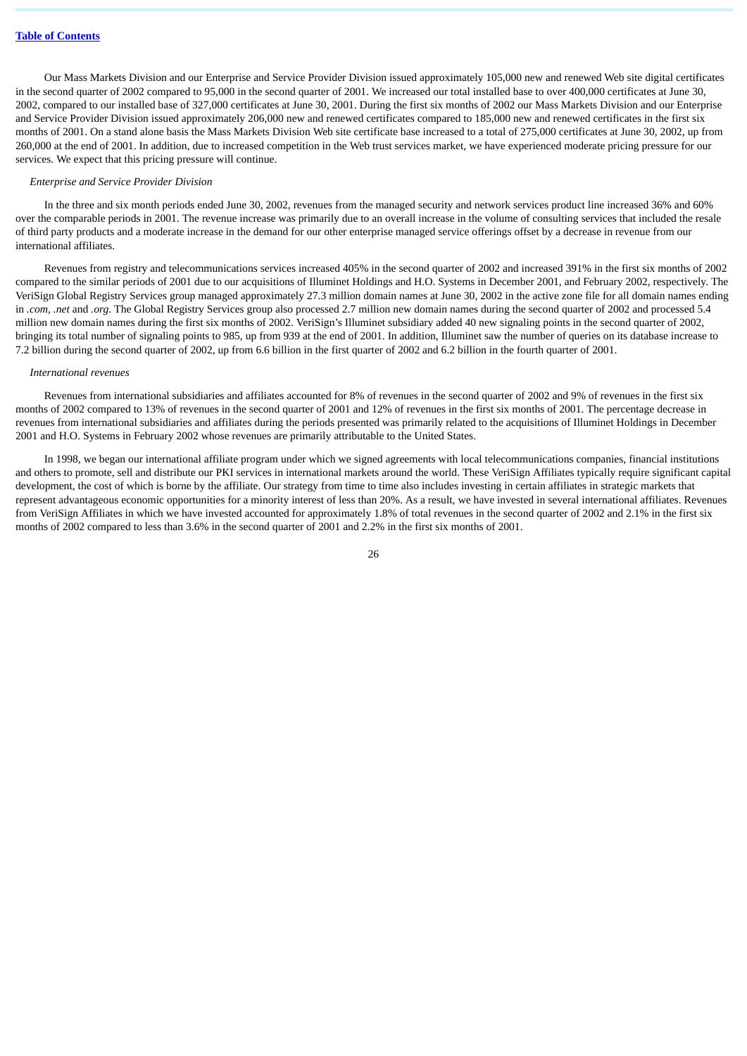Our Mass Markets Division and our Enterprise and Service Provider Division issued approximately 105,000 new and renewed Web site digital certificates in the second quarter of 2002 compared to 95,000 in the second quarter of 2001. We increased our total installed base to over 400,000 certificates at June 30, 2002, compared to our installed base of 327,000 certificates at June 30, 2001. During the first six months of 2002 our Mass Markets Division and our Enterprise and Service Provider Division issued approximately 206,000 new and renewed certificates compared to 185,000 new and renewed certificates in the first six months of 2001. On a stand alone basis the Mass Markets Division Web site certificate base increased to a total of 275,000 certificates at June 30, 2002, up from 260,000 at the end of 2001. In addition, due to increased competition in the Web trust services market, we have experienced moderate pricing pressure for our services. We expect that this pricing pressure will continue.

#### *Enterprise and Service Provider Division*

In the three and six month periods ended June 30, 2002, revenues from the managed security and network services product line increased 36% and 60% over the comparable periods in 2001. The revenue increase was primarily due to an overall increase in the volume of consulting services that included the resale of third party products and a moderate increase in the demand for our other enterprise managed service offerings offset by a decrease in revenue from our international affiliates.

Revenues from registry and telecommunications services increased 405% in the second quarter of 2002 and increased 391% in the first six months of 2002 compared to the similar periods of 2001 due to our acquisitions of Illuminet Holdings and H.O. Systems in December 2001, and February 2002, respectively. The VeriSign Global Registry Services group managed approximately 27.3 million domain names at June 30, 2002 in the active zone file for all domain names ending in *.com*, *.net* and *.org*. The Global Registry Services group also processed 2.7 million new domain names during the second quarter of 2002 and processed 5.4 million new domain names during the first six months of 2002. VeriSign's Illuminet subsidiary added 40 new signaling points in the second quarter of 2002, bringing its total number of signaling points to 985, up from 939 at the end of 2001. In addition, Illuminet saw the number of queries on its database increase to 7.2 billion during the second quarter of 2002, up from 6.6 billion in the first quarter of 2002 and 6.2 billion in the fourth quarter of 2001.

#### *International revenues*

Revenues from international subsidiaries and affiliates accounted for 8% of revenues in the second quarter of 2002 and 9% of revenues in the first six months of 2002 compared to 13% of revenues in the second quarter of 2001 and 12% of revenues in the first six months of 2001. The percentage decrease in revenues from international subsidiaries and affiliates during the periods presented was primarily related to the acquisitions of Illuminet Holdings in December 2001 and H.O. Systems in February 2002 whose revenues are primarily attributable to the United States.

In 1998, we began our international affiliate program under which we signed agreements with local telecommunications companies, financial institutions and others to promote, sell and distribute our PKI services in international markets around the world. These VeriSign Affiliates typically require significant capital development, the cost of which is borne by the affiliate. Our strategy from time to time also includes investing in certain affiliates in strategic markets that represent advantageous economic opportunities for a minority interest of less than 20%. As a result, we have invested in several international affiliates. Revenues from VeriSign Affiliates in which we have invested accounted for approximately 1.8% of total revenues in the second quarter of 2002 and 2.1% in the first six months of 2002 compared to less than 3.6% in the second quarter of 2001 and 2.2% in the first six months of 2001.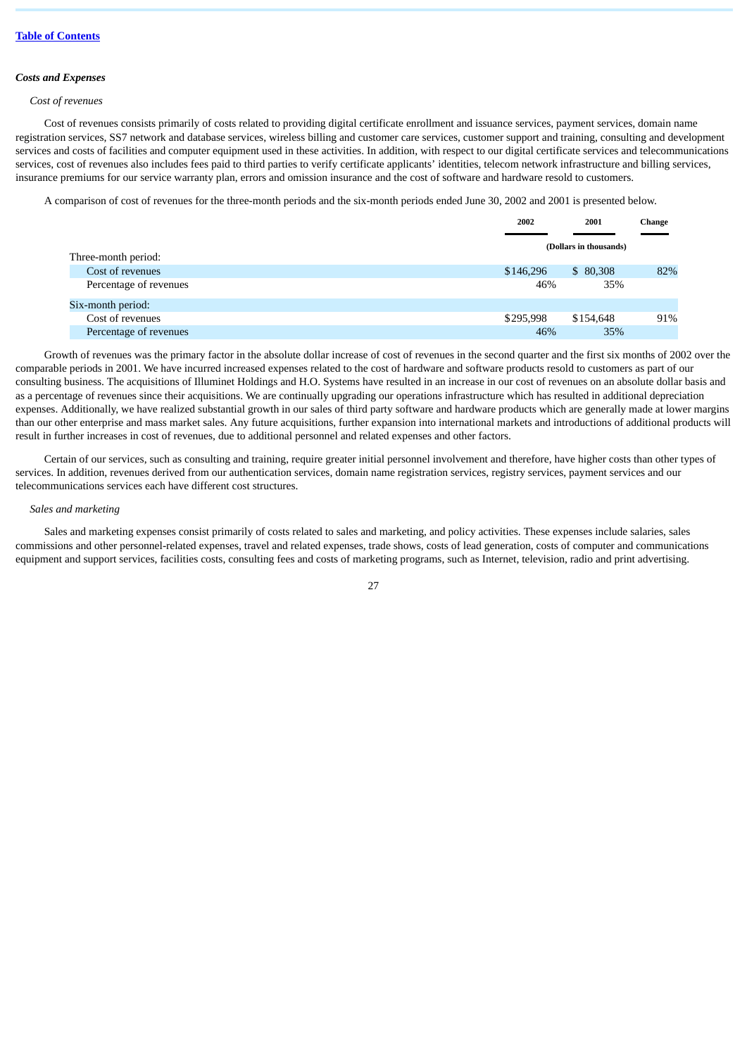### *Costs and Expenses*

### *Cost of revenues*

Cost of revenues consists primarily of costs related to providing digital certificate enrollment and issuance services, payment services, domain name registration services, SS7 network and database services, wireless billing and customer care services, customer support and training, consulting and development services and costs of facilities and computer equipment used in these activities. In addition, with respect to our digital certificate services and telecommunications services, cost of revenues also includes fees paid to third parties to verify certificate applicants' identities, telecom network infrastructure and billing services, insurance premiums for our service warranty plan, errors and omission insurance and the cost of software and hardware resold to customers.

A comparison of cost of revenues for the three-month periods and the six-month periods ended June 30, 2002 and 2001 is presented below.

|                        | 2002      | 2001                   | Change |
|------------------------|-----------|------------------------|--------|
| Three-month period:    |           | (Dollars in thousands) |        |
| Cost of revenues       | \$146,296 | \$80,308               | 82%    |
| Percentage of revenues | 46%       | 35%                    |        |
| Six-month period:      |           |                        |        |
| Cost of revenues       | \$295,998 | \$154,648              | 91%    |
| Percentage of revenues | 46%       | 35%                    |        |

Growth of revenues was the primary factor in the absolute dollar increase of cost of revenues in the second quarter and the first six months of 2002 over the comparable periods in 2001. We have incurred increased expenses related to the cost of hardware and software products resold to customers as part of our consulting business. The acquisitions of Illuminet Holdings and H.O. Systems have resulted in an increase in our cost of revenues on an absolute dollar basis and as a percentage of revenues since their acquisitions. We are continually upgrading our operations infrastructure which has resulted in additional depreciation expenses. Additionally, we have realized substantial growth in our sales of third party software and hardware products which are generally made at lower margins than our other enterprise and mass market sales. Any future acquisitions, further expansion into international markets and introductions of additional products will result in further increases in cost of revenues, due to additional personnel and related expenses and other factors.

Certain of our services, such as consulting and training, require greater initial personnel involvement and therefore, have higher costs than other types of services. In addition, revenues derived from our authentication services, domain name registration services, registry services, payment services and our telecommunications services each have different cost structures.

### *Sales and marketing*

Sales and marketing expenses consist primarily of costs related to sales and marketing, and policy activities. These expenses include salaries, sales commissions and other personnel-related expenses, travel and related expenses, trade shows, costs of lead generation, costs of computer and communications equipment and support services, facilities costs, consulting fees and costs of marketing programs, such as Internet, television, radio and print advertising.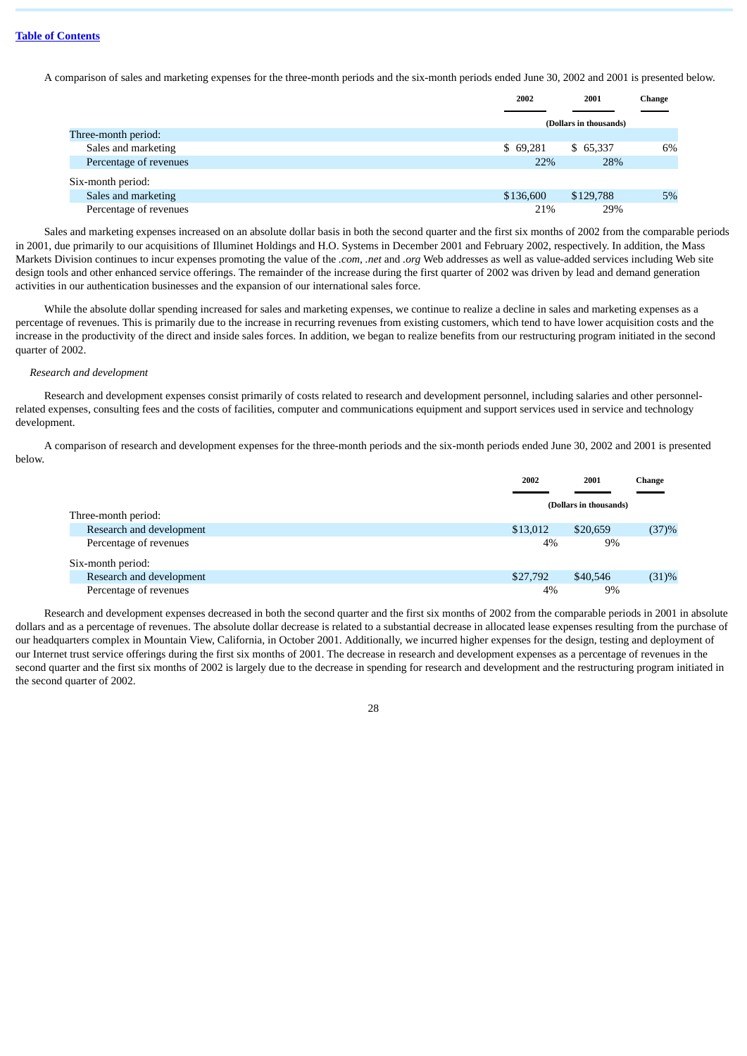A comparison of sales and marketing expenses for the three-month periods and the six-month periods ended June 30, 2002 and 2001 is presented below.

|                        | 2002      | 2001                   | Change |
|------------------------|-----------|------------------------|--------|
|                        |           | (Dollars in thousands) |        |
| Three-month period:    |           |                        |        |
| Sales and marketing    | \$69,281  | \$ 65,337              | 6%     |
| Percentage of revenues | 22%       | 28%                    |        |
| Six-month period:      |           |                        |        |
| Sales and marketing    | \$136,600 | \$129,788              | 5%     |
| Percentage of revenues | 21%       | 29%                    |        |

Sales and marketing expenses increased on an absolute dollar basis in both the second quarter and the first six months of 2002 from the comparable periods in 2001, due primarily to our acquisitions of Illuminet Holdings and H.O. Systems in December 2001 and February 2002, respectively. In addition, the Mass Markets Division continues to incur expenses promoting the value of the *.com*, *.net* and *.org* Web addresses as well as value-added services including Web site design tools and other enhanced service offerings. The remainder of the increase during the first quarter of 2002 was driven by lead and demand generation activities in our authentication businesses and the expansion of our international sales force.

While the absolute dollar spending increased for sales and marketing expenses, we continue to realize a decline in sales and marketing expenses as a percentage of revenues. This is primarily due to the increase in recurring revenues from existing customers, which tend to have lower acquisition costs and the increase in the productivity of the direct and inside sales forces. In addition, we began to realize benefits from our restructuring program initiated in the second quarter of 2002.

### *Research and development*

Research and development expenses consist primarily of costs related to research and development personnel, including salaries and other personnelrelated expenses, consulting fees and the costs of facilities, computer and communications equipment and support services used in service and technology development.

A comparison of research and development expenses for the three-month periods and the six-month periods ended June 30, 2002 and 2001 is presented below.

|                          | 2002     | 2001                   | Change |
|--------------------------|----------|------------------------|--------|
| Three-month period:      |          | (Dollars in thousands) |        |
| Research and development | \$13,012 | \$20,659               | (37)%  |
| Percentage of revenues   | 4%       | 9%                     |        |
| Six-month period:        |          |                        |        |
| Research and development | \$27,792 | \$40,546               | (31)%  |
| Percentage of revenues   | 4%       | 9%                     |        |

Research and development expenses decreased in both the second quarter and the first six months of 2002 from the comparable periods in 2001 in absolute dollars and as a percentage of revenues. The absolute dollar decrease is related to a substantial decrease in allocated lease expenses resulting from the purchase of our headquarters complex in Mountain View, California, in October 2001. Additionally, we incurred higher expenses for the design, testing and deployment of our Internet trust service offerings during the first six months of 2001. The decrease in research and development expenses as a percentage of revenues in the second quarter and the first six months of 2002 is largely due to the decrease in spending for research and development and the restructuring program initiated in the second quarter of 2002.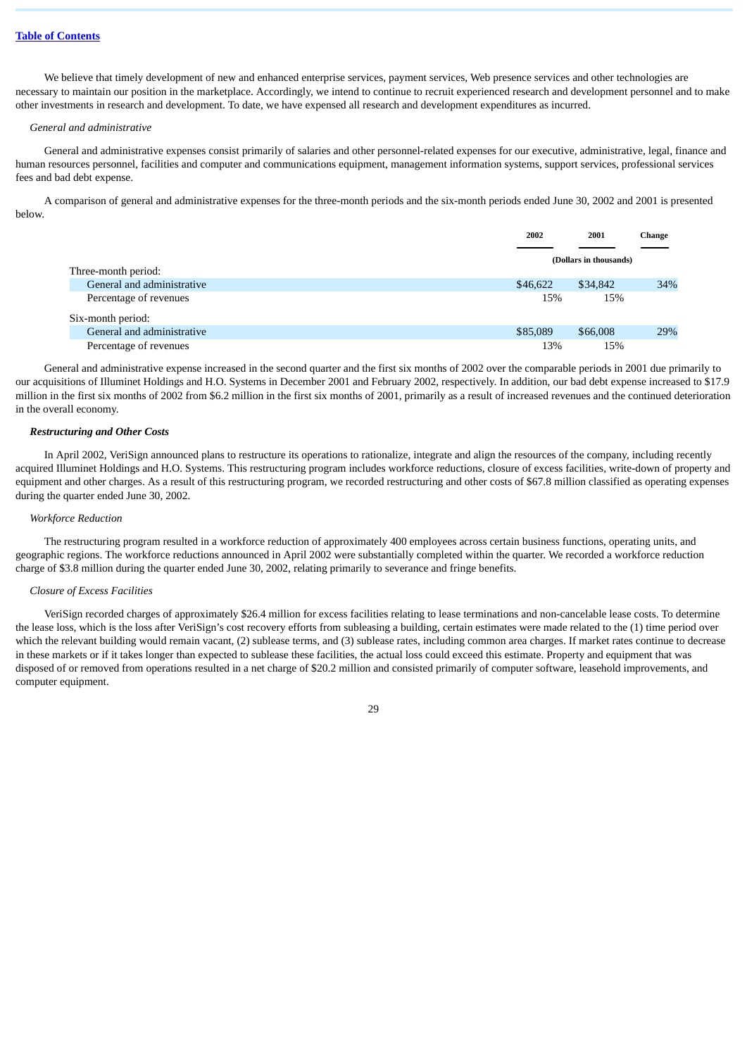We believe that timely development of new and enhanced enterprise services, payment services, Web presence services and other technologies are necessary to maintain our position in the marketplace. Accordingly, we intend to continue to recruit experienced research and development personnel and to make other investments in research and development. To date, we have expensed all research and development expenditures as incurred.

### *General and administrative*

General and administrative expenses consist primarily of salaries and other personnel-related expenses for our executive, administrative, legal, finance and human resources personnel, facilities and computer and communications equipment, management information systems, support services, professional services fees and bad debt expense.

A comparison of general and administrative expenses for the three-month periods and the six-month periods ended June 30, 2002 and 2001 is presented below.

|                                             | 2002     | 2001                   | Change |
|---------------------------------------------|----------|------------------------|--------|
| Three-month period:                         |          | (Dollars in thousands) |        |
| General and administrative                  | \$46,622 | \$34,842               | 34%    |
| Percentage of revenues<br>Six-month period: | 15%      | 15%                    |        |
| General and administrative                  | \$85,089 | \$66,008               | 29%    |
| Percentage of revenues                      | 13%      | 15%                    |        |

General and administrative expense increased in the second quarter and the first six months of 2002 over the comparable periods in 2001 due primarily to our acquisitions of Illuminet Holdings and H.O. Systems in December 2001 and February 2002, respectively. In addition, our bad debt expense increased to \$17.9 million in the first six months of 2002 from \$6.2 million in the first six months of 2001, primarily as a result of increased revenues and the continued deterioration in the overall economy.

# *Restructuring and Other Costs*

In April 2002, VeriSign announced plans to restructure its operations to rationalize, integrate and align the resources of the company, including recently acquired Illuminet Holdings and H.O. Systems. This restructuring program includes workforce reductions, closure of excess facilities, write-down of property and equipment and other charges. As a result of this restructuring program, we recorded restructuring and other costs of \$67.8 million classified as operating expenses during the quarter ended June 30, 2002.

# *Workforce Reduction*

The restructuring program resulted in a workforce reduction of approximately 400 employees across certain business functions, operating units, and geographic regions. The workforce reductions announced in April 2002 were substantially completed within the quarter. We recorded a workforce reduction charge of \$3.8 million during the quarter ended June 30, 2002, relating primarily to severance and fringe benefits.

### *Closure of Excess Facilities*

VeriSign recorded charges of approximately \$26.4 million for excess facilities relating to lease terminations and non-cancelable lease costs. To determine the lease loss, which is the loss after VeriSign's cost recovery efforts from subleasing a building, certain estimates were made related to the (1) time period over which the relevant building would remain vacant, (2) sublease terms, and (3) sublease rates, including common area charges. If market rates continue to decrease in these markets or if it takes longer than expected to sublease these facilities, the actual loss could exceed this estimate. Property and equipment that was disposed of or removed from operations resulted in a net charge of \$20.2 million and consisted primarily of computer software, leasehold improvements, and computer equipment.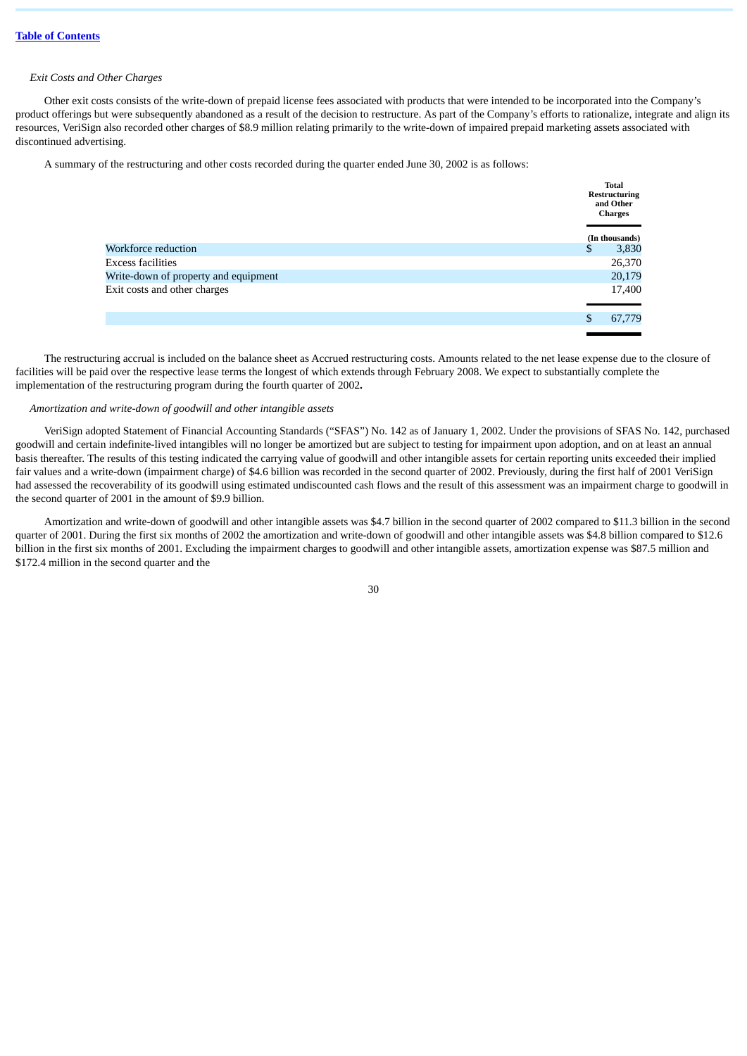# *Exit Costs and Other Charges*

Other exit costs consists of the write-down of prepaid license fees associated with products that were intended to be incorporated into the Company's product offerings but were subsequently abandoned as a result of the decision to restructure. As part of the Company's efforts to rationalize, integrate and align its resources, VeriSign also recorded other charges of \$8.9 million relating primarily to the write-down of impaired prepaid marketing assets associated with discontinued advertising.

A summary of the restructuring and other costs recorded during the quarter ended June 30, 2002 is as follows:

|                                      |   | <b>Total</b><br><b>Restructuring</b><br>and Other<br><b>Charges</b> |  |
|--------------------------------------|---|---------------------------------------------------------------------|--|
|                                      |   | (In thousands)                                                      |  |
| Workforce reduction                  | ъ | 3,830                                                               |  |
| Excess facilities                    |   | 26,370                                                              |  |
| Write-down of property and equipment |   | 20,179                                                              |  |
| Exit costs and other charges         |   | 17,400                                                              |  |
|                                      |   | 67,779                                                              |  |

The restructuring accrual is included on the balance sheet as Accrued restructuring costs. Amounts related to the net lease expense due to the closure of facilities will be paid over the respective lease terms the longest of which extends through February 2008. We expect to substantially complete the implementation of the restructuring program during the fourth quarter of 2002**.**

# *Amortization and write-down of goodwill and other intangible assets*

VeriSign adopted Statement of Financial Accounting Standards ("SFAS") No. 142 as of January 1, 2002. Under the provisions of SFAS No. 142, purchased goodwill and certain indefinite-lived intangibles will no longer be amortized but are subject to testing for impairment upon adoption, and on at least an annual basis thereafter. The results of this testing indicated the carrying value of goodwill and other intangible assets for certain reporting units exceeded their implied fair values and a write-down (impairment charge) of \$4.6 billion was recorded in the second quarter of 2002. Previously, during the first half of 2001 VeriSign had assessed the recoverability of its goodwill using estimated undiscounted cash flows and the result of this assessment was an impairment charge to goodwill in the second quarter of 2001 in the amount of \$9.9 billion.

Amortization and write-down of goodwill and other intangible assets was \$4.7 billion in the second quarter of 2002 compared to \$11.3 billion in the second quarter of 2001. During the first six months of 2002 the amortization and write-down of goodwill and other intangible assets was \$4.8 billion compared to \$12.6 billion in the first six months of 2001. Excluding the impairment charges to goodwill and other intangible assets, amortization expense was \$87.5 million and \$172.4 million in the second quarter and the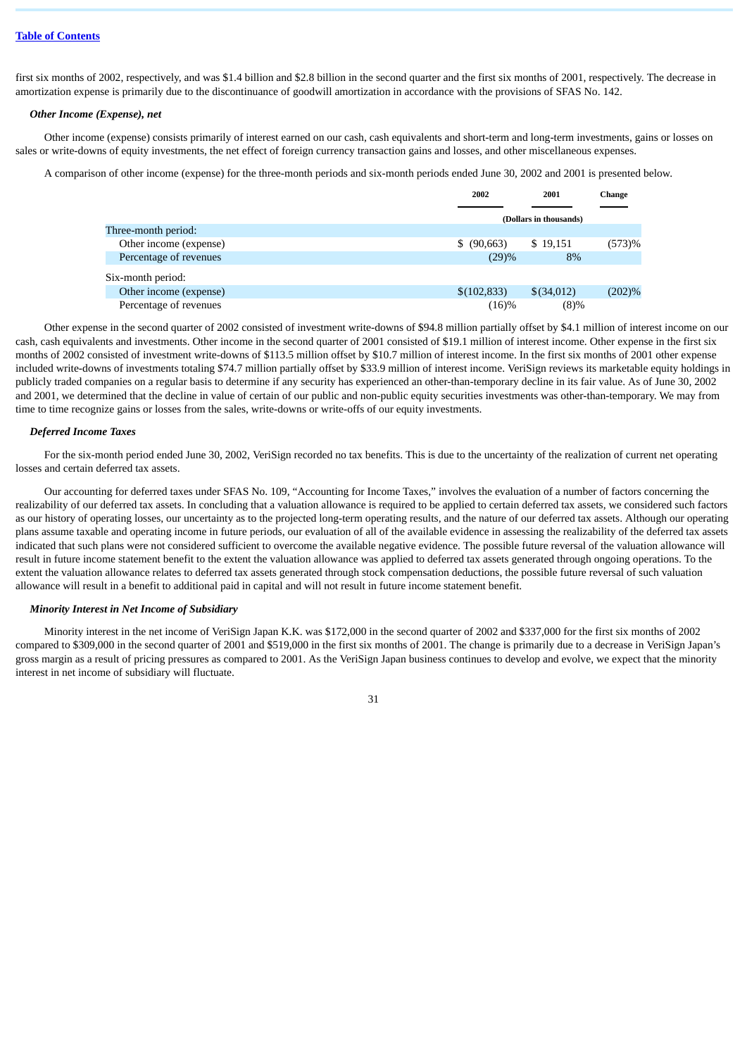first six months of 2002, respectively, and was \$1.4 billion and \$2.8 billion in the second quarter and the first six months of 2001, respectively. The decrease in amortization expense is primarily due to the discontinuance of goodwill amortization in accordance with the provisions of SFAS No. 142.

### *Other Income (Expense), net*

Other income (expense) consists primarily of interest earned on our cash, cash equivalents and short-term and long-term investments, gains or losses on sales or write-downs of equity investments, the net effect of foreign currency transaction gains and losses, and other miscellaneous expenses.

A comparison of other income (expense) for the three-month periods and six-month periods ended June 30, 2002 and 2001 is presented below.

|                        | 2002           | 2001                   | Change    |  |
|------------------------|----------------|------------------------|-----------|--|
|                        |                |                        |           |  |
|                        |                | (Dollars in thousands) |           |  |
| Three-month period:    |                |                        |           |  |
| Other income (expense) | $$^{(90,663)}$ | \$19,151               | (573)%    |  |
| Percentage of revenues | (29)%          | 8%                     |           |  |
| Six-month period:      |                |                        |           |  |
| Other income (expense) | \$(102,833)    | \$(34,012)             | $(202)\%$ |  |
| Percentage of revenues | (16)%          | $(8)\%$                |           |  |

Other expense in the second quarter of 2002 consisted of investment write-downs of \$94.8 million partially offset by \$4.1 million of interest income on our cash, cash equivalents and investments. Other income in the second quarter of 2001 consisted of \$19.1 million of interest income. Other expense in the first six months of 2002 consisted of investment write-downs of \$113.5 million offset by \$10.7 million of interest income. In the first six months of 2001 other expense included write-downs of investments totaling \$74.7 million partially offset by \$33.9 million of interest income. VeriSign reviews its marketable equity holdings in publicly traded companies on a regular basis to determine if any security has experienced an other-than-temporary decline in its fair value. As of June 30, 2002 and 2001, we determined that the decline in value of certain of our public and non-public equity securities investments was other-than-temporary. We may from time to time recognize gains or losses from the sales, write-downs or write-offs of our equity investments.

### *Deferred Income Taxes*

For the six-month period ended June 30, 2002, VeriSign recorded no tax benefits. This is due to the uncertainty of the realization of current net operating losses and certain deferred tax assets.

Our accounting for deferred taxes under SFAS No. 109, "Accounting for Income Taxes," involves the evaluation of a number of factors concerning the realizability of our deferred tax assets. In concluding that a valuation allowance is required to be applied to certain deferred tax assets, we considered such factors as our history of operating losses, our uncertainty as to the projected long-term operating results, and the nature of our deferred tax assets. Although our operating plans assume taxable and operating income in future periods, our evaluation of all of the available evidence in assessing the realizability of the deferred tax assets indicated that such plans were not considered sufficient to overcome the available negative evidence. The possible future reversal of the valuation allowance will result in future income statement benefit to the extent the valuation allowance was applied to deferred tax assets generated through ongoing operations. To the extent the valuation allowance relates to deferred tax assets generated through stock compensation deductions, the possible future reversal of such valuation allowance will result in a benefit to additional paid in capital and will not result in future income statement benefit.

# *Minority Interest in Net Income of Subsidiary*

Minority interest in the net income of VeriSign Japan K.K. was \$172,000 in the second quarter of 2002 and \$337,000 for the first six months of 2002 compared to \$309,000 in the second quarter of 2001 and \$519,000 in the first six months of 2001. The change is primarily due to a decrease in VeriSign Japan's gross margin as a result of pricing pressures as compared to 2001. As the VeriSign Japan business continues to develop and evolve, we expect that the minority interest in net income of subsidiary will fluctuate.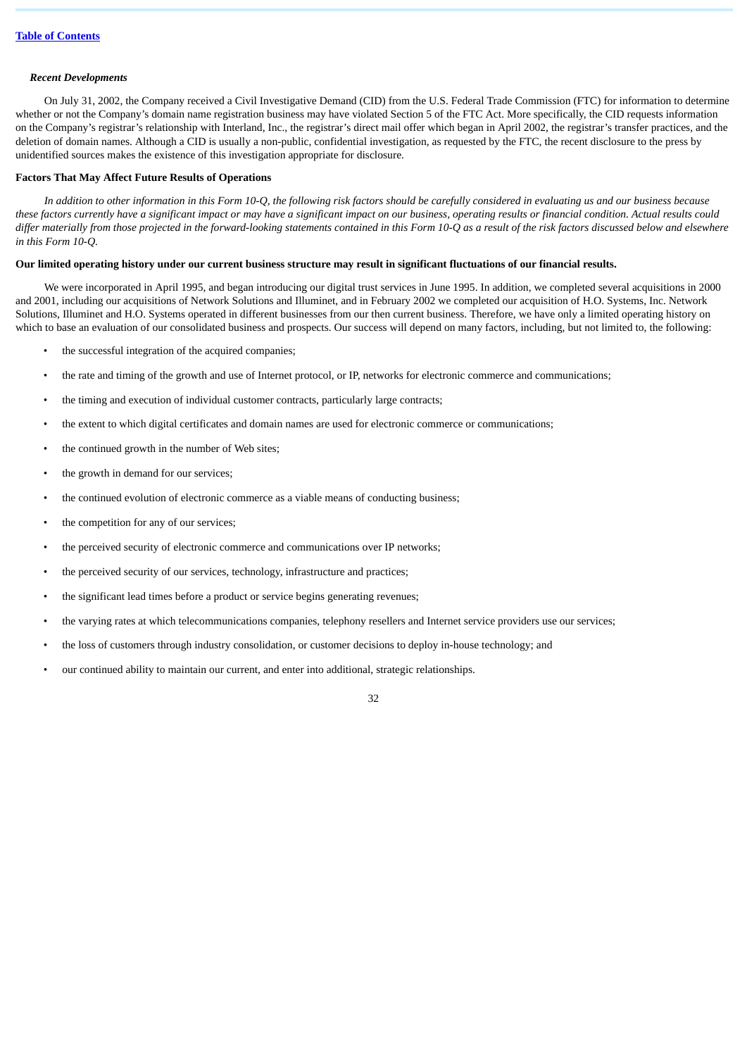### *Recent Developments*

On July 31, 2002, the Company received a Civil Investigative Demand (CID) from the U.S. Federal Trade Commission (FTC) for information to determine whether or not the Company's domain name registration business may have violated Section 5 of the FTC Act. More specifically, the CID requests information on the Company's registrar's relationship with Interland, Inc., the registrar's direct mail offer which began in April 2002, the registrar's transfer practices, and the deletion of domain names. Although a CID is usually a non-public, confidential investigation, as requested by the FTC, the recent disclosure to the press by unidentified sources makes the existence of this investigation appropriate for disclosure.

### **Factors That May Affect Future Results of Operations**

*In addition to other information in this Form 10-Q, the following risk factors should be carefully considered in evaluating us and our business because these factors currently have a significant impact or may have a significant impact on our business, operating results or financial condition. Actual results could differ materially from those projected in the forward-looking statements contained in this Form 10-Q as a result of the risk factors discussed below and elsewhere in this Form 10-Q.*

### **Our limited operating history under our current business structure may result in significant fluctuations of our financial results.**

We were incorporated in April 1995, and began introducing our digital trust services in June 1995. In addition, we completed several acquisitions in 2000 and 2001, including our acquisitions of Network Solutions and Illuminet, and in February 2002 we completed our acquisition of H.O. Systems, Inc. Network Solutions, Illuminet and H.O. Systems operated in different businesses from our then current business. Therefore, we have only a limited operating history on which to base an evaluation of our consolidated business and prospects. Our success will depend on many factors, including, but not limited to, the following:

- the successful integration of the acquired companies;
- the rate and timing of the growth and use of Internet protocol, or IP, networks for electronic commerce and communications;
- the timing and execution of individual customer contracts, particularly large contracts;
- the extent to which digital certificates and domain names are used for electronic commerce or communications;
- the continued growth in the number of Web sites:
- the growth in demand for our services;
- the continued evolution of electronic commerce as a viable means of conducting business;
- the competition for any of our services;
- the perceived security of electronic commerce and communications over IP networks;
- the perceived security of our services, technology, infrastructure and practices;
- the significant lead times before a product or service begins generating revenues;
- the varying rates at which telecommunications companies, telephony resellers and Internet service providers use our services;
- the loss of customers through industry consolidation, or customer decisions to deploy in-house technology; and
- our continued ability to maintain our current, and enter into additional, strategic relationships.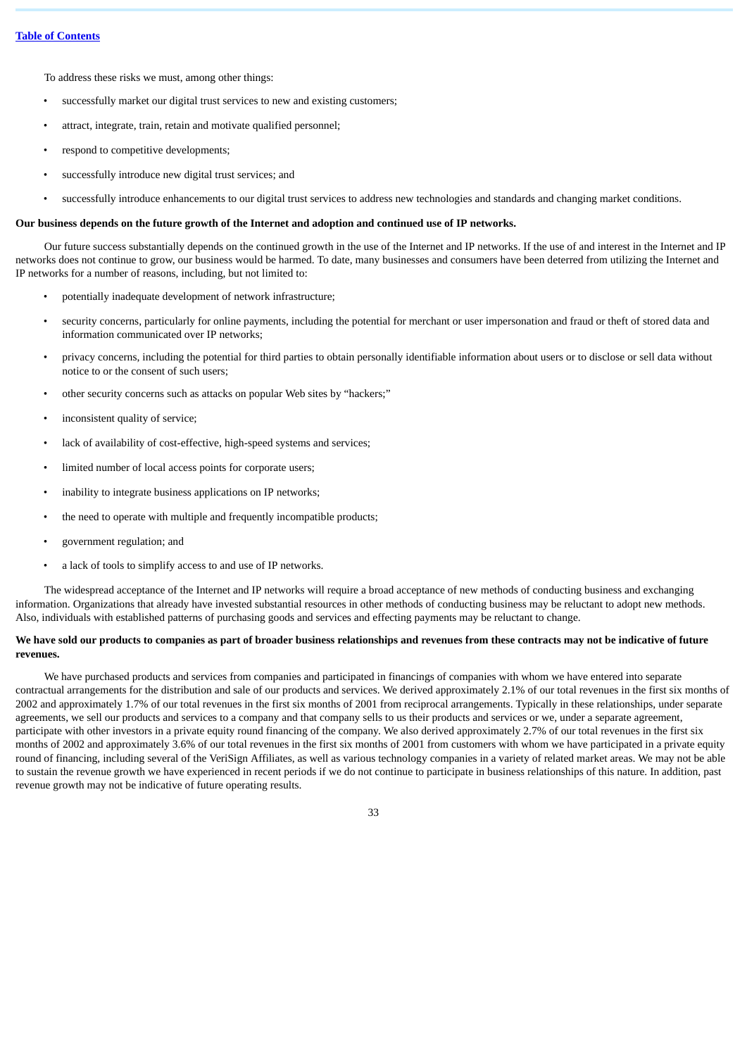To address these risks we must, among other things:

- successfully market our digital trust services to new and existing customers;
- attract, integrate, train, retain and motivate qualified personnel;
- respond to competitive developments;
- successfully introduce new digital trust services; and
- successfully introduce enhancements to our digital trust services to address new technologies and standards and changing market conditions.

### **Our business depends on the future growth of the Internet and adoption and continued use of IP networks.**

Our future success substantially depends on the continued growth in the use of the Internet and IP networks. If the use of and interest in the Internet and IP networks does not continue to grow, our business would be harmed. To date, many businesses and consumers have been deterred from utilizing the Internet and IP networks for a number of reasons, including, but not limited to:

- potentially inadequate development of network infrastructure;
- security concerns, particularly for online payments, including the potential for merchant or user impersonation and fraud or theft of stored data and information communicated over IP networks;
- privacy concerns, including the potential for third parties to obtain personally identifiable information about users or to disclose or sell data without notice to or the consent of such users;
- other security concerns such as attacks on popular Web sites by "hackers;"
- inconsistent quality of service;
- lack of availability of cost-effective, high-speed systems and services;
- limited number of local access points for corporate users;
- inability to integrate business applications on IP networks;
- the need to operate with multiple and frequently incompatible products;
- government regulation; and
- a lack of tools to simplify access to and use of IP networks.

The widespread acceptance of the Internet and IP networks will require a broad acceptance of new methods of conducting business and exchanging information. Organizations that already have invested substantial resources in other methods of conducting business may be reluctant to adopt new methods. Also, individuals with established patterns of purchasing goods and services and effecting payments may be reluctant to change.

# **We have sold our products to companies as part of broader business relationships and revenues from these contracts may not be indicative of future revenues.**

We have purchased products and services from companies and participated in financings of companies with whom we have entered into separate contractual arrangements for the distribution and sale of our products and services. We derived approximately 2.1% of our total revenues in the first six months of 2002 and approximately 1.7% of our total revenues in the first six months of 2001 from reciprocal arrangements. Typically in these relationships, under separate agreements, we sell our products and services to a company and that company sells to us their products and services or we, under a separate agreement, participate with other investors in a private equity round financing of the company. We also derived approximately 2.7% of our total revenues in the first six months of 2002 and approximately 3.6% of our total revenues in the first six months of 2001 from customers with whom we have participated in a private equity round of financing, including several of the VeriSign Affiliates, as well as various technology companies in a variety of related market areas. We may not be able to sustain the revenue growth we have experienced in recent periods if we do not continue to participate in business relationships of this nature. In addition, past revenue growth may not be indicative of future operating results.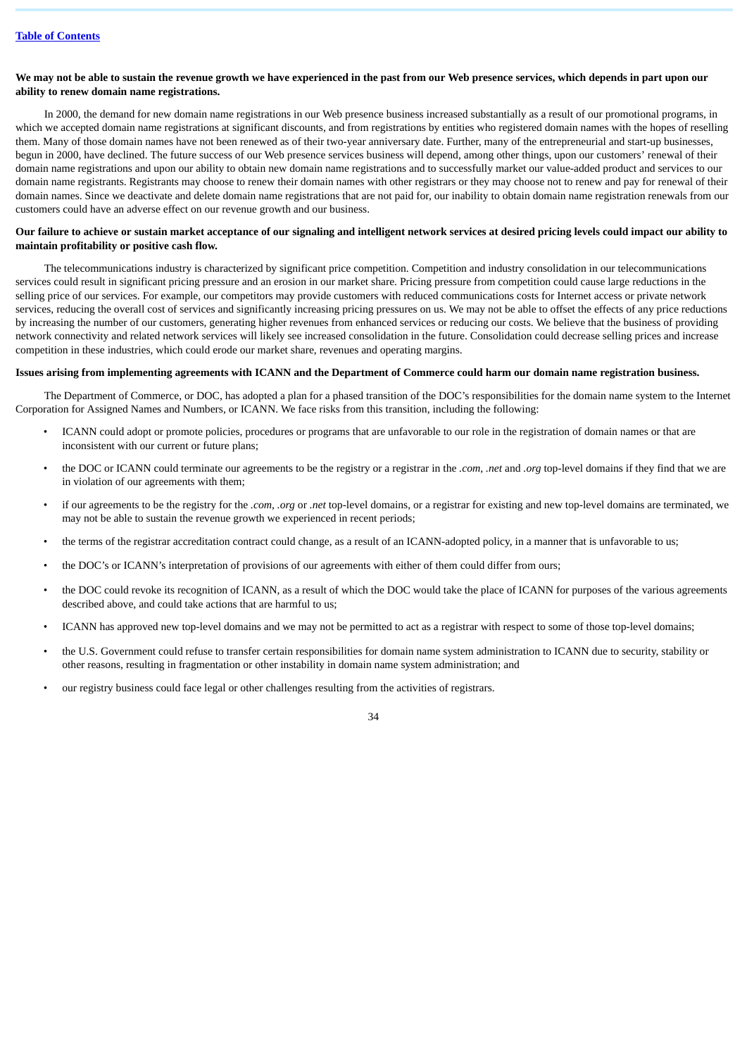# **We may not be able to sustain the revenue growth we have experienced in the past from our Web presence services, which depends in part upon our ability to renew domain name registrations.**

In 2000, the demand for new domain name registrations in our Web presence business increased substantially as a result of our promotional programs, in which we accepted domain name registrations at significant discounts, and from registrations by entities who registered domain names with the hopes of reselling them. Many of those domain names have not been renewed as of their two-year anniversary date. Further, many of the entrepreneurial and start-up businesses, begun in 2000, have declined. The future success of our Web presence services business will depend, among other things, upon our customers' renewal of their domain name registrations and upon our ability to obtain new domain name registrations and to successfully market our value-added product and services to our domain name registrants. Registrants may choose to renew their domain names with other registrars or they may choose not to renew and pay for renewal of their domain names. Since we deactivate and delete domain name registrations that are not paid for, our inability to obtain domain name registration renewals from our customers could have an adverse effect on our revenue growth and our business.

# **Our failure to achieve or sustain market acceptance of our signaling and intelligent network services at desired pricing levels could impact our ability to maintain profitability or positive cash flow.**

The telecommunications industry is characterized by significant price competition. Competition and industry consolidation in our telecommunications services could result in significant pricing pressure and an erosion in our market share. Pricing pressure from competition could cause large reductions in the selling price of our services. For example, our competitors may provide customers with reduced communications costs for Internet access or private network services, reducing the overall cost of services and significantly increasing pricing pressures on us. We may not be able to offset the effects of any price reductions by increasing the number of our customers, generating higher revenues from enhanced services or reducing our costs. We believe that the business of providing network connectivity and related network services will likely see increased consolidation in the future. Consolidation could decrease selling prices and increase competition in these industries, which could erode our market share, revenues and operating margins.

### **Issues arising from implementing agreements with ICANN and the Department of Commerce could harm our domain name registration business.**

The Department of Commerce, or DOC, has adopted a plan for a phased transition of the DOC's responsibilities for the domain name system to the Internet Corporation for Assigned Names and Numbers, or ICANN. We face risks from this transition, including the following:

- ICANN could adopt or promote policies, procedures or programs that are unfavorable to our role in the registration of domain names or that are inconsistent with our current or future plans;
- the DOC or ICANN could terminate our agreements to be the registry or a registrar in the *.com*, *.net* and *.org* top-level domains if they find that we are in violation of our agreements with them;
- if our agreements to be the registry for the *.com*, *.org* or *.net* top-level domains, or a registrar for existing and new top-level domains are terminated, we may not be able to sustain the revenue growth we experienced in recent periods;
- the terms of the registrar accreditation contract could change, as a result of an ICANN-adopted policy, in a manner that is unfavorable to us;
- the DOC's or ICANN's interpretation of provisions of our agreements with either of them could differ from ours;
- the DOC could revoke its recognition of ICANN, as a result of which the DOC would take the place of ICANN for purposes of the various agreements described above, and could take actions that are harmful to us;
- ICANN has approved new top-level domains and we may not be permitted to act as a registrar with respect to some of those top-level domains;
- the U.S. Government could refuse to transfer certain responsibilities for domain name system administration to ICANN due to security, stability or other reasons, resulting in fragmentation or other instability in domain name system administration; and
- our registry business could face legal or other challenges resulting from the activities of registrars.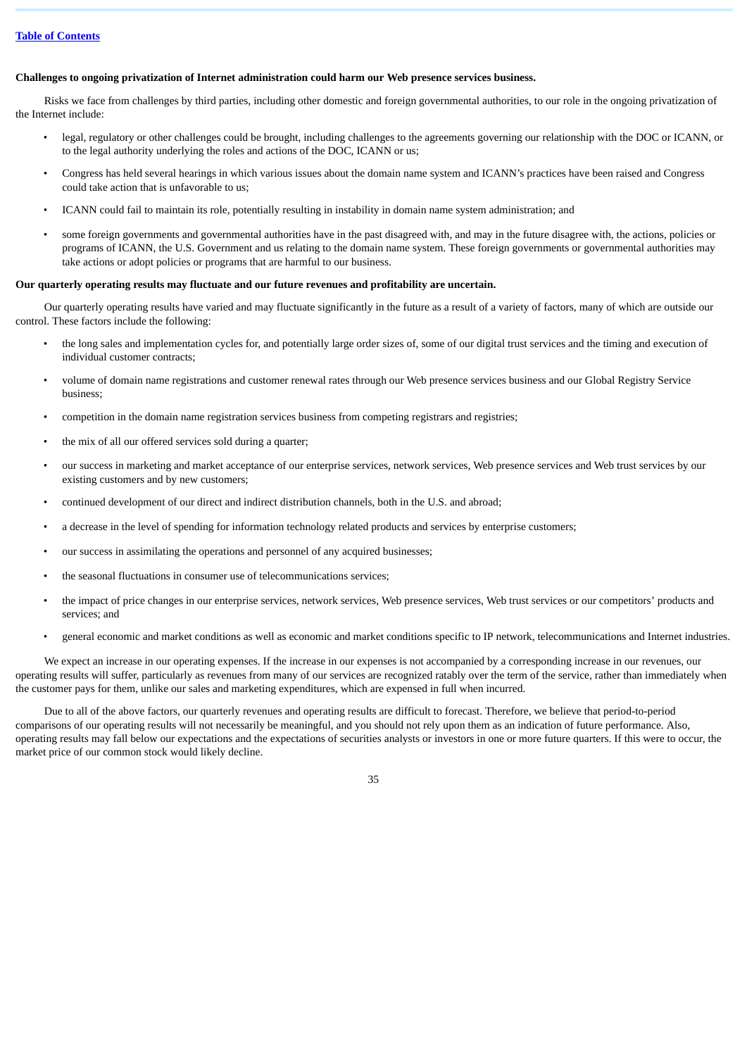# **Challenges to ongoing privatization of Internet administration could harm our Web presence services business.**

Risks we face from challenges by third parties, including other domestic and foreign governmental authorities, to our role in the ongoing privatization of the Internet include:

- legal, regulatory or other challenges could be brought, including challenges to the agreements governing our relationship with the DOC or ICANN, or to the legal authority underlying the roles and actions of the DOC, ICANN or us;
- Congress has held several hearings in which various issues about the domain name system and ICANN's practices have been raised and Congress could take action that is unfavorable to us;
- ICANN could fail to maintain its role, potentially resulting in instability in domain name system administration; and
- some foreign governments and governmental authorities have in the past disagreed with, and may in the future disagree with, the actions, policies or programs of ICANN, the U.S. Government and us relating to the domain name system. These foreign governments or governmental authorities may take actions or adopt policies or programs that are harmful to our business.

# **Our quarterly operating results may fluctuate and our future revenues and profitability are uncertain.**

Our quarterly operating results have varied and may fluctuate significantly in the future as a result of a variety of factors, many of which are outside our control. These factors include the following:

- the long sales and implementation cycles for, and potentially large order sizes of, some of our digital trust services and the timing and execution of individual customer contracts;
- volume of domain name registrations and customer renewal rates through our Web presence services business and our Global Registry Service business;
- competition in the domain name registration services business from competing registrars and registries;
- the mix of all our offered services sold during a quarter;
- our success in marketing and market acceptance of our enterprise services, network services, Web presence services and Web trust services by our existing customers and by new customers;
- continued development of our direct and indirect distribution channels, both in the U.S. and abroad;
- a decrease in the level of spending for information technology related products and services by enterprise customers;
- our success in assimilating the operations and personnel of any acquired businesses;
- the seasonal fluctuations in consumer use of telecommunications services;
- the impact of price changes in our enterprise services, network services, Web presence services, Web trust services or our competitors' products and services; and
- general economic and market conditions as well as economic and market conditions specific to IP network, telecommunications and Internet industries.

We expect an increase in our operating expenses. If the increase in our expenses is not accompanied by a corresponding increase in our revenues, our operating results will suffer, particularly as revenues from many of our services are recognized ratably over the term of the service, rather than immediately when the customer pays for them, unlike our sales and marketing expenditures, which are expensed in full when incurred.

Due to all of the above factors, our quarterly revenues and operating results are difficult to forecast. Therefore, we believe that period-to-period comparisons of our operating results will not necessarily be meaningful, and you should not rely upon them as an indication of future performance. Also, operating results may fall below our expectations and the expectations of securities analysts or investors in one or more future quarters. If this were to occur, the market price of our common stock would likely decline.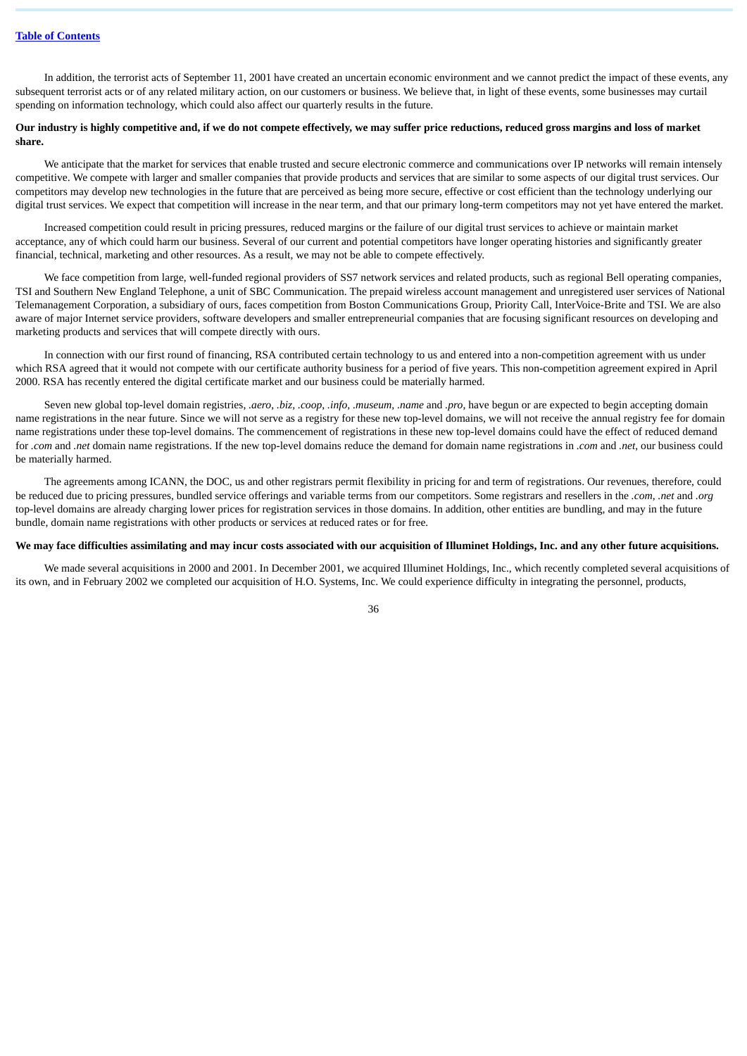In addition, the terrorist acts of September 11, 2001 have created an uncertain economic environment and we cannot predict the impact of these events, any subsequent terrorist acts or of any related military action, on our customers or business. We believe that, in light of these events, some businesses may curtail spending on information technology, which could also affect our quarterly results in the future.

# **Our industry is highly competitive and, if we do not compete effectively, we may suffer price reductions, reduced gross margins and loss of market share.**

We anticipate that the market for services that enable trusted and secure electronic commerce and communications over IP networks will remain intensely competitive. We compete with larger and smaller companies that provide products and services that are similar to some aspects of our digital trust services. Our competitors may develop new technologies in the future that are perceived as being more secure, effective or cost efficient than the technology underlying our digital trust services. We expect that competition will increase in the near term, and that our primary long-term competitors may not yet have entered the market.

Increased competition could result in pricing pressures, reduced margins or the failure of our digital trust services to achieve or maintain market acceptance, any of which could harm our business. Several of our current and potential competitors have longer operating histories and significantly greater financial, technical, marketing and other resources. As a result, we may not be able to compete effectively.

We face competition from large, well-funded regional providers of SS7 network services and related products, such as regional Bell operating companies, TSI and Southern New England Telephone, a unit of SBC Communication. The prepaid wireless account management and unregistered user services of National Telemanagement Corporation, a subsidiary of ours, faces competition from Boston Communications Group, Priority Call, InterVoice-Brite and TSI. We are also aware of major Internet service providers, software developers and smaller entrepreneurial companies that are focusing significant resources on developing and marketing products and services that will compete directly with ours.

In connection with our first round of financing, RSA contributed certain technology to us and entered into a non-competition agreement with us under which RSA agreed that it would not compete with our certificate authority business for a period of five years. This non-competition agreement expired in April 2000. RSA has recently entered the digital certificate market and our business could be materially harmed.

Seven new global top-level domain registries, *.aero, .biz, .coop, .info, .museum, .name* and *.pro*, have begun or are expected to begin accepting domain name registrations in the near future. Since we will not serve as a registry for these new top-level domains, we will not receive the annual registry fee for domain name registrations under these top-level domains. The commencement of registrations in these new top-level domains could have the effect of reduced demand for *.com* and *.net* domain name registrations. If the new top-level domains reduce the demand for domain name registrations in *.com* and *.net*, our business could be materially harmed.

The agreements among ICANN, the DOC, us and other registrars permit flexibility in pricing for and term of registrations. Our revenues, therefore, could be reduced due to pricing pressures, bundled service offerings and variable terms from our competitors. Some registrars and resellers in the *.com*, *.net* and *.org* top-level domains are already charging lower prices for registration services in those domains. In addition, other entities are bundling, and may in the future bundle, domain name registrations with other products or services at reduced rates or for free.

# **We may face difficulties assimilating and may incur costs associated with our acquisition of Illuminet Holdings, Inc. and any other future acquisitions.**

We made several acquisitions in 2000 and 2001. In December 2001, we acquired Illuminet Holdings, Inc., which recently completed several acquisitions of its own, and in February 2002 we completed our acquisition of H.O. Systems, Inc. We could experience difficulty in integrating the personnel, products,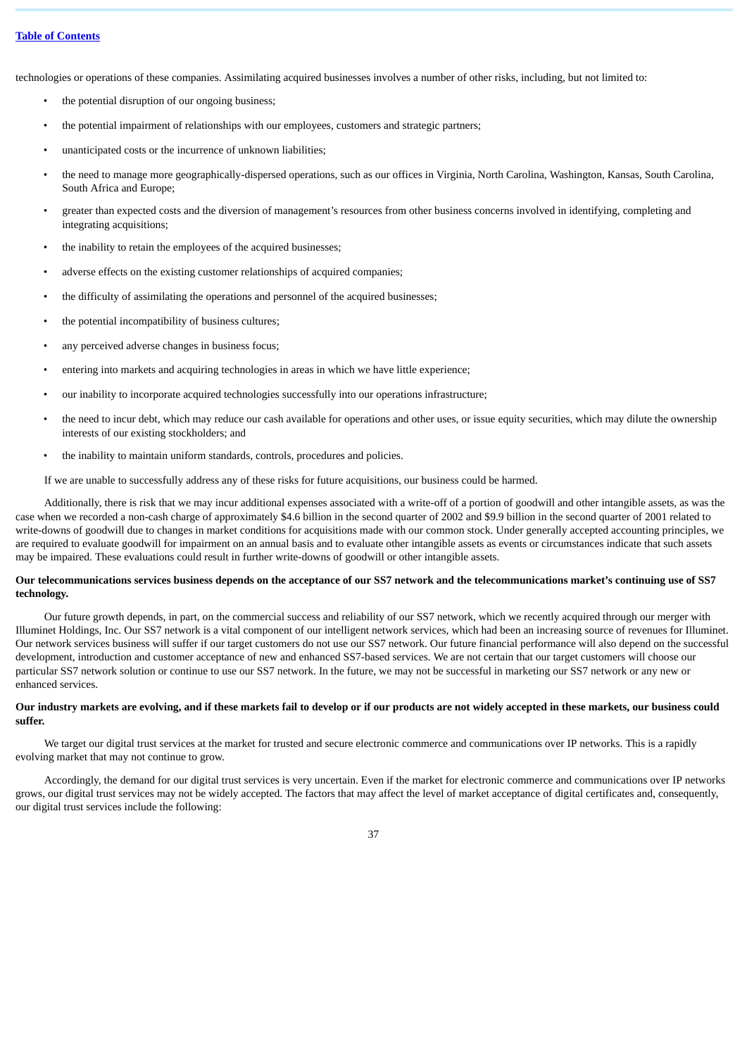technologies or operations of these companies. Assimilating acquired businesses involves a number of other risks, including, but not limited to:

- the potential disruption of our ongoing business;
- the potential impairment of relationships with our employees, customers and strategic partners;
- unanticipated costs or the incurrence of unknown liabilities;
- the need to manage more geographically-dispersed operations, such as our offices in Virginia, North Carolina, Washington, Kansas, South Carolina, South Africa and Europe;
- greater than expected costs and the diversion of management's resources from other business concerns involved in identifying, completing and integrating acquisitions;
- the inability to retain the employees of the acquired businesses;
- adverse effects on the existing customer relationships of acquired companies;
- the difficulty of assimilating the operations and personnel of the acquired businesses;
- the potential incompatibility of business cultures;
- any perceived adverse changes in business focus:
- entering into markets and acquiring technologies in areas in which we have little experience;
- our inability to incorporate acquired technologies successfully into our operations infrastructure;
- the need to incur debt, which may reduce our cash available for operations and other uses, or issue equity securities, which may dilute the ownership interests of our existing stockholders; and
- the inability to maintain uniform standards, controls, procedures and policies.

If we are unable to successfully address any of these risks for future acquisitions, our business could be harmed.

Additionally, there is risk that we may incur additional expenses associated with a write-off of a portion of goodwill and other intangible assets, as was the case when we recorded a non-cash charge of approximately \$4.6 billion in the second quarter of 2002 and \$9.9 billion in the second quarter of 2001 related to write-downs of goodwill due to changes in market conditions for acquisitions made with our common stock. Under generally accepted accounting principles, we are required to evaluate goodwill for impairment on an annual basis and to evaluate other intangible assets as events or circumstances indicate that such assets may be impaired. These evaluations could result in further write-downs of goodwill or other intangible assets.

### **Our telecommunications services business depends on the acceptance of our SS7 network and the telecommunications market's continuing use of SS7 technology.**

Our future growth depends, in part, on the commercial success and reliability of our SS7 network, which we recently acquired through our merger with Illuminet Holdings, Inc. Our SS7 network is a vital component of our intelligent network services, which had been an increasing source of revenues for Illuminet. Our network services business will suffer if our target customers do not use our SS7 network. Our future financial performance will also depend on the successful development, introduction and customer acceptance of new and enhanced SS7-based services. We are not certain that our target customers will choose our particular SS7 network solution or continue to use our SS7 network. In the future, we may not be successful in marketing our SS7 network or any new or enhanced services.

## **Our industry markets are evolving, and if these markets fail to develop or if our products are not widely accepted in these markets, our business could suffer.**

We target our digital trust services at the market for trusted and secure electronic commerce and communications over IP networks. This is a rapidly evolving market that may not continue to grow.

Accordingly, the demand for our digital trust services is very uncertain. Even if the market for electronic commerce and communications over IP networks grows, our digital trust services may not be widely accepted. The factors that may affect the level of market acceptance of digital certificates and, consequently, our digital trust services include the following: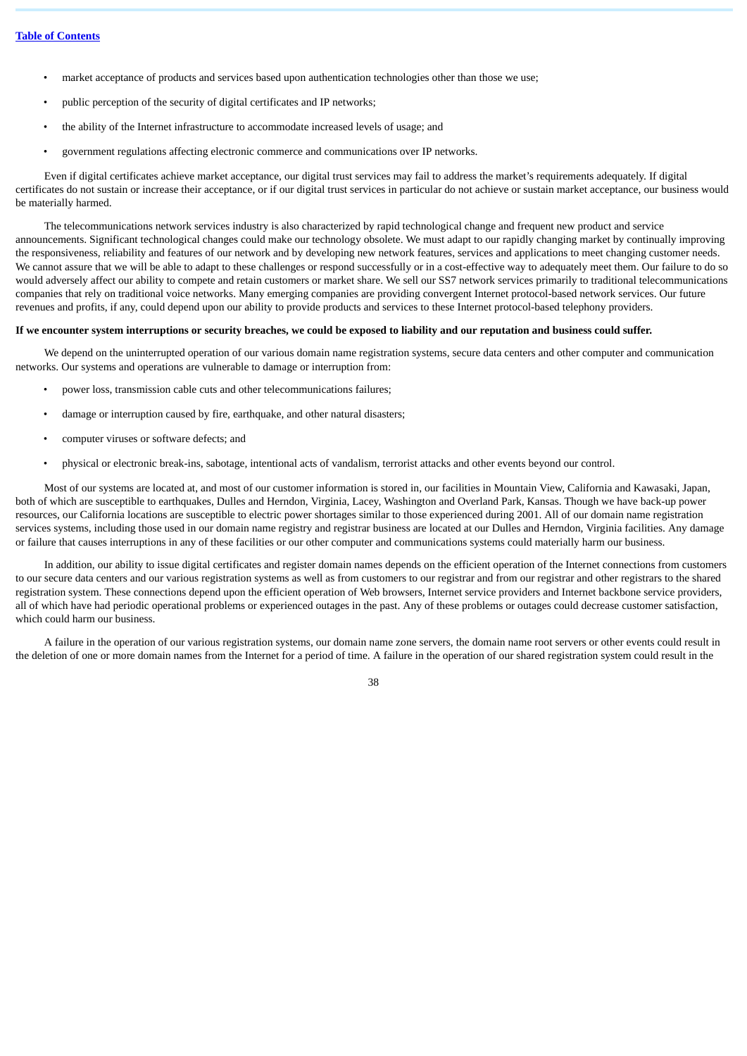- market acceptance of products and services based upon authentication technologies other than those we use;
- public perception of the security of digital certificates and IP networks;
- the ability of the Internet infrastructure to accommodate increased levels of usage; and
- government regulations affecting electronic commerce and communications over IP networks.

Even if digital certificates achieve market acceptance, our digital trust services may fail to address the market's requirements adequately. If digital certificates do not sustain or increase their acceptance, or if our digital trust services in particular do not achieve or sustain market acceptance, our business would be materially harmed.

The telecommunications network services industry is also characterized by rapid technological change and frequent new product and service announcements. Significant technological changes could make our technology obsolete. We must adapt to our rapidly changing market by continually improving the responsiveness, reliability and features of our network and by developing new network features, services and applications to meet changing customer needs. We cannot assure that we will be able to adapt to these challenges or respond successfully or in a cost-effective way to adequately meet them. Our failure to do so would adversely affect our ability to compete and retain customers or market share. We sell our SS7 network services primarily to traditional telecommunications companies that rely on traditional voice networks. Many emerging companies are providing convergent Internet protocol-based network services. Our future revenues and profits, if any, could depend upon our ability to provide products and services to these Internet protocol-based telephony providers.

#### **If we encounter system interruptions or security breaches, we could be exposed to liability and our reputation and business could suffer.**

We depend on the uninterrupted operation of our various domain name registration systems, secure data centers and other computer and communication networks. Our systems and operations are vulnerable to damage or interruption from:

- power loss, transmission cable cuts and other telecommunications failures;
- damage or interruption caused by fire, earthquake, and other natural disasters;
- computer viruses or software defects; and
- physical or electronic break-ins, sabotage, intentional acts of vandalism, terrorist attacks and other events beyond our control.

Most of our systems are located at, and most of our customer information is stored in, our facilities in Mountain View, California and Kawasaki, Japan, both of which are susceptible to earthquakes, Dulles and Herndon, Virginia, Lacey, Washington and Overland Park, Kansas. Though we have back-up power resources, our California locations are susceptible to electric power shortages similar to those experienced during 2001. All of our domain name registration services systems, including those used in our domain name registry and registrar business are located at our Dulles and Herndon, Virginia facilities. Any damage or failure that causes interruptions in any of these facilities or our other computer and communications systems could materially harm our business.

In addition, our ability to issue digital certificates and register domain names depends on the efficient operation of the Internet connections from customers to our secure data centers and our various registration systems as well as from customers to our registrar and from our registrar and other registrars to the shared registration system. These connections depend upon the efficient operation of Web browsers, Internet service providers and Internet backbone service providers, all of which have had periodic operational problems or experienced outages in the past. Any of these problems or outages could decrease customer satisfaction, which could harm our business.

A failure in the operation of our various registration systems, our domain name zone servers, the domain name root servers or other events could result in the deletion of one or more domain names from the Internet for a period of time. A failure in the operation of our shared registration system could result in the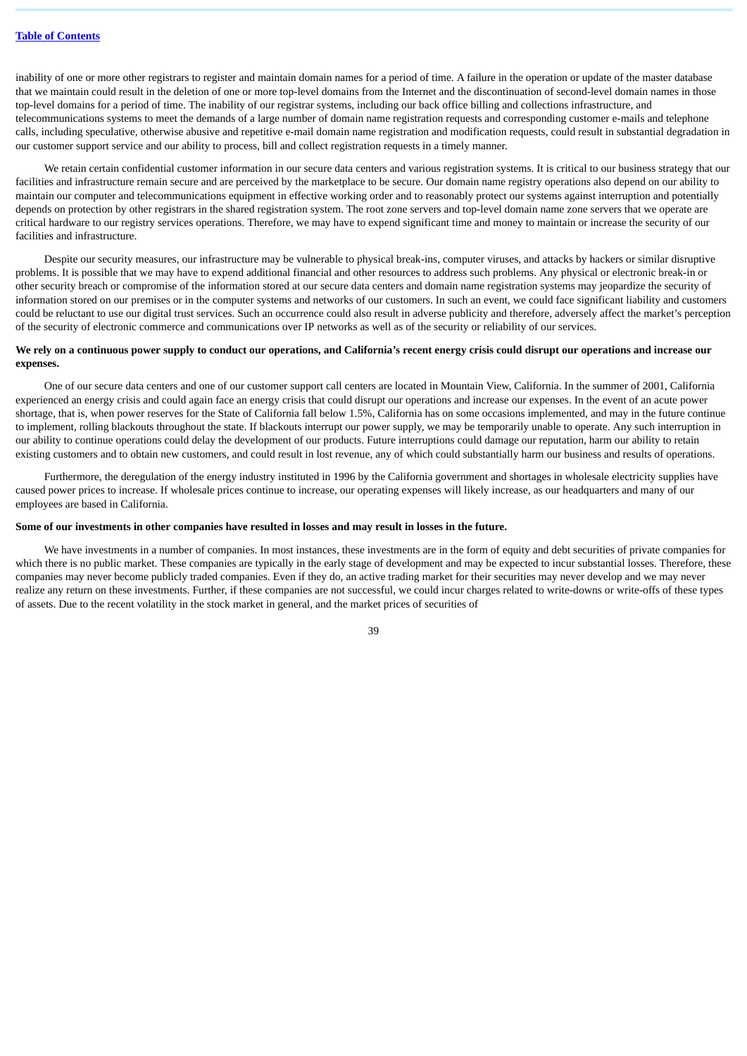inability of one or more other registrars to register and maintain domain names for a period of time. A failure in the operation or update of the master database that we maintain could result in the deletion of one or more top-level domains from the Internet and the discontinuation of second-level domain names in those top-level domains for a period of time. The inability of our registrar systems, including our back office billing and collections infrastructure, and telecommunications systems to meet the demands of a large number of domain name registration requests and corresponding customer e-mails and telephone calls, including speculative, otherwise abusive and repetitive e-mail domain name registration and modification requests, could result in substantial degradation in our customer support service and our ability to process, bill and collect registration requests in a timely manner.

We retain certain confidential customer information in our secure data centers and various registration systems. It is critical to our business strategy that our facilities and infrastructure remain secure and are perceived by the marketplace to be secure. Our domain name registry operations also depend on our ability to maintain our computer and telecommunications equipment in effective working order and to reasonably protect our systems against interruption and potentially depends on protection by other registrars in the shared registration system. The root zone servers and top-level domain name zone servers that we operate are critical hardware to our registry services operations. Therefore, we may have to expend significant time and money to maintain or increase the security of our facilities and infrastructure.

Despite our security measures, our infrastructure may be vulnerable to physical break-ins, computer viruses, and attacks by hackers or similar disruptive problems. It is possible that we may have to expend additional financial and other resources to address such problems. Any physical or electronic break-in or other security breach or compromise of the information stored at our secure data centers and domain name registration systems may jeopardize the security of information stored on our premises or in the computer systems and networks of our customers. In such an event, we could face significant liability and customers could be reluctant to use our digital trust services. Such an occurrence could also result in adverse publicity and therefore, adversely affect the market's perception of the security of electronic commerce and communications over IP networks as well as of the security or reliability of our services.

## **We rely on a continuous power supply to conduct our operations, and California's recent energy crisis could disrupt our operations and increase our expenses.**

One of our secure data centers and one of our customer support call centers are located in Mountain View, California. In the summer of 2001, California experienced an energy crisis and could again face an energy crisis that could disrupt our operations and increase our expenses. In the event of an acute power shortage, that is, when power reserves for the State of California fall below 1.5%, California has on some occasions implemented, and may in the future continue to implement, rolling blackouts throughout the state. If blackouts interrupt our power supply, we may be temporarily unable to operate. Any such interruption in our ability to continue operations could delay the development of our products. Future interruptions could damage our reputation, harm our ability to retain existing customers and to obtain new customers, and could result in lost revenue, any of which could substantially harm our business and results of operations.

Furthermore, the deregulation of the energy industry instituted in 1996 by the California government and shortages in wholesale electricity supplies have caused power prices to increase. If wholesale prices continue to increase, our operating expenses will likely increase, as our headquarters and many of our employees are based in California.

#### **Some of our investments in other companies have resulted in losses and may result in losses in the future.**

We have investments in a number of companies. In most instances, these investments are in the form of equity and debt securities of private companies for which there is no public market. These companies are typically in the early stage of development and may be expected to incur substantial losses. Therefore, these companies may never become publicly traded companies. Even if they do, an active trading market for their securities may never develop and we may never realize any return on these investments. Further, if these companies are not successful, we could incur charges related to write-downs or write-offs of these types of assets. Due to the recent volatility in the stock market in general, and the market prices of securities of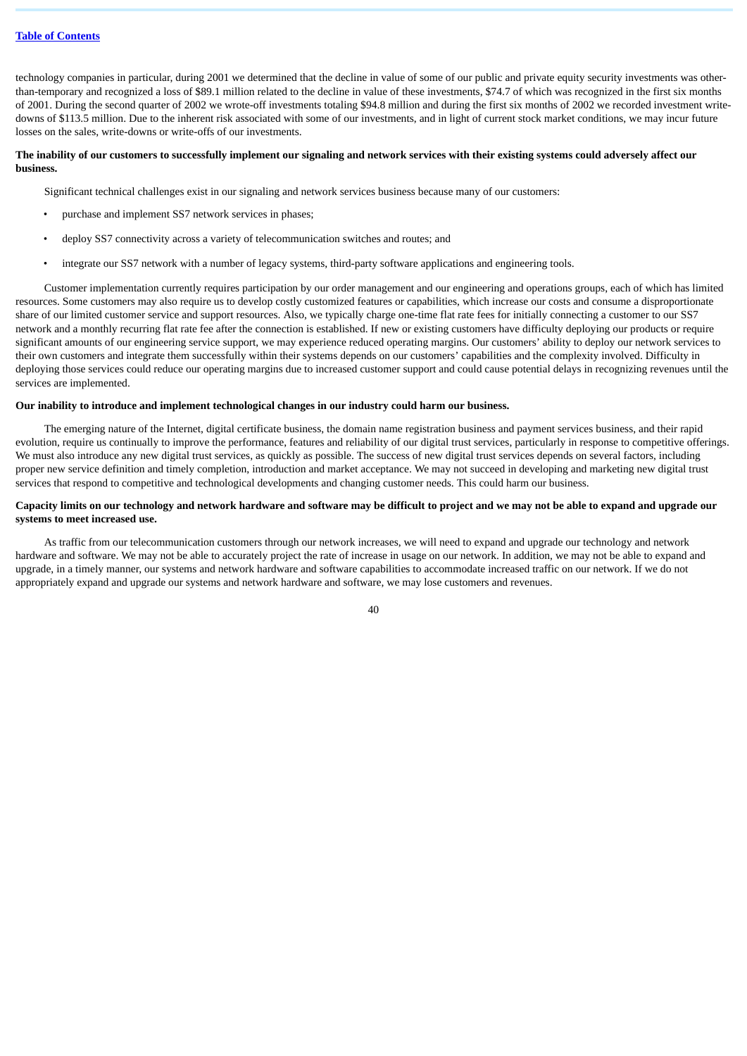## **Table of [Contents](#page-1-0)**

technology companies in particular, during 2001 we determined that the decline in value of some of our public and private equity security investments was otherthan-temporary and recognized a loss of \$89.1 million related to the decline in value of these investments, \$74.7 of which was recognized in the first six months of 2001. During the second quarter of 2002 we wrote-off investments totaling \$94.8 million and during the first six months of 2002 we recorded investment writedowns of \$113.5 million. Due to the inherent risk associated with some of our investments, and in light of current stock market conditions, we may incur future losses on the sales, write-downs or write-offs of our investments.

#### **The inability of our customers to successfully implement our signaling and network services with their existing systems could adversely affect our business.**

Significant technical challenges exist in our signaling and network services business because many of our customers:

- purchase and implement SS7 network services in phases;
- deploy SS7 connectivity across a variety of telecommunication switches and routes; and
- integrate our SS7 network with a number of legacy systems, third-party software applications and engineering tools.

Customer implementation currently requires participation by our order management and our engineering and operations groups, each of which has limited resources. Some customers may also require us to develop costly customized features or capabilities, which increase our costs and consume a disproportionate share of our limited customer service and support resources. Also, we typically charge one-time flat rate fees for initially connecting a customer to our SS7 network and a monthly recurring flat rate fee after the connection is established. If new or existing customers have difficulty deploying our products or require significant amounts of our engineering service support, we may experience reduced operating margins. Our customers' ability to deploy our network services to their own customers and integrate them successfully within their systems depends on our customers' capabilities and the complexity involved. Difficulty in deploying those services could reduce our operating margins due to increased customer support and could cause potential delays in recognizing revenues until the services are implemented.

## **Our inability to introduce and implement technological changes in our industry could harm our business.**

The emerging nature of the Internet, digital certificate business, the domain name registration business and payment services business, and their rapid evolution, require us continually to improve the performance, features and reliability of our digital trust services, particularly in response to competitive offerings. We must also introduce any new digital trust services, as quickly as possible. The success of new digital trust services depends on several factors, including proper new service definition and timely completion, introduction and market acceptance. We may not succeed in developing and marketing new digital trust services that respond to competitive and technological developments and changing customer needs. This could harm our business.

#### **Capacity limits on our technology and network hardware and software may be difficult to project and we may not be able to expand and upgrade our systems to meet increased use.**

As traffic from our telecommunication customers through our network increases, we will need to expand and upgrade our technology and network hardware and software. We may not be able to accurately project the rate of increase in usage on our network. In addition, we may not be able to expand and upgrade, in a timely manner, our systems and network hardware and software capabilities to accommodate increased traffic on our network. If we do not appropriately expand and upgrade our systems and network hardware and software, we may lose customers and revenues.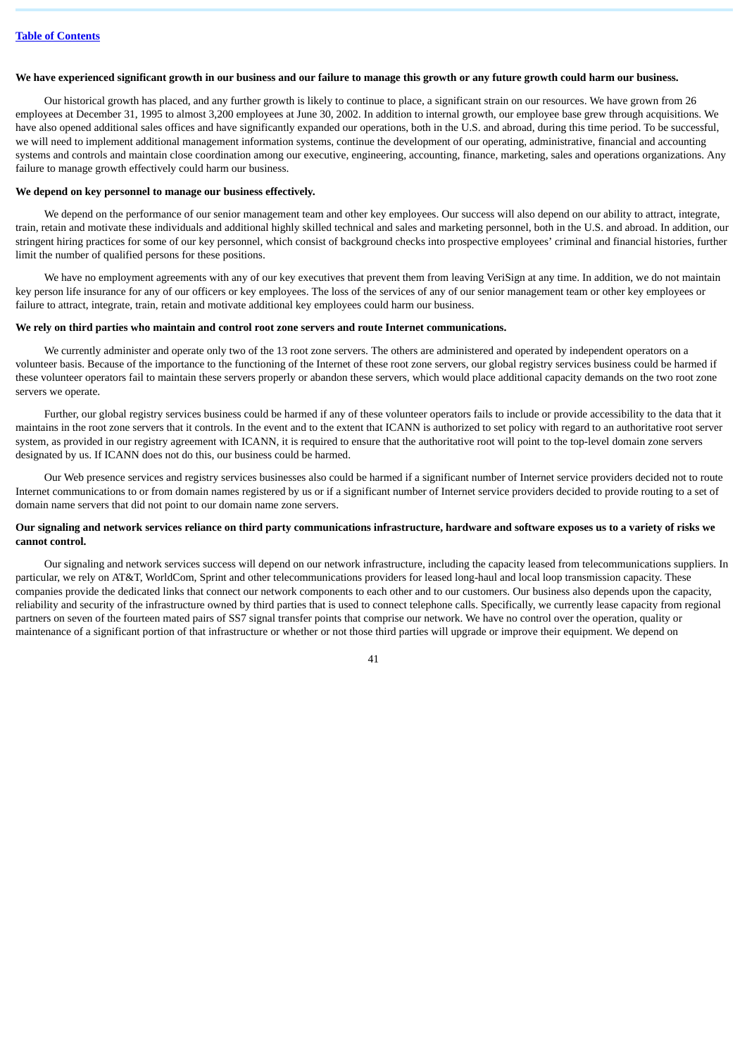#### **We have experienced significant growth in our business and our failure to manage this growth or any future growth could harm our business.**

Our historical growth has placed, and any further growth is likely to continue to place, a significant strain on our resources. We have grown from 26 employees at December 31, 1995 to almost 3,200 employees at June 30, 2002. In addition to internal growth, our employee base grew through acquisitions. We have also opened additional sales offices and have significantly expanded our operations, both in the U.S. and abroad, during this time period. To be successful, we will need to implement additional management information systems, continue the development of our operating, administrative, financial and accounting systems and controls and maintain close coordination among our executive, engineering, accounting, finance, marketing, sales and operations organizations. Any failure to manage growth effectively could harm our business.

#### **We depend on key personnel to manage our business effectively.**

We depend on the performance of our senior management team and other key employees. Our success will also depend on our ability to attract, integrate, train, retain and motivate these individuals and additional highly skilled technical and sales and marketing personnel, both in the U.S. and abroad. In addition, our stringent hiring practices for some of our key personnel, which consist of background checks into prospective employees' criminal and financial histories, further limit the number of qualified persons for these positions.

We have no employment agreements with any of our key executives that prevent them from leaving VeriSign at any time. In addition, we do not maintain key person life insurance for any of our officers or key employees. The loss of the services of any of our senior management team or other key employees or failure to attract, integrate, train, retain and motivate additional key employees could harm our business.

#### **We rely on third parties who maintain and control root zone servers and route Internet communications.**

We currently administer and operate only two of the 13 root zone servers. The others are administered and operated by independent operators on a volunteer basis. Because of the importance to the functioning of the Internet of these root zone servers, our global registry services business could be harmed if these volunteer operators fail to maintain these servers properly or abandon these servers, which would place additional capacity demands on the two root zone servers we operate.

Further, our global registry services business could be harmed if any of these volunteer operators fails to include or provide accessibility to the data that it maintains in the root zone servers that it controls. In the event and to the extent that ICANN is authorized to set policy with regard to an authoritative root server system, as provided in our registry agreement with ICANN, it is required to ensure that the authoritative root will point to the top-level domain zone servers designated by us. If ICANN does not do this, our business could be harmed.

Our Web presence services and registry services businesses also could be harmed if a significant number of Internet service providers decided not to route Internet communications to or from domain names registered by us or if a significant number of Internet service providers decided to provide routing to a set of domain name servers that did not point to our domain name zone servers.

# **Our signaling and network services reliance on third party communications infrastructure, hardware and software exposes us to a variety of risks we cannot control.**

Our signaling and network services success will depend on our network infrastructure, including the capacity leased from telecommunications suppliers. In particular, we rely on AT&T, WorldCom, Sprint and other telecommunications providers for leased long-haul and local loop transmission capacity. These companies provide the dedicated links that connect our network components to each other and to our customers. Our business also depends upon the capacity, reliability and security of the infrastructure owned by third parties that is used to connect telephone calls. Specifically, we currently lease capacity from regional partners on seven of the fourteen mated pairs of SS7 signal transfer points that comprise our network. We have no control over the operation, quality or maintenance of a significant portion of that infrastructure or whether or not those third parties will upgrade or improve their equipment. We depend on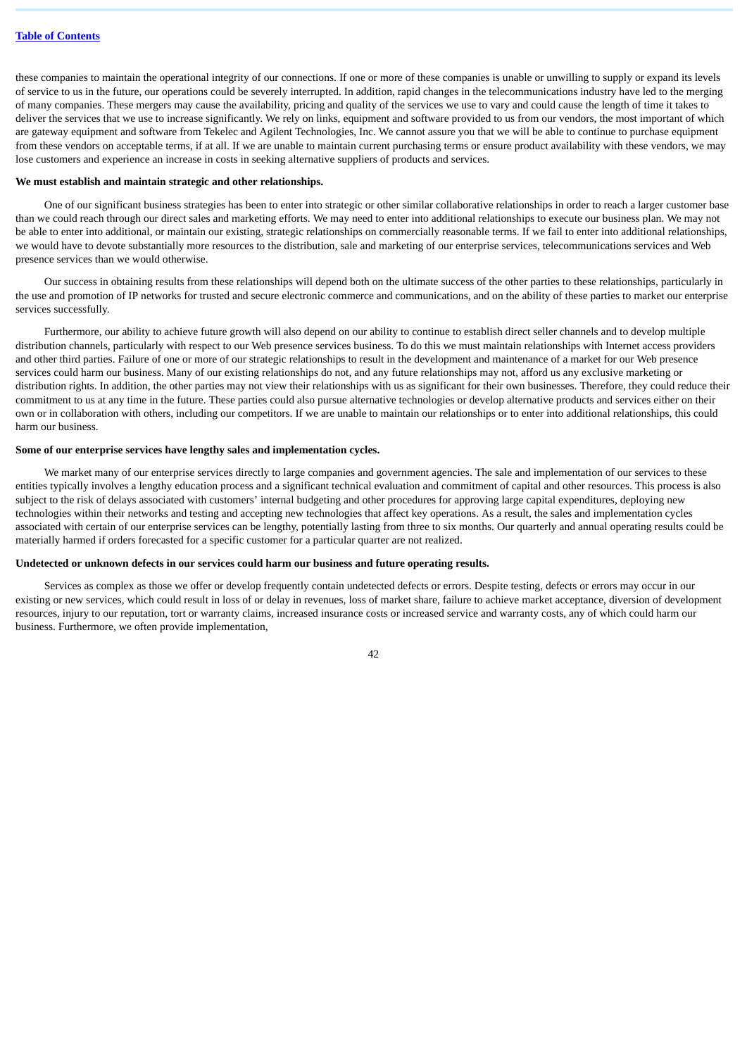these companies to maintain the operational integrity of our connections. If one or more of these companies is unable or unwilling to supply or expand its levels of service to us in the future, our operations could be severely interrupted. In addition, rapid changes in the telecommunications industry have led to the merging of many companies. These mergers may cause the availability, pricing and quality of the services we use to vary and could cause the length of time it takes to deliver the services that we use to increase significantly. We rely on links, equipment and software provided to us from our vendors, the most important of which are gateway equipment and software from Tekelec and Agilent Technologies, Inc. We cannot assure you that we will be able to continue to purchase equipment from these vendors on acceptable terms, if at all. If we are unable to maintain current purchasing terms or ensure product availability with these vendors, we may lose customers and experience an increase in costs in seeking alternative suppliers of products and services.

#### **We must establish and maintain strategic and other relationships.**

One of our significant business strategies has been to enter into strategic or other similar collaborative relationships in order to reach a larger customer base than we could reach through our direct sales and marketing efforts. We may need to enter into additional relationships to execute our business plan. We may not be able to enter into additional, or maintain our existing, strategic relationships on commercially reasonable terms. If we fail to enter into additional relationships, we would have to devote substantially more resources to the distribution, sale and marketing of our enterprise services, telecommunications services and Web presence services than we would otherwise.

Our success in obtaining results from these relationships will depend both on the ultimate success of the other parties to these relationships, particularly in the use and promotion of IP networks for trusted and secure electronic commerce and communications, and on the ability of these parties to market our enterprise services successfully.

Furthermore, our ability to achieve future growth will also depend on our ability to continue to establish direct seller channels and to develop multiple distribution channels, particularly with respect to our Web presence services business. To do this we must maintain relationships with Internet access providers and other third parties. Failure of one or more of our strategic relationships to result in the development and maintenance of a market for our Web presence services could harm our business. Many of our existing relationships do not, and any future relationships may not, afford us any exclusive marketing or distribution rights. In addition, the other parties may not view their relationships with us as significant for their own businesses. Therefore, they could reduce their commitment to us at any time in the future. These parties could also pursue alternative technologies or develop alternative products and services either on their own or in collaboration with others, including our competitors. If we are unable to maintain our relationships or to enter into additional relationships, this could harm our business.

#### **Some of our enterprise services have lengthy sales and implementation cycles.**

We market many of our enterprise services directly to large companies and government agencies. The sale and implementation of our services to these entities typically involves a lengthy education process and a significant technical evaluation and commitment of capital and other resources. This process is also subject to the risk of delays associated with customers' internal budgeting and other procedures for approving large capital expenditures, deploying new technologies within their networks and testing and accepting new technologies that affect key operations. As a result, the sales and implementation cycles associated with certain of our enterprise services can be lengthy, potentially lasting from three to six months. Our quarterly and annual operating results could be materially harmed if orders forecasted for a specific customer for a particular quarter are not realized.

#### **Undetected or unknown defects in our services could harm our business and future operating results.**

Services as complex as those we offer or develop frequently contain undetected defects or errors. Despite testing, defects or errors may occur in our existing or new services, which could result in loss of or delay in revenues, loss of market share, failure to achieve market acceptance, diversion of development resources, injury to our reputation, tort or warranty claims, increased insurance costs or increased service and warranty costs, any of which could harm our business. Furthermore, we often provide implementation,

 $\Delta$ 2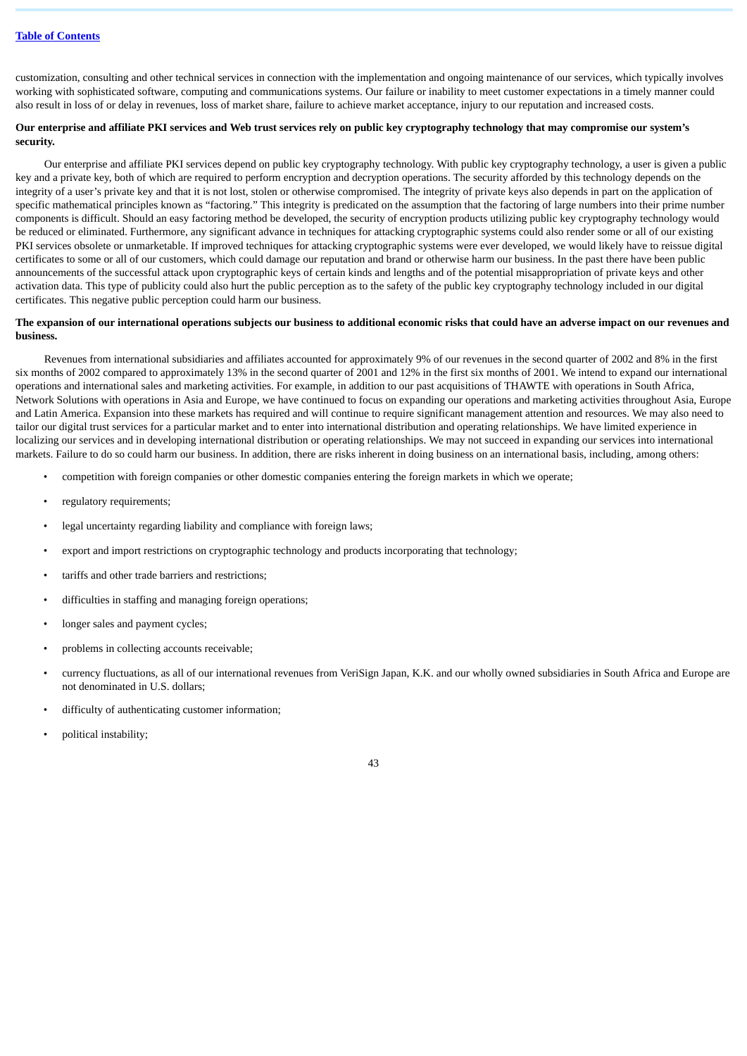customization, consulting and other technical services in connection with the implementation and ongoing maintenance of our services, which typically involves working with sophisticated software, computing and communications systems. Our failure or inability to meet customer expectations in a timely manner could also result in loss of or delay in revenues, loss of market share, failure to achieve market acceptance, injury to our reputation and increased costs.

# **Our enterprise and affiliate PKI services and Web trust services rely on public key cryptography technology that may compromise our system's security.**

Our enterprise and affiliate PKI services depend on public key cryptography technology. With public key cryptography technology, a user is given a public key and a private key, both of which are required to perform encryption and decryption operations. The security afforded by this technology depends on the integrity of a user's private key and that it is not lost, stolen or otherwise compromised. The integrity of private keys also depends in part on the application of specific mathematical principles known as "factoring." This integrity is predicated on the assumption that the factoring of large numbers into their prime number components is difficult. Should an easy factoring method be developed, the security of encryption products utilizing public key cryptography technology would be reduced or eliminated. Furthermore, any significant advance in techniques for attacking cryptographic systems could also render some or all of our existing PKI services obsolete or unmarketable. If improved techniques for attacking cryptographic systems were ever developed, we would likely have to reissue digital certificates to some or all of our customers, which could damage our reputation and brand or otherwise harm our business. In the past there have been public announcements of the successful attack upon cryptographic keys of certain kinds and lengths and of the potential misappropriation of private keys and other activation data. This type of publicity could also hurt the public perception as to the safety of the public key cryptography technology included in our digital certificates. This negative public perception could harm our business.

#### **The expansion of our international operations subjects our business to additional economic risks that could have an adverse impact on our revenues and business.**

Revenues from international subsidiaries and affiliates accounted for approximately 9% of our revenues in the second quarter of 2002 and 8% in the first six months of 2002 compared to approximately 13% in the second quarter of 2001 and 12% in the first six months of 2001. We intend to expand our international operations and international sales and marketing activities. For example, in addition to our past acquisitions of THAWTE with operations in South Africa, Network Solutions with operations in Asia and Europe, we have continued to focus on expanding our operations and marketing activities throughout Asia, Europe and Latin America. Expansion into these markets has required and will continue to require significant management attention and resources. We may also need to tailor our digital trust services for a particular market and to enter into international distribution and operating relationships. We have limited experience in localizing our services and in developing international distribution or operating relationships. We may not succeed in expanding our services into international markets. Failure to do so could harm our business. In addition, there are risks inherent in doing business on an international basis, including, among others:

- competition with foreign companies or other domestic companies entering the foreign markets in which we operate;
- regulatory requirements;
- legal uncertainty regarding liability and compliance with foreign laws;
- export and import restrictions on cryptographic technology and products incorporating that technology;
- tariffs and other trade barriers and restrictions;
- difficulties in staffing and managing foreign operations;
- longer sales and payment cycles;
- problems in collecting accounts receivable;
- currency fluctuations, as all of our international revenues from VeriSign Japan, K.K. and our wholly owned subsidiaries in South Africa and Europe are not denominated in U.S. dollars;
- difficulty of authenticating customer information;
- political instability;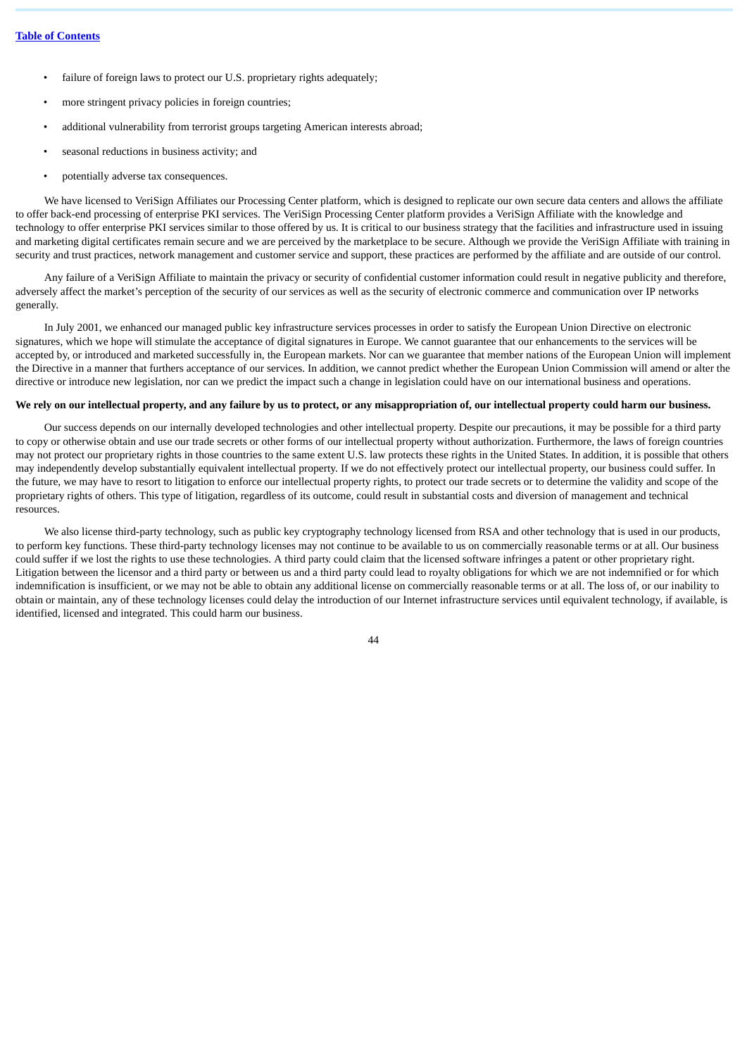- failure of foreign laws to protect our U.S. proprietary rights adequately;
- more stringent privacy policies in foreign countries;
- additional vulnerability from terrorist groups targeting American interests abroad;
- seasonal reductions in business activity; and
- potentially adverse tax consequences.

We have licensed to VeriSign Affiliates our Processing Center platform, which is designed to replicate our own secure data centers and allows the affiliate to offer back-end processing of enterprise PKI services. The VeriSign Processing Center platform provides a VeriSign Affiliate with the knowledge and technology to offer enterprise PKI services similar to those offered by us. It is critical to our business strategy that the facilities and infrastructure used in issuing and marketing digital certificates remain secure and we are perceived by the marketplace to be secure. Although we provide the VeriSign Affiliate with training in security and trust practices, network management and customer service and support, these practices are performed by the affiliate and are outside of our control.

Any failure of a VeriSign Affiliate to maintain the privacy or security of confidential customer information could result in negative publicity and therefore, adversely affect the market's perception of the security of our services as well as the security of electronic commerce and communication over IP networks generally.

In July 2001, we enhanced our managed public key infrastructure services processes in order to satisfy the European Union Directive on electronic signatures, which we hope will stimulate the acceptance of digital signatures in Europe. We cannot guarantee that our enhancements to the services will be accepted by, or introduced and marketed successfully in, the European markets. Nor can we guarantee that member nations of the European Union will implement the Directive in a manner that furthers acceptance of our services. In addition, we cannot predict whether the European Union Commission will amend or alter the directive or introduce new legislation, nor can we predict the impact such a change in legislation could have on our international business and operations.

## **We rely on our intellectual property, and any failure by us to protect, or any misappropriation of, our intellectual property could harm our business.**

Our success depends on our internally developed technologies and other intellectual property. Despite our precautions, it may be possible for a third party to copy or otherwise obtain and use our trade secrets or other forms of our intellectual property without authorization. Furthermore, the laws of foreign countries may not protect our proprietary rights in those countries to the same extent U.S. law protects these rights in the United States. In addition, it is possible that others may independently develop substantially equivalent intellectual property. If we do not effectively protect our intellectual property, our business could suffer. In the future, we may have to resort to litigation to enforce our intellectual property rights, to protect our trade secrets or to determine the validity and scope of the proprietary rights of others. This type of litigation, regardless of its outcome, could result in substantial costs and diversion of management and technical resources.

We also license third-party technology, such as public key cryptography technology licensed from RSA and other technology that is used in our products, to perform key functions. These third-party technology licenses may not continue to be available to us on commercially reasonable terms or at all. Our business could suffer if we lost the rights to use these technologies. A third party could claim that the licensed software infringes a patent or other proprietary right. Litigation between the licensor and a third party or between us and a third party could lead to royalty obligations for which we are not indemnified or for which indemnification is insufficient, or we may not be able to obtain any additional license on commercially reasonable terms or at all. The loss of, or our inability to obtain or maintain, any of these technology licenses could delay the introduction of our Internet infrastructure services until equivalent technology, if available, is identified, licensed and integrated. This could harm our business.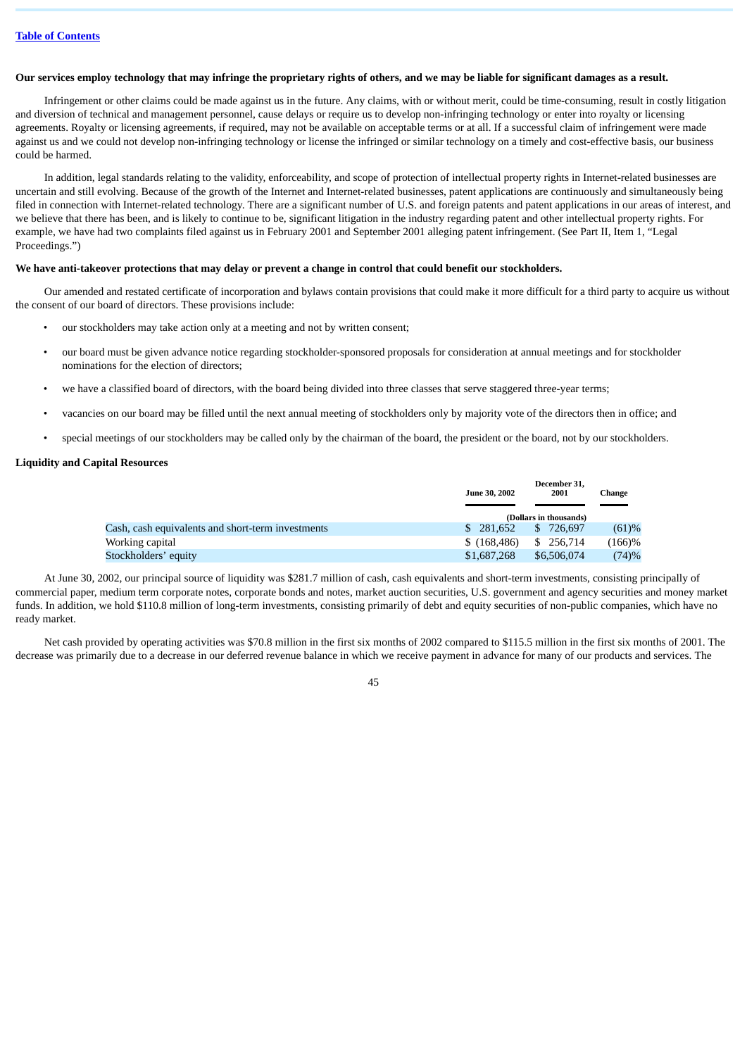### **Our services employ technology that may infringe the proprietary rights of others, and we may be liable for significant damages as a result.**

Infringement or other claims could be made against us in the future. Any claims, with or without merit, could be time-consuming, result in costly litigation and diversion of technical and management personnel, cause delays or require us to develop non-infringing technology or enter into royalty or licensing agreements. Royalty or licensing agreements, if required, may not be available on acceptable terms or at all. If a successful claim of infringement were made against us and we could not develop non-infringing technology or license the infringed or similar technology on a timely and cost-effective basis, our business could be harmed.

In addition, legal standards relating to the validity, enforceability, and scope of protection of intellectual property rights in Internet-related businesses are uncertain and still evolving. Because of the growth of the Internet and Internet-related businesses, patent applications are continuously and simultaneously being filed in connection with Internet-related technology. There are a significant number of U.S. and foreign patents and patent applications in our areas of interest, and we believe that there has been, and is likely to continue to be, significant litigation in the industry regarding patent and other intellectual property rights. For example, we have had two complaints filed against us in February 2001 and September 2001 alleging patent infringement. (See Part II, Item 1, "Legal Proceedings.")

## **We have anti-takeover protections that may delay or prevent a change in control that could benefit our stockholders.**

Our amended and restated certificate of incorporation and bylaws contain provisions that could make it more difficult for a third party to acquire us without the consent of our board of directors. These provisions include:

- our stockholders may take action only at a meeting and not by written consent;
- our board must be given advance notice regarding stockholder-sponsored proposals for consideration at annual meetings and for stockholder nominations for the election of directors;
- we have a classified board of directors, with the board being divided into three classes that serve staggered three-year terms;
- vacancies on our board may be filled until the next annual meeting of stockholders only by majority vote of the directors then in office; and
- special meetings of our stockholders may be called only by the chairman of the board, the president or the board, not by our stockholders.

#### **Liquidity and Capital Resources**

|                                                   | <b>June 30, 2002</b> | December 31,<br>2001   | <b>Change</b> |
|---------------------------------------------------|----------------------|------------------------|---------------|
|                                                   |                      | (Dollars in thousands) |               |
| Cash, cash equivalents and short-term investments | \$ 281,652           | 726.697<br>SS.         | (61)%         |
| Working capital                                   | \$(168, 486)         | \$ 256,714             | (166)%        |
| Stockholders' equity                              | \$1,687,268          | \$6,506,074            | (74)%         |

At June 30, 2002, our principal source of liquidity was \$281.7 million of cash, cash equivalents and short-term investments, consisting principally of commercial paper, medium term corporate notes, corporate bonds and notes, market auction securities, U.S. government and agency securities and money market funds. In addition, we hold \$110.8 million of long-term investments, consisting primarily of debt and equity securities of non-public companies, which have no ready market.

Net cash provided by operating activities was \$70.8 million in the first six months of 2002 compared to \$115.5 million in the first six months of 2001. The decrease was primarily due to a decrease in our deferred revenue balance in which we receive payment in advance for many of our products and services. The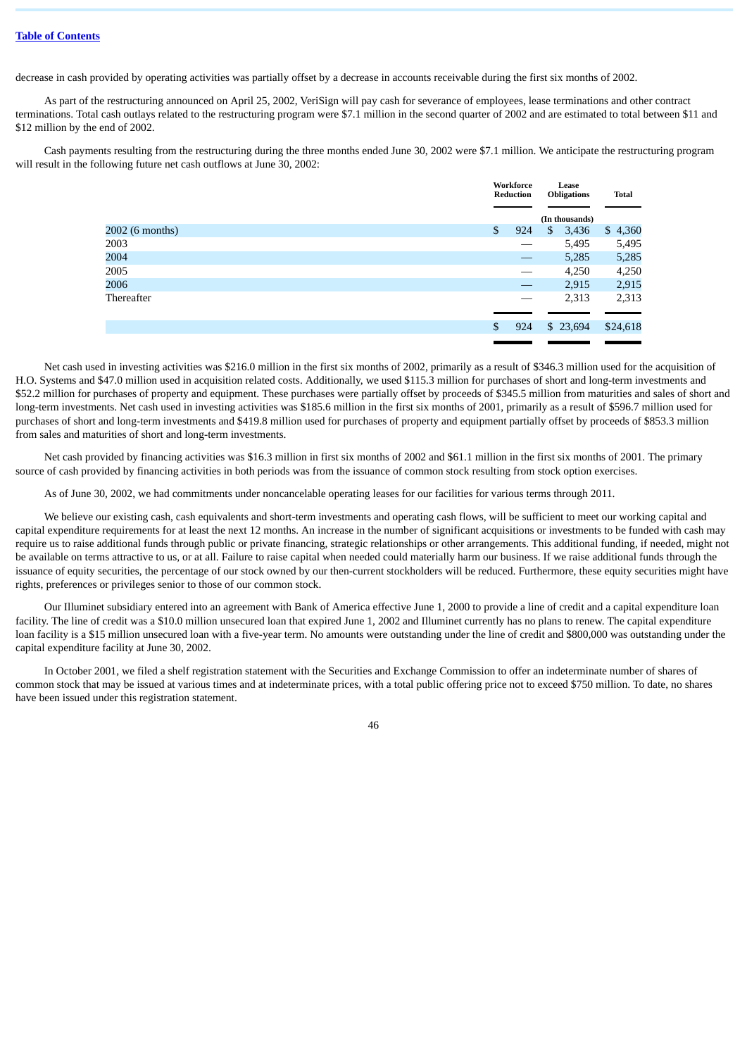decrease in cash provided by operating activities was partially offset by a decrease in accounts receivable during the first six months of 2002.

As part of the restructuring announced on April 25, 2002, VeriSign will pay cash for severance of employees, lease terminations and other contract terminations. Total cash outlays related to the restructuring program were \$7.1 million in the second quarter of 2002 and are estimated to total between \$11 and \$12 million by the end of 2002.

Cash payments resulting from the restructuring during the three months ended June 30, 2002 were \$7.1 million. We anticipate the restructuring program will result in the following future net cash outflows at June 30, 2002:

|                 |                | Workforce<br>Reduction | Lease<br><b>Obligations</b> | <b>Total</b> |
|-----------------|----------------|------------------------|-----------------------------|--------------|
|                 |                |                        | (In thousands)              |              |
| 2002 (6 months) | $\mathfrak{S}$ | 924                    | \$<br>3,436                 | \$4,360      |
| 2003            |                |                        | 5,495                       | 5,495        |
| 2004            |                |                        | 5,285                       | 5,285        |
| 2005            |                |                        | 4,250                       | 4,250        |
| 2006            |                |                        | 2,915                       | 2,915        |
| Thereafter      |                |                        | 2,313                       | 2,313        |
|                 | \$             | 924                    | \$23,694                    | \$24,618     |

Net cash used in investing activities was \$216.0 million in the first six months of 2002, primarily as a result of \$346.3 million used for the acquisition of H.O. Systems and \$47.0 million used in acquisition related costs. Additionally, we used \$115.3 million for purchases of short and long-term investments and \$52.2 million for purchases of property and equipment. These purchases were partially offset by proceeds of \$345.5 million from maturities and sales of short and long-term investments. Net cash used in investing activities was \$185.6 million in the first six months of 2001, primarily as a result of \$596.7 million used for purchases of short and long-term investments and \$419.8 million used for purchases of property and equipment partially offset by proceeds of \$853.3 million from sales and maturities of short and long-term investments.

Net cash provided by financing activities was \$16.3 million in first six months of 2002 and \$61.1 million in the first six months of 2001. The primary source of cash provided by financing activities in both periods was from the issuance of common stock resulting from stock option exercises.

As of June 30, 2002, we had commitments under noncancelable operating leases for our facilities for various terms through 2011.

We believe our existing cash, cash equivalents and short-term investments and operating cash flows, will be sufficient to meet our working capital and capital expenditure requirements for at least the next 12 months. An increase in the number of significant acquisitions or investments to be funded with cash may require us to raise additional funds through public or private financing, strategic relationships or other arrangements. This additional funding, if needed, might not be available on terms attractive to us, or at all. Failure to raise capital when needed could materially harm our business. If we raise additional funds through the issuance of equity securities, the percentage of our stock owned by our then-current stockholders will be reduced. Furthermore, these equity securities might have rights, preferences or privileges senior to those of our common stock.

Our Illuminet subsidiary entered into an agreement with Bank of America effective June 1, 2000 to provide a line of credit and a capital expenditure loan facility. The line of credit was a \$10.0 million unsecured loan that expired June 1, 2002 and Illuminet currently has no plans to renew. The capital expenditure loan facility is a \$15 million unsecured loan with a five-year term. No amounts were outstanding under the line of credit and \$800,000 was outstanding under the capital expenditure facility at June 30, 2002.

In October 2001, we filed a shelf registration statement with the Securities and Exchange Commission to offer an indeterminate number of shares of common stock that may be issued at various times and at indeterminate prices, with a total public offering price not to exceed \$750 million. To date, no shares have been issued under this registration statement.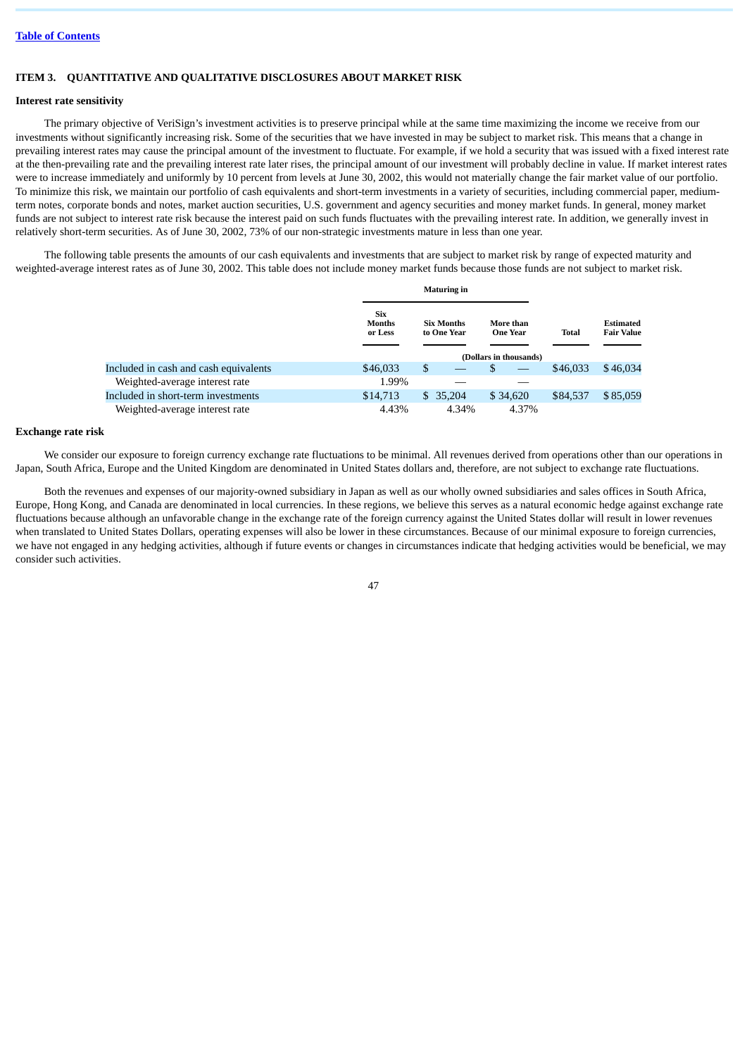## **ITEM 3. QUANTITATIVE AND QUALITATIVE DISCLOSURES ABOUT MARKET RISK**

#### **Interest rate sensitivity**

The primary objective of VeriSign's investment activities is to preserve principal while at the same time maximizing the income we receive from our investments without significantly increasing risk. Some of the securities that we have invested in may be subject to market risk. This means that a change in prevailing interest rates may cause the principal amount of the investment to fluctuate. For example, if we hold a security that was issued with a fixed interest rate at the then-prevailing rate and the prevailing interest rate later rises, the principal amount of our investment will probably decline in value. If market interest rates were to increase immediately and uniformly by 10 percent from levels at June 30, 2002, this would not materially change the fair market value of our portfolio. To minimize this risk, we maintain our portfolio of cash equivalents and short-term investments in a variety of securities, including commercial paper, mediumterm notes, corporate bonds and notes, market auction securities, U.S. government and agency securities and money market funds. In general, money market funds are not subject to interest rate risk because the interest paid on such funds fluctuates with the prevailing interest rate. In addition, we generally invest in relatively short-term securities. As of June 30, 2002, 73% of our non-strategic investments mature in less than one year.

The following table presents the amounts of our cash equivalents and investments that are subject to market risk by range of expected maturity and weighted-average interest rates as of June 30, 2002. This table does not include money market funds because those funds are not subject to market risk.

|                                       | <b>Maturing in</b>                     |                                  |                              |              |                                       |
|---------------------------------------|----------------------------------------|----------------------------------|------------------------------|--------------|---------------------------------------|
|                                       | <b>Six</b><br><b>Months</b><br>or Less | <b>Six Months</b><br>to One Year | More than<br><b>One Year</b> | <b>Total</b> | <b>Estimated</b><br><b>Fair Value</b> |
|                                       |                                        |                                  | (Dollars in thousands)       |              |                                       |
| Included in cash and cash equivalents | \$46,033                               | \$                               | \$                           | \$46,033     | \$46,034                              |
| Weighted-average interest rate        | 1.99%                                  |                                  |                              |              |                                       |
| Included in short-term investments    | \$14,713                               | 35,204<br>SS.                    | \$34,620                     | \$84,537     | \$85,059                              |
| Weighted-average interest rate        | 4.43%                                  | 4.34%                            | 4.37%                        |              |                                       |

## **Exchange rate risk**

We consider our exposure to foreign currency exchange rate fluctuations to be minimal. All revenues derived from operations other than our operations in Japan, South Africa, Europe and the United Kingdom are denominated in United States dollars and, therefore, are not subject to exchange rate fluctuations.

Both the revenues and expenses of our majority-owned subsidiary in Japan as well as our wholly owned subsidiaries and sales offices in South Africa, Europe, Hong Kong, and Canada are denominated in local currencies. In these regions, we believe this serves as a natural economic hedge against exchange rate fluctuations because although an unfavorable change in the exchange rate of the foreign currency against the United States dollar will result in lower revenues when translated to United States Dollars, operating expenses will also be lower in these circumstances. Because of our minimal exposure to foreign currencies, we have not engaged in any hedging activities, although if future events or changes in circumstances indicate that hedging activities would be beneficial, we may consider such activities.

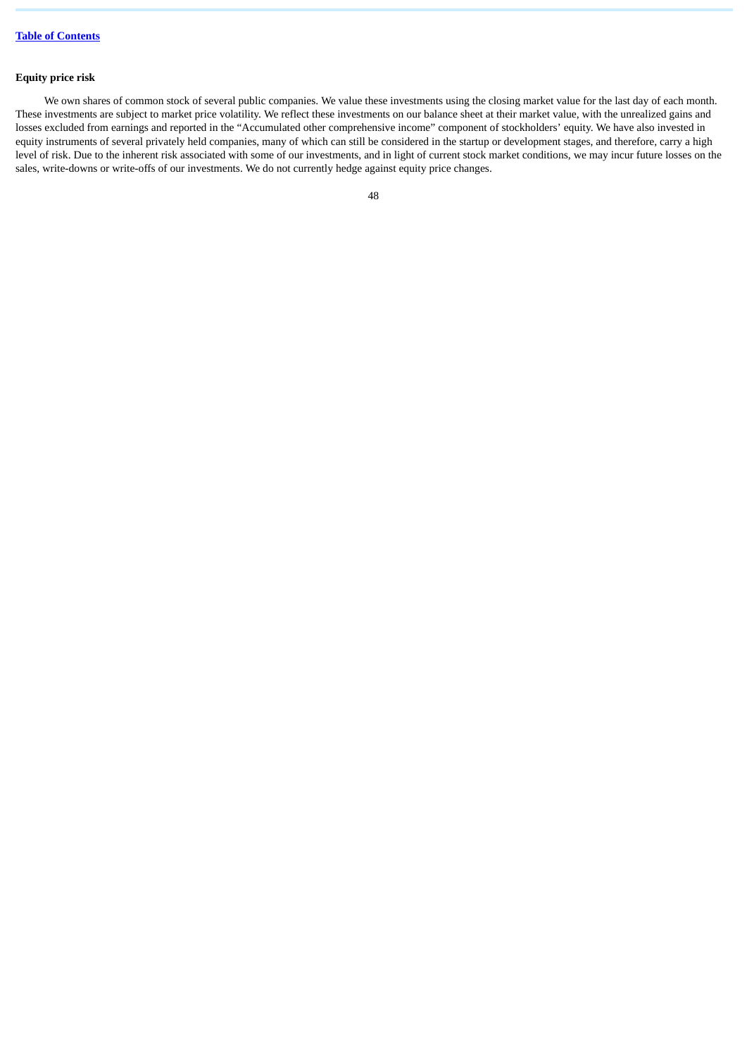# **Equity price risk**

We own shares of common stock of several public companies. We value these investments using the closing market value for the last day of each month. These investments are subject to market price volatility. We reflect these investments on our balance sheet at their market value, with the unrealized gains and losses excluded from earnings and reported in the "Accumulated other comprehensive income" component of stockholders' equity. We have also invested in equity instruments of several privately held companies, many of which can still be considered in the startup or development stages, and therefore, carry a high level of risk. Due to the inherent risk associated with some of our investments, and in light of current stock market conditions, we may incur future losses on the sales, write-downs or write-offs of our investments. We do not currently hedge against equity price changes.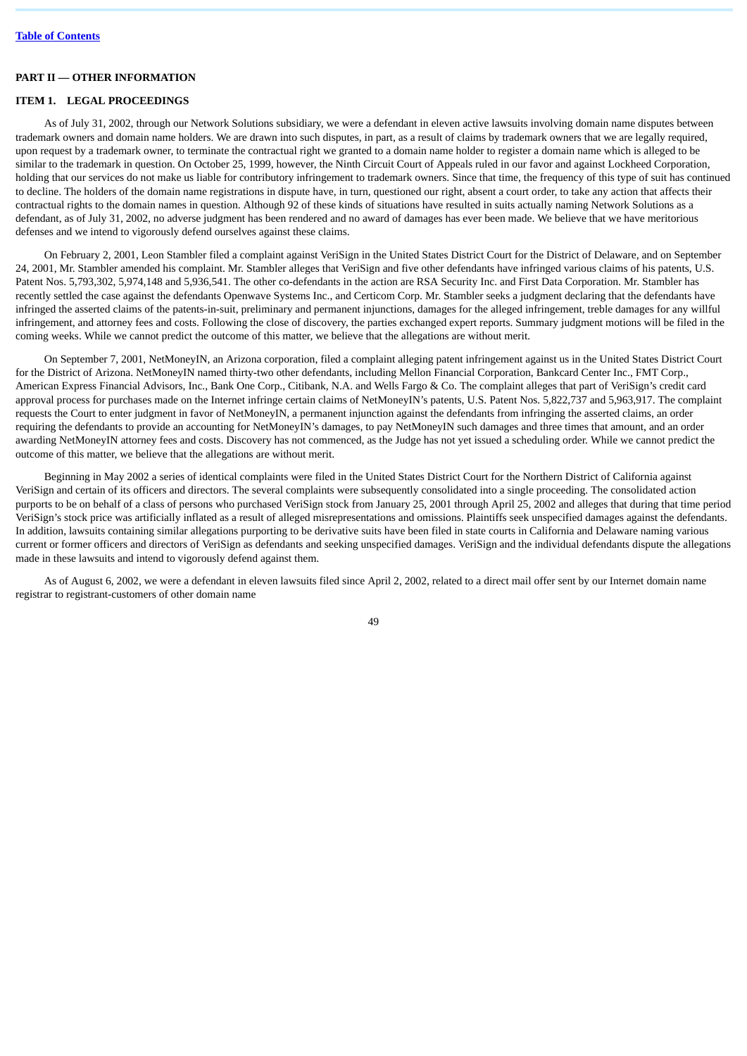# **PART II — OTHER INFORMATION**

### **ITEM 1. LEGAL PROCEEDINGS**

As of July 31, 2002, through our Network Solutions subsidiary, we were a defendant in eleven active lawsuits involving domain name disputes between trademark owners and domain name holders. We are drawn into such disputes, in part, as a result of claims by trademark owners that we are legally required, upon request by a trademark owner, to terminate the contractual right we granted to a domain name holder to register a domain name which is alleged to be similar to the trademark in question. On October 25, 1999, however, the Ninth Circuit Court of Appeals ruled in our favor and against Lockheed Corporation, holding that our services do not make us liable for contributory infringement to trademark owners. Since that time, the frequency of this type of suit has continued to decline. The holders of the domain name registrations in dispute have, in turn, questioned our right, absent a court order, to take any action that affects their contractual rights to the domain names in question. Although 92 of these kinds of situations have resulted in suits actually naming Network Solutions as a defendant, as of July 31, 2002, no adverse judgment has been rendered and no award of damages has ever been made. We believe that we have meritorious defenses and we intend to vigorously defend ourselves against these claims.

On February 2, 2001, Leon Stambler filed a complaint against VeriSign in the United States District Court for the District of Delaware, and on September 24, 2001, Mr. Stambler amended his complaint. Mr. Stambler alleges that VeriSign and five other defendants have infringed various claims of his patents, U.S. Patent Nos. 5,793,302, 5,974,148 and 5,936,541. The other co-defendants in the action are RSA Security Inc. and First Data Corporation. Mr. Stambler has recently settled the case against the defendants Openwave Systems Inc., and Certicom Corp. Mr. Stambler seeks a judgment declaring that the defendants have infringed the asserted claims of the patents-in-suit, preliminary and permanent injunctions, damages for the alleged infringement, treble damages for any willful infringement, and attorney fees and costs. Following the close of discovery, the parties exchanged expert reports. Summary judgment motions will be filed in the coming weeks. While we cannot predict the outcome of this matter, we believe that the allegations are without merit.

On September 7, 2001, NetMoneyIN, an Arizona corporation, filed a complaint alleging patent infringement against us in the United States District Court for the District of Arizona. NetMoneyIN named thirty-two other defendants, including Mellon Financial Corporation, Bankcard Center Inc., FMT Corp., American Express Financial Advisors, Inc., Bank One Corp., Citibank, N.A. and Wells Fargo & Co. The complaint alleges that part of VeriSign's credit card approval process for purchases made on the Internet infringe certain claims of NetMoneyIN's patents, U.S. Patent Nos. 5,822,737 and 5,963,917. The complaint requests the Court to enter judgment in favor of NetMoneyIN, a permanent injunction against the defendants from infringing the asserted claims, an order requiring the defendants to provide an accounting for NetMoneyIN's damages, to pay NetMoneyIN such damages and three times that amount, and an order awarding NetMoneyIN attorney fees and costs. Discovery has not commenced, as the Judge has not yet issued a scheduling order. While we cannot predict the outcome of this matter, we believe that the allegations are without merit.

Beginning in May 2002 a series of identical complaints were filed in the United States District Court for the Northern District of California against VeriSign and certain of its officers and directors. The several complaints were subsequently consolidated into a single proceeding. The consolidated action purports to be on behalf of a class of persons who purchased VeriSign stock from January 25, 2001 through April 25, 2002 and alleges that during that time period VeriSign's stock price was artificially inflated as a result of alleged misrepresentations and omissions. Plaintiffs seek unspecified damages against the defendants. In addition, lawsuits containing similar allegations purporting to be derivative suits have been filed in state courts in California and Delaware naming various current or former officers and directors of VeriSign as defendants and seeking unspecified damages. VeriSign and the individual defendants dispute the allegations made in these lawsuits and intend to vigorously defend against them.

As of August 6, 2002, we were a defendant in eleven lawsuits filed since April 2, 2002, related to a direct mail offer sent by our Internet domain name registrar to registrant-customers of other domain name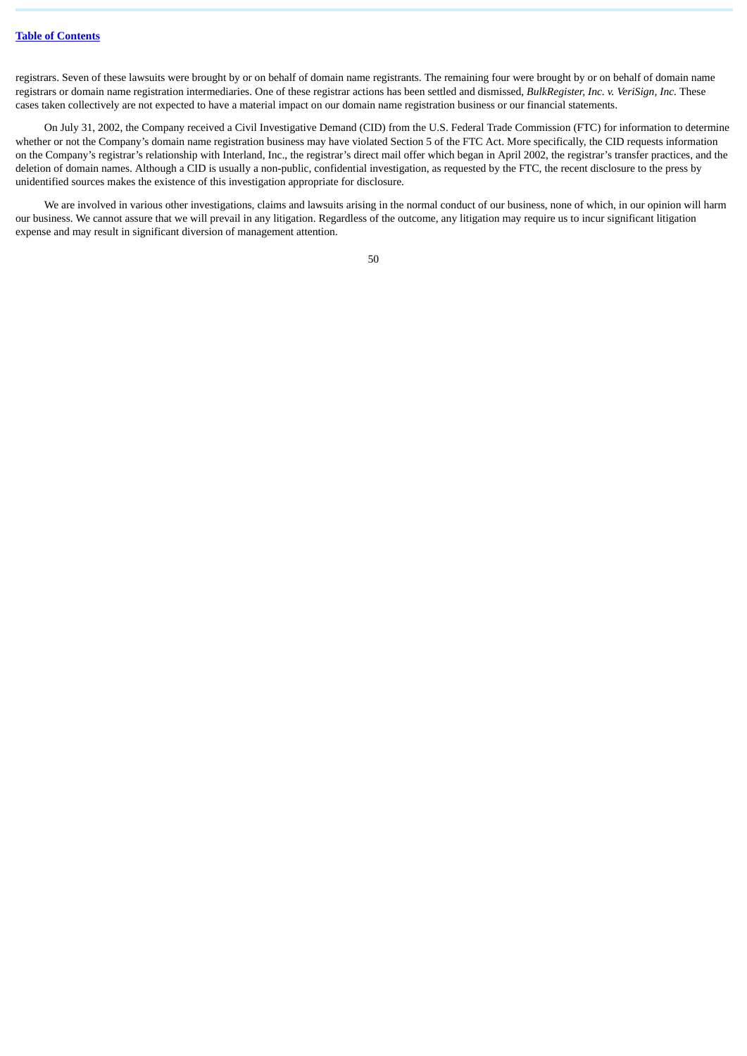registrars. Seven of these lawsuits were brought by or on behalf of domain name registrants. The remaining four were brought by or on behalf of domain name registrars or domain name registration intermediaries. One of these registrar actions has been settled and dismissed, *BulkRegister, Inc. v. VeriSign, Inc.* These cases taken collectively are not expected to have a material impact on our domain name registration business or our financial statements.

On July 31, 2002, the Company received a Civil Investigative Demand (CID) from the U.S. Federal Trade Commission (FTC) for information to determine whether or not the Company's domain name registration business may have violated Section 5 of the FTC Act. More specifically, the CID requests information on the Company's registrar's relationship with Interland, Inc., the registrar's direct mail offer which began in April 2002, the registrar's transfer practices, and the deletion of domain names. Although a CID is usually a non-public, confidential investigation, as requested by the FTC, the recent disclosure to the press by unidentified sources makes the existence of this investigation appropriate for disclosure.

We are involved in various other investigations, claims and lawsuits arising in the normal conduct of our business, none of which, in our opinion will harm our business. We cannot assure that we will prevail in any litigation. Regardless of the outcome, any litigation may require us to incur significant litigation expense and may result in significant diversion of management attention.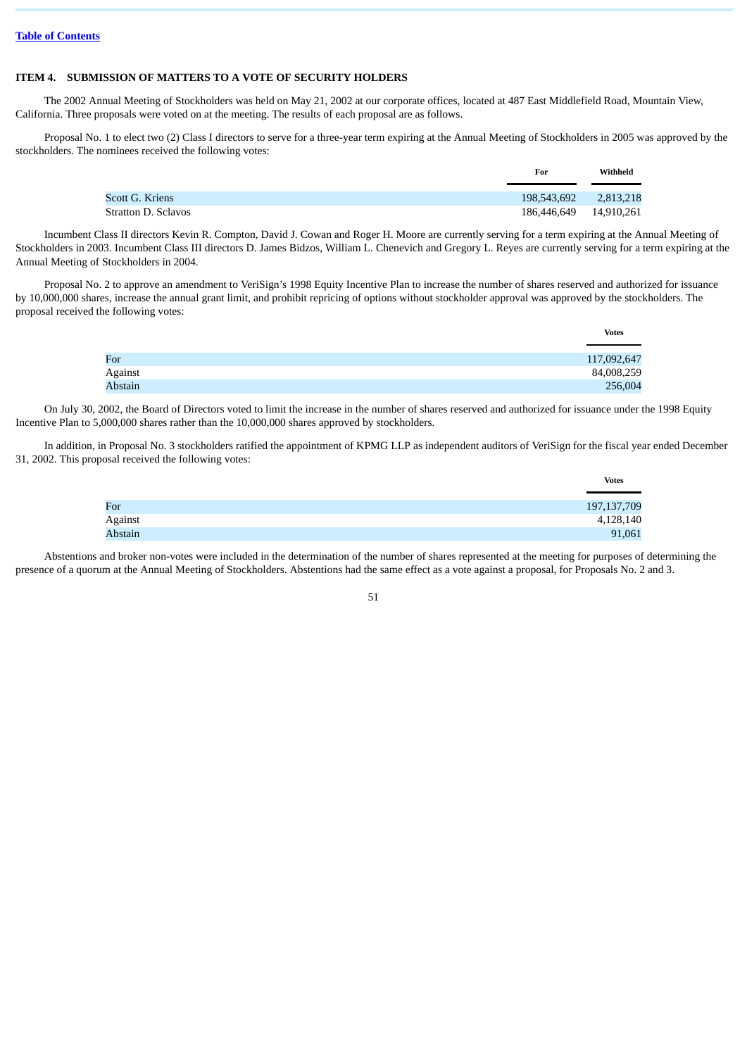# **ITEM 4. SUBMISSION OF MATTERS TO A VOTE OF SECURITY HOLDERS**

The 2002 Annual Meeting of Stockholders was held on May 21, 2002 at our corporate offices, located at 487 East Middlefield Road, Mountain View, California. Three proposals were voted on at the meeting. The results of each proposal are as follows.

Proposal No. 1 to elect two (2) Class I directors to serve for a three-year term expiring at the Annual Meeting of Stockholders in 2005 was approved by the stockholders. The nominees received the following votes:

|                     | For                    | Withheld  |
|---------------------|------------------------|-----------|
| Scott G. Kriens     | 198,543,692            | 2,813,218 |
| Stratton D. Sclavos | 186,446,649 14,910,261 |           |

Incumbent Class II directors Kevin R. Compton, David J. Cowan and Roger H. Moore are currently serving for a term expiring at the Annual Meeting of Stockholders in 2003. Incumbent Class III directors D. James Bidzos, William L. Chenevich and Gregory L. Reyes are currently serving for a term expiring at the Annual Meeting of Stockholders in 2004.

Proposal No. 2 to approve an amendment to VeriSign's 1998 Equity Incentive Plan to increase the number of shares reserved and authorized for issuance by 10,000,000 shares, increase the annual grant limit, and prohibit repricing of options without stockholder approval was approved by the stockholders. The proposal received the following votes:

|         | <b>Votes</b> |
|---------|--------------|
|         |              |
| For     | 117,092,647  |
| Against | 84,008,259   |
| Abstain | 256,004      |

On July 30, 2002, the Board of Directors voted to limit the increase in the number of shares reserved and authorized for issuance under the 1998 Equity Incentive Plan to 5,000,000 shares rather than the 10,000,000 shares approved by stockholders.

In addition, in Proposal No. 3 stockholders ratified the appointment of KPMG LLP as independent auditors of VeriSign for the fiscal year ended December 31, 2002. This proposal received the following votes:

|         | <b>Votes</b>  |
|---------|---------------|
|         |               |
| For     | 197, 137, 709 |
| Against | 4,128,140     |
| Abstain | 91,061        |

Abstentions and broker non-votes were included in the determination of the number of shares represented at the meeting for purposes of determining the presence of a quorum at the Annual Meeting of Stockholders. Abstentions had the same effect as a vote against a proposal, for Proposals No. 2 and 3.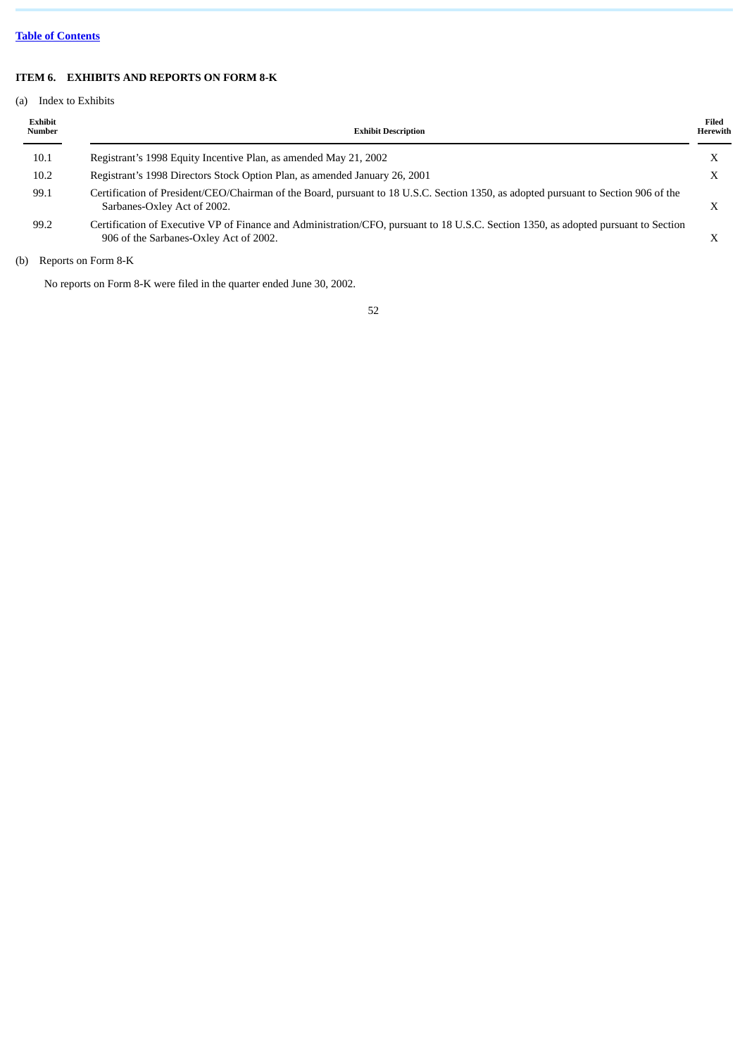# **Table of [Contents](#page-1-0)**

# **ITEM 6. EXHIBITS AND REPORTS ON FORM 8-K**

# (a) Index to Exhibits

| Exhibit<br>Number | <b>Exhibit Description</b>                                                                                                                                                    | Filed<br>Herewith |
|-------------------|-------------------------------------------------------------------------------------------------------------------------------------------------------------------------------|-------------------|
| 10.1              | Registrant's 1998 Equity Incentive Plan, as amended May 21, 2002                                                                                                              |                   |
| 10.2              | Registrant's 1998 Directors Stock Option Plan, as amended January 26, 2001                                                                                                    |                   |
| 99.1              | Certification of President/CEO/Chairman of the Board, pursuant to 18 U.S.C. Section 1350, as adopted pursuant to Section 906 of the<br>Sarbanes-Oxley Act of 2002.            |                   |
| 99.2              | Certification of Executive VP of Finance and Administration/CFO, pursuant to 18 U.S.C. Section 1350, as adopted pursuant to Section<br>906 of the Sarbanes-Oxley Act of 2002. |                   |

(b) Reports on Form 8-K

No reports on Form 8-K were filed in the quarter ended June 30, 2002.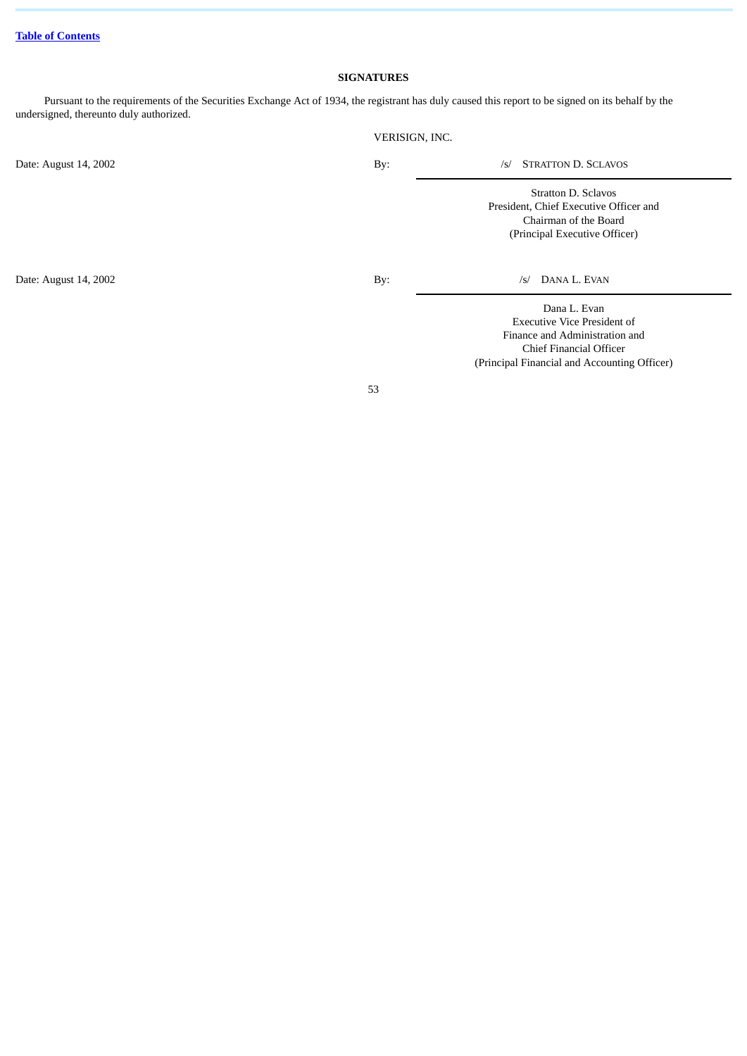# **SIGNATURES**

Pursuant to the requirements of the Securities Exchange Act of 1934, the registrant has duly caused this report to be signed on its behalf by the undersigned, thereunto duly authorized.

|                       | VERISIGN, INC. |                                                                                                                         |
|-----------------------|----------------|-------------------------------------------------------------------------------------------------------------------------|
| Date: August 14, 2002 | By:            | <b>STRATTON D. SCLAVOS</b><br>/s/                                                                                       |
|                       |                | Stratton D. Sclavos<br>President, Chief Executive Officer and<br>Chairman of the Board<br>(Principal Executive Officer) |
| Date: August 14, 2002 | By:            | DANA L. EVAN<br>/s/                                                                                                     |
|                       |                | Dana L. Evan<br><b>Executive Vice President of</b><br>Finance and Administration and                                    |

53

Chief Financial Officer (Principal Financial and Accounting Officer)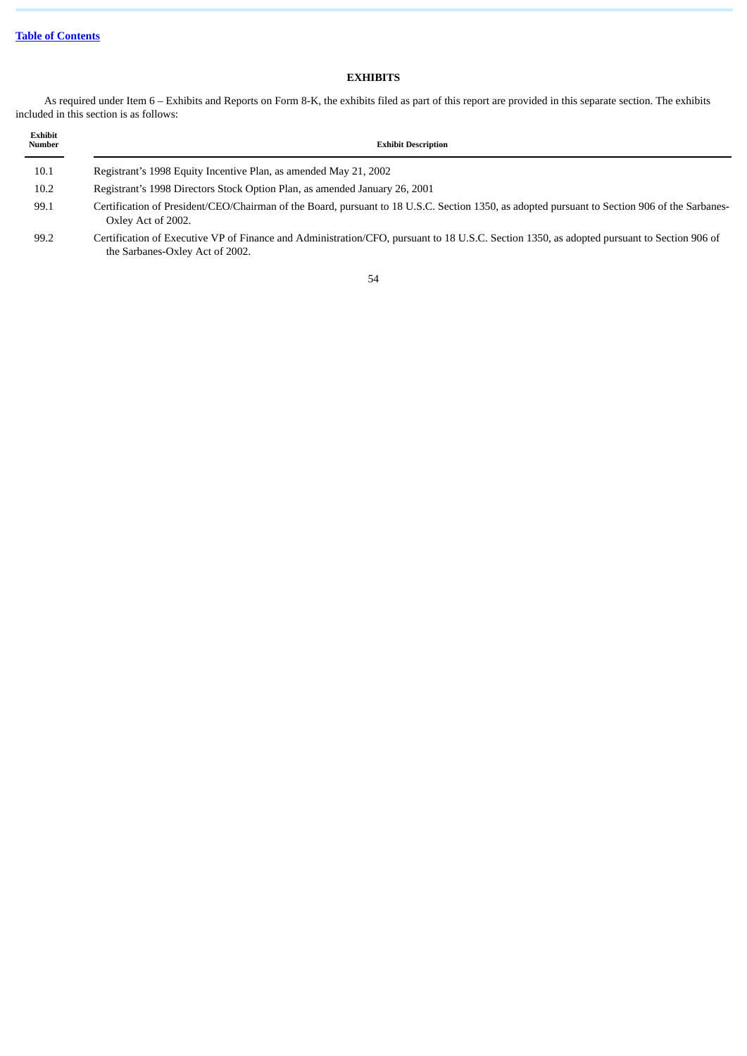# **EXHIBITS**

As required under Item 6 – Exhibits and Reports on Form 8-K, the exhibits filed as part of this report are provided in this separate section. The exhibits included in this section is as follows:

| Exhibit<br>Number | <b>Exhibit Description</b>                                                                                                                                                    |
|-------------------|-------------------------------------------------------------------------------------------------------------------------------------------------------------------------------|
| 10.1              | Registrant's 1998 Equity Incentive Plan, as amended May 21, 2002                                                                                                              |
| 10.2              | Registrant's 1998 Directors Stock Option Plan, as amended January 26, 2001                                                                                                    |
| 99.1              | Certification of President/CEO/Chairman of the Board, pursuant to 18 U.S.C. Section 1350, as adopted pursuant to Section 906 of the Sarbanes-<br>Oxley Act of 2002.           |
| 99.2              | Certification of Executive VP of Finance and Administration/CFO, pursuant to 18 U.S.C. Section 1350, as adopted pursuant to Section 906 of<br>the Sarbanes-Oxley Act of 2002. |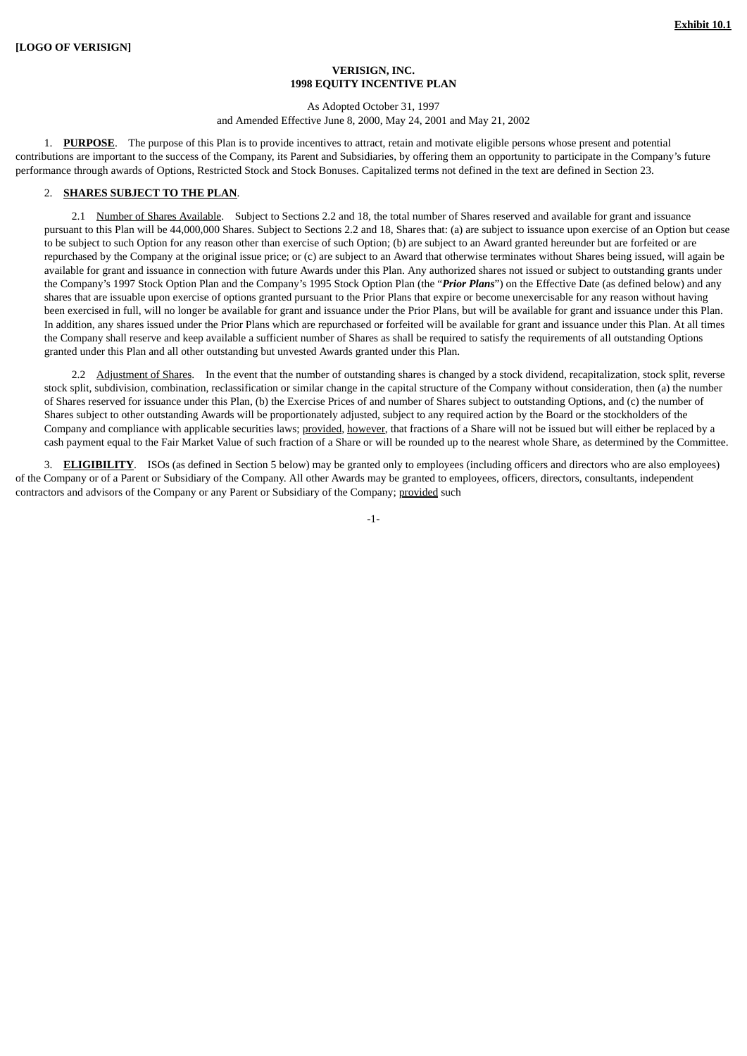### **VERISIGN, INC. 1998 EQUITY INCENTIVE PLAN**

#### As Adopted October 31, 1997

and Amended Effective June 8, 2000, May 24, 2001 and May 21, 2002

1. **PURPOSE**. The purpose of this Plan is to provide incentives to attract, retain and motivate eligible persons whose present and potential contributions are important to the success of the Company, its Parent and Subsidiaries, by offering them an opportunity to participate in the Company's future performance through awards of Options, Restricted Stock and Stock Bonuses. Capitalized terms not defined in the text are defined in Section 23.

## 2. **SHARES SUBJECT TO THE PLAN**.

2.1 Number of Shares Available. Subject to Sections 2.2 and 18, the total number of Shares reserved and available for grant and issuance pursuant to this Plan will be 44,000,000 Shares. Subject to Sections 2.2 and 18, Shares that: (a) are subject to issuance upon exercise of an Option but cease to be subject to such Option for any reason other than exercise of such Option; (b) are subject to an Award granted hereunder but are forfeited or are repurchased by the Company at the original issue price; or (c) are subject to an Award that otherwise terminates without Shares being issued, will again be available for grant and issuance in connection with future Awards under this Plan. Any authorized shares not issued or subject to outstanding grants under the Company's 1997 Stock Option Plan and the Company's 1995 Stock Option Plan (the "*Prior Plans*") on the Effective Date (as defined below) and any shares that are issuable upon exercise of options granted pursuant to the Prior Plans that expire or become unexercisable for any reason without having been exercised in full, will no longer be available for grant and issuance under the Prior Plans, but will be available for grant and issuance under this Plan. In addition, any shares issued under the Prior Plans which are repurchased or forfeited will be available for grant and issuance under this Plan. At all times the Company shall reserve and keep available a sufficient number of Shares as shall be required to satisfy the requirements of all outstanding Options granted under this Plan and all other outstanding but unvested Awards granted under this Plan.

2.2 Adjustment of Shares. In the event that the number of outstanding shares is changed by a stock dividend, recapitalization, stock split, reverse stock split, subdivision, combination, reclassification or similar change in the capital structure of the Company without consideration, then (a) the number of Shares reserved for issuance under this Plan, (b) the Exercise Prices of and number of Shares subject to outstanding Options, and (c) the number of Shares subject to other outstanding Awards will be proportionately adjusted, subject to any required action by the Board or the stockholders of the Company and compliance with applicable securities laws; provided, however, that fractions of a Share will not be issued but will either be replaced by a cash payment equal to the Fair Market Value of such fraction of a Share or will be rounded up to the nearest whole Share, as determined by the Committee.

3. **ELIGIBILITY**. ISOs (as defined in Section 5 below) may be granted only to employees (including officers and directors who are also employees) of the Company or of a Parent or Subsidiary of the Company. All other Awards may be granted to employees, officers, directors, consultants, independent contractors and advisors of the Company or any Parent or Subsidiary of the Company; provided such

 $-1-$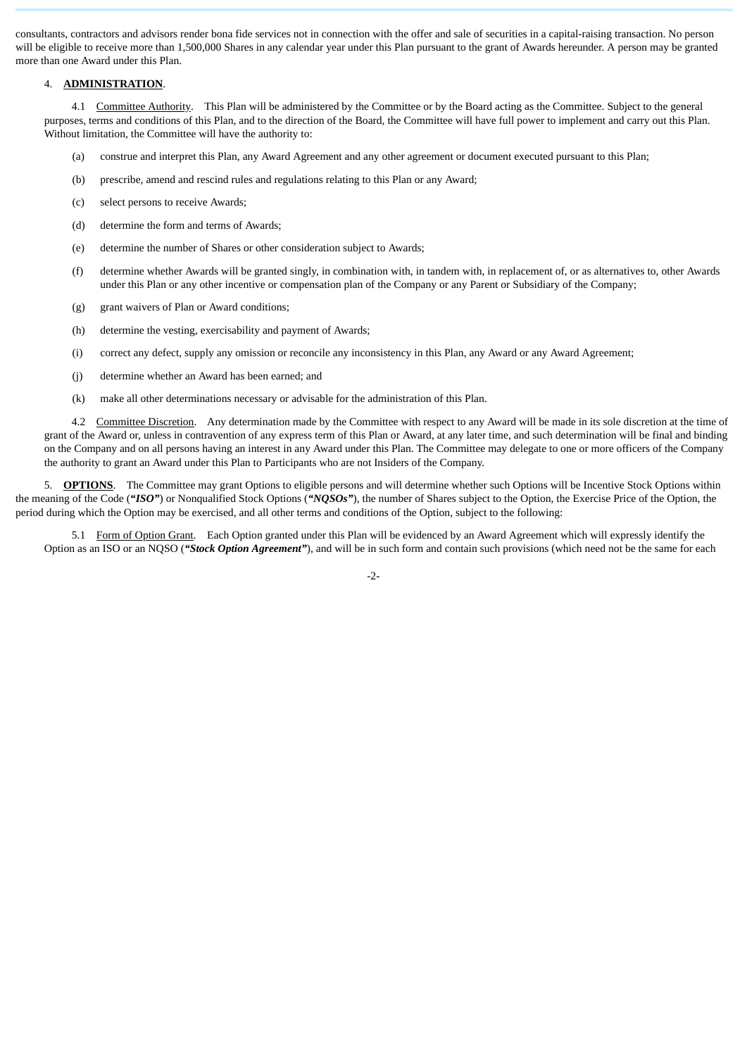consultants, contractors and advisors render bona fide services not in connection with the offer and sale of securities in a capital-raising transaction. No person will be eligible to receive more than 1,500,000 Shares in any calendar year under this Plan pursuant to the grant of Awards hereunder. A person may be granted more than one Award under this Plan.

### 4. **ADMINISTRATION**.

4.1 Committee Authority. This Plan will be administered by the Committee or by the Board acting as the Committee. Subject to the general purposes, terms and conditions of this Plan, and to the direction of the Board, the Committee will have full power to implement and carry out this Plan. Without limitation, the Committee will have the authority to:

- (a) construe and interpret this Plan, any Award Agreement and any other agreement or document executed pursuant to this Plan;
- (b) prescribe, amend and rescind rules and regulations relating to this Plan or any Award;
- (c) select persons to receive Awards;
- (d) determine the form and terms of Awards;
- (e) determine the number of Shares or other consideration subject to Awards;
- (f) determine whether Awards will be granted singly, in combination with, in tandem with, in replacement of, or as alternatives to, other Awards under this Plan or any other incentive or compensation plan of the Company or any Parent or Subsidiary of the Company;
- (g) grant waivers of Plan or Award conditions;
- (h) determine the vesting, exercisability and payment of Awards;
- (i) correct any defect, supply any omission or reconcile any inconsistency in this Plan, any Award or any Award Agreement;
- (j) determine whether an Award has been earned; and
- (k) make all other determinations necessary or advisable for the administration of this Plan.

4.2 Committee Discretion. Any determination made by the Committee with respect to any Award will be made in its sole discretion at the time of grant of the Award or, unless in contravention of any express term of this Plan or Award, at any later time, and such determination will be final and binding on the Company and on all persons having an interest in any Award under this Plan. The Committee may delegate to one or more officers of the Company the authority to grant an Award under this Plan to Participants who are not Insiders of the Company.

5. **OPTIONS**. The Committee may grant Options to eligible persons and will determine whether such Options will be Incentive Stock Options within the meaning of the Code (*"ISO"*) or Nonqualified Stock Options (*"NQSOs"*), the number of Shares subject to the Option, the Exercise Price of the Option, the period during which the Option may be exercised, and all other terms and conditions of the Option, subject to the following:

5.1 Form of Option Grant. Each Option granted under this Plan will be evidenced by an Award Agreement which will expressly identify the Option as an ISO or an NQSO (*"Stock Option Agreement"*), and will be in such form and contain such provisions (which need not be the same for each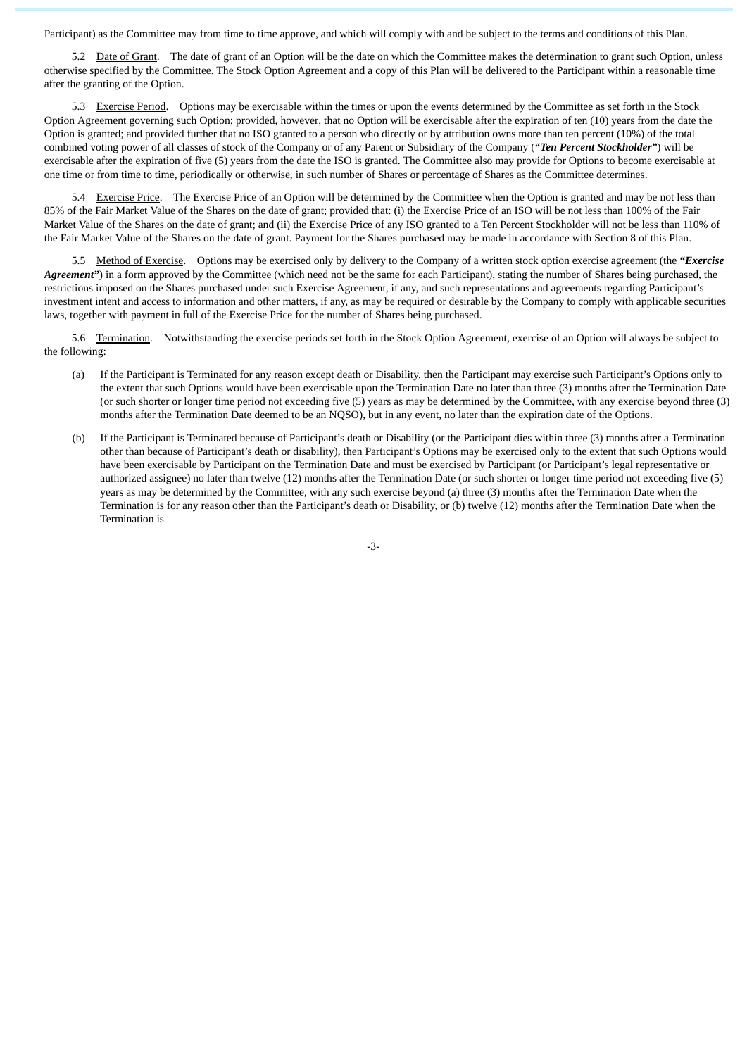Participant) as the Committee may from time to time approve, and which will comply with and be subject to the terms and conditions of this Plan.

5.2 Date of Grant. The date of grant of an Option will be the date on which the Committee makes the determination to grant such Option, unless otherwise specified by the Committee. The Stock Option Agreement and a copy of this Plan will be delivered to the Participant within a reasonable time after the granting of the Option.

5.3 Exercise Period. Options may be exercisable within the times or upon the events determined by the Committee as set forth in the Stock Option Agreement governing such Option; provided, however, that no Option will be exercisable after the expiration of ten (10) years from the date the Option is granted; and provided further that no ISO granted to a person who directly or by attribution owns more than ten percent (10%) of the total combined voting power of all classes of stock of the Company or of any Parent or Subsidiary of the Company (*"Ten Percent Stockholder"*) will be exercisable after the expiration of five (5) years from the date the ISO is granted. The Committee also may provide for Options to become exercisable at one time or from time to time, periodically or otherwise, in such number of Shares or percentage of Shares as the Committee determines.

5.4 Exercise Price. The Exercise Price of an Option will be determined by the Committee when the Option is granted and may be not less than 85% of the Fair Market Value of the Shares on the date of grant; provided that: (i) the Exercise Price of an ISO will be not less than 100% of the Fair Market Value of the Shares on the date of grant; and (ii) the Exercise Price of any ISO granted to a Ten Percent Stockholder will not be less than 110% of the Fair Market Value of the Shares on the date of grant. Payment for the Shares purchased may be made in accordance with Section 8 of this Plan.

5.5 Method of Exercise. Options may be exercised only by delivery to the Company of a written stock option exercise agreement (the *"Exercise Agreement*") in a form approved by the Committee (which need not be the same for each Participant), stating the number of Shares being purchased, the restrictions imposed on the Shares purchased under such Exercise Agreement, if any, and such representations and agreements regarding Participant's investment intent and access to information and other matters, if any, as may be required or desirable by the Company to comply with applicable securities laws, together with payment in full of the Exercise Price for the number of Shares being purchased.

5.6 Termination. Notwithstanding the exercise periods set forth in the Stock Option Agreement, exercise of an Option will always be subject to the following:

- (a) If the Participant is Terminated for any reason except death or Disability, then the Participant may exercise such Participant's Options only to the extent that such Options would have been exercisable upon the Termination Date no later than three (3) months after the Termination Date (or such shorter or longer time period not exceeding five (5) years as may be determined by the Committee, with any exercise beyond three (3) months after the Termination Date deemed to be an NQSO), but in any event, no later than the expiration date of the Options.
- (b) If the Participant is Terminated because of Participant's death or Disability (or the Participant dies within three (3) months after a Termination other than because of Participant's death or disability), then Participant's Options may be exercised only to the extent that such Options would have been exercisable by Participant on the Termination Date and must be exercised by Participant (or Participant's legal representative or authorized assignee) no later than twelve (12) months after the Termination Date (or such shorter or longer time period not exceeding five (5) years as may be determined by the Committee, with any such exercise beyond (a) three (3) months after the Termination Date when the Termination is for any reason other than the Participant's death or Disability, or (b) twelve (12) months after the Termination Date when the Termination is

-3-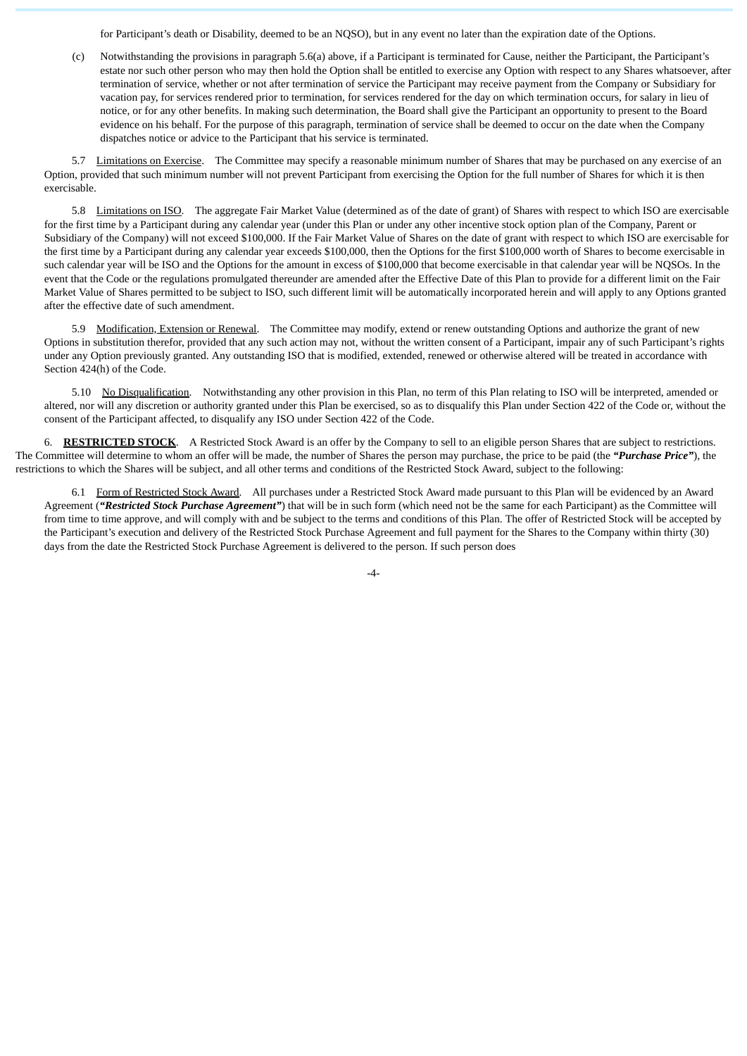for Participant's death or Disability, deemed to be an NQSO), but in any event no later than the expiration date of the Options.

(c) Notwithstanding the provisions in paragraph 5.6(a) above, if a Participant is terminated for Cause, neither the Participant, the Participant's estate nor such other person who may then hold the Option shall be entitled to exercise any Option with respect to any Shares whatsoever, after termination of service, whether or not after termination of service the Participant may receive payment from the Company or Subsidiary for vacation pay, for services rendered prior to termination, for services rendered for the day on which termination occurs, for salary in lieu of notice, or for any other benefits. In making such determination, the Board shall give the Participant an opportunity to present to the Board evidence on his behalf. For the purpose of this paragraph, termination of service shall be deemed to occur on the date when the Company dispatches notice or advice to the Participant that his service is terminated.

5.7 Limitations on Exercise. The Committee may specify a reasonable minimum number of Shares that may be purchased on any exercise of an Option, provided that such minimum number will not prevent Participant from exercising the Option for the full number of Shares for which it is then exercisable.

5.8 Limitations on ISO. The aggregate Fair Market Value (determined as of the date of grant) of Shares with respect to which ISO are exercisable for the first time by a Participant during any calendar year (under this Plan or under any other incentive stock option plan of the Company, Parent or Subsidiary of the Company) will not exceed \$100,000. If the Fair Market Value of Shares on the date of grant with respect to which ISO are exercisable for the first time by a Participant during any calendar year exceeds \$100,000, then the Options for the first \$100,000 worth of Shares to become exercisable in such calendar year will be ISO and the Options for the amount in excess of \$100,000 that become exercisable in that calendar year will be NQSOs. In the event that the Code or the regulations promulgated thereunder are amended after the Effective Date of this Plan to provide for a different limit on the Fair Market Value of Shares permitted to be subject to ISO, such different limit will be automatically incorporated herein and will apply to any Options granted after the effective date of such amendment.

5.9 Modification, Extension or Renewal. The Committee may modify, extend or renew outstanding Options and authorize the grant of new Options in substitution therefor, provided that any such action may not, without the written consent of a Participant, impair any of such Participant's rights under any Option previously granted. Any outstanding ISO that is modified, extended, renewed or otherwise altered will be treated in accordance with Section 424(h) of the Code.

5.10 No Disqualification. Notwithstanding any other provision in this Plan, no term of this Plan relating to ISO will be interpreted, amended or altered, nor will any discretion or authority granted under this Plan be exercised, so as to disqualify this Plan under Section 422 of the Code or, without the consent of the Participant affected, to disqualify any ISO under Section 422 of the Code.

6. **RESTRICTED STOCK**. A Restricted Stock Award is an offer by the Company to sell to an eligible person Shares that are subject to restrictions. The Committee will determine to whom an offer will be made, the number of Shares the person may purchase, the price to be paid (the *"Purchase Price"*), the restrictions to which the Shares will be subject, and all other terms and conditions of the Restricted Stock Award, subject to the following:

6.1 Form of Restricted Stock Award. All purchases under a Restricted Stock Award made pursuant to this Plan will be evidenced by an Award Agreement (*"Restricted Stock Purchase Agreement"*) that will be in such form (which need not be the same for each Participant) as the Committee will from time to time approve, and will comply with and be subject to the terms and conditions of this Plan. The offer of Restricted Stock will be accepted by the Participant's execution and delivery of the Restricted Stock Purchase Agreement and full payment for the Shares to the Company within thirty (30) days from the date the Restricted Stock Purchase Agreement is delivered to the person. If such person does

-4-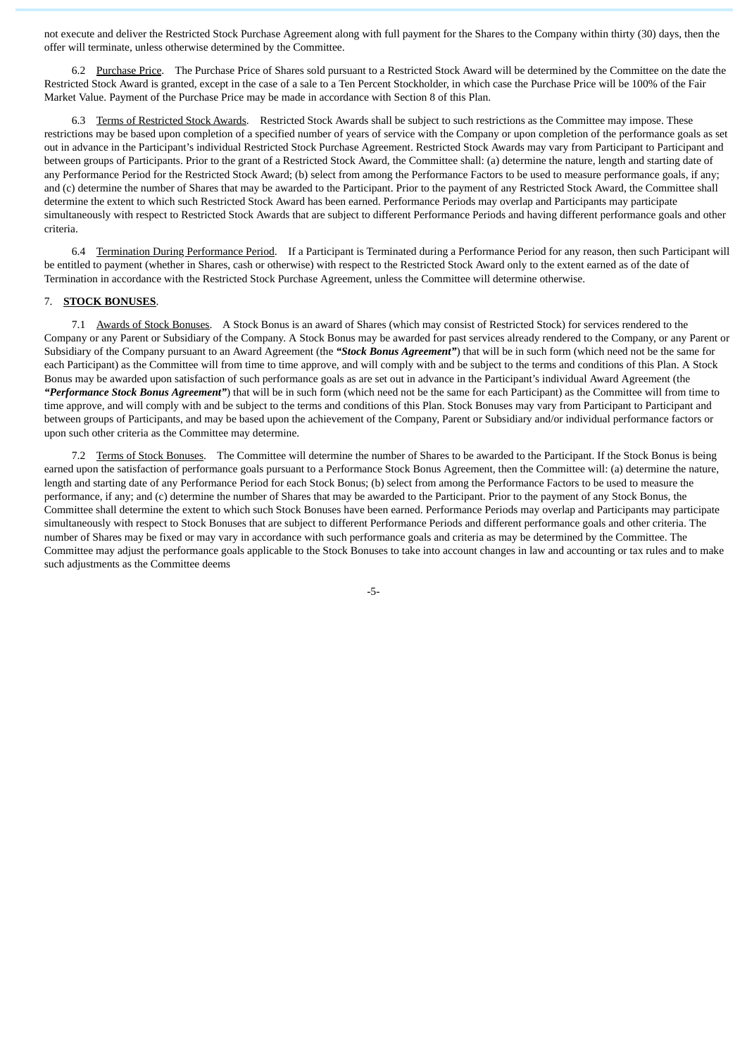not execute and deliver the Restricted Stock Purchase Agreement along with full payment for the Shares to the Company within thirty (30) days, then the offer will terminate, unless otherwise determined by the Committee.

6.2 Purchase Price. The Purchase Price of Shares sold pursuant to a Restricted Stock Award will be determined by the Committee on the date the Restricted Stock Award is granted, except in the case of a sale to a Ten Percent Stockholder, in which case the Purchase Price will be 100% of the Fair Market Value. Payment of the Purchase Price may be made in accordance with Section 8 of this Plan.

6.3 Terms of Restricted Stock Awards. Restricted Stock Awards shall be subject to such restrictions as the Committee may impose. These restrictions may be based upon completion of a specified number of years of service with the Company or upon completion of the performance goals as set out in advance in the Participant's individual Restricted Stock Purchase Agreement. Restricted Stock Awards may vary from Participant to Participant and between groups of Participants. Prior to the grant of a Restricted Stock Award, the Committee shall: (a) determine the nature, length and starting date of any Performance Period for the Restricted Stock Award; (b) select from among the Performance Factors to be used to measure performance goals, if any; and (c) determine the number of Shares that may be awarded to the Participant. Prior to the payment of any Restricted Stock Award, the Committee shall determine the extent to which such Restricted Stock Award has been earned. Performance Periods may overlap and Participants may participate simultaneously with respect to Restricted Stock Awards that are subject to different Performance Periods and having different performance goals and other criteria.

6.4 Termination During Performance Period. If a Participant is Terminated during a Performance Period for any reason, then such Participant will be entitled to payment (whether in Shares, cash or otherwise) with respect to the Restricted Stock Award only to the extent earned as of the date of Termination in accordance with the Restricted Stock Purchase Agreement, unless the Committee will determine otherwise.

#### 7. **STOCK BONUSES**.

7.1 Awards of Stock Bonuses. A Stock Bonus is an award of Shares (which may consist of Restricted Stock) for services rendered to the Company or any Parent or Subsidiary of the Company. A Stock Bonus may be awarded for past services already rendered to the Company, or any Parent or Subsidiary of the Company pursuant to an Award Agreement (the *"Stock Bonus Agreement"*) that will be in such form (which need not be the same for each Participant) as the Committee will from time to time approve, and will comply with and be subject to the terms and conditions of this Plan. A Stock Bonus may be awarded upon satisfaction of such performance goals as are set out in advance in the Participant's individual Award Agreement (the *"Performance Stock Bonus Agreement"*) that will be in such form (which need not be the same for each Participant) as the Committee will from time to time approve, and will comply with and be subject to the terms and conditions of this Plan. Stock Bonuses may vary from Participant to Participant and between groups of Participants, and may be based upon the achievement of the Company, Parent or Subsidiary and/or individual performance factors or upon such other criteria as the Committee may determine.

7.2 Terms of Stock Bonuses. The Committee will determine the number of Shares to be awarded to the Participant. If the Stock Bonus is being earned upon the satisfaction of performance goals pursuant to a Performance Stock Bonus Agreement, then the Committee will: (a) determine the nature, length and starting date of any Performance Period for each Stock Bonus; (b) select from among the Performance Factors to be used to measure the performance, if any; and (c) determine the number of Shares that may be awarded to the Participant. Prior to the payment of any Stock Bonus, the Committee shall determine the extent to which such Stock Bonuses have been earned. Performance Periods may overlap and Participants may participate simultaneously with respect to Stock Bonuses that are subject to different Performance Periods and different performance goals and other criteria. The number of Shares may be fixed or may vary in accordance with such performance goals and criteria as may be determined by the Committee. The Committee may adjust the performance goals applicable to the Stock Bonuses to take into account changes in law and accounting or tax rules and to make such adjustments as the Committee deems

-5-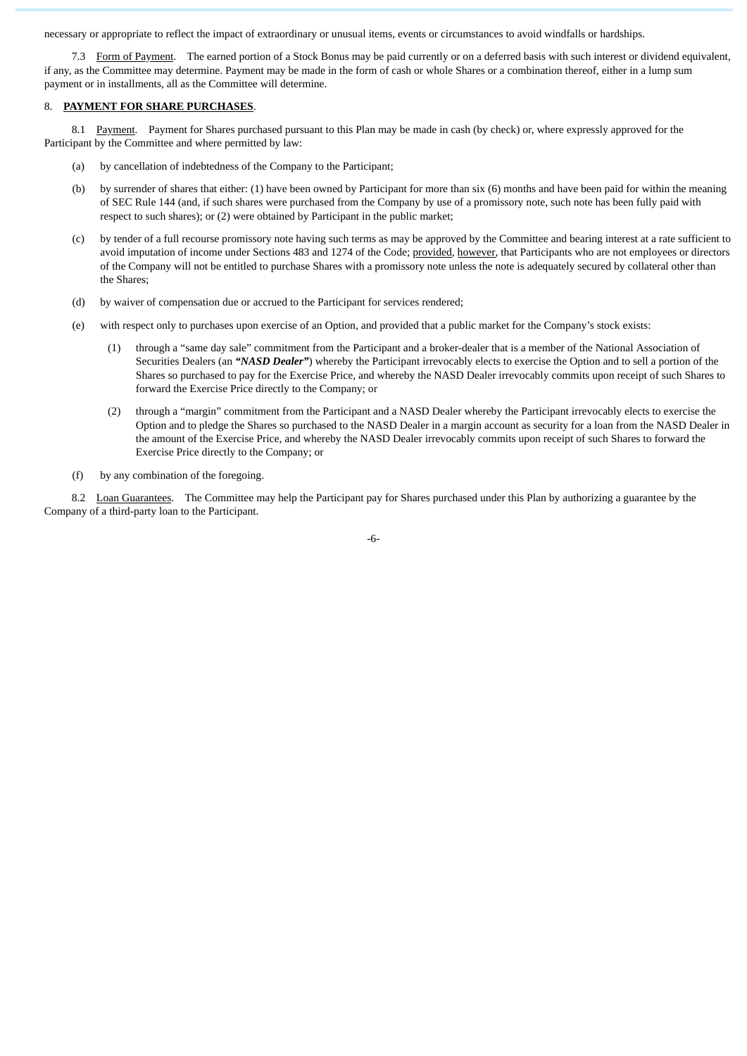necessary or appropriate to reflect the impact of extraordinary or unusual items, events or circumstances to avoid windfalls or hardships.

7.3 Form of Payment. The earned portion of a Stock Bonus may be paid currently or on a deferred basis with such interest or dividend equivalent, if any, as the Committee may determine. Payment may be made in the form of cash or whole Shares or a combination thereof, either in a lump sum payment or in installments, all as the Committee will determine.

# 8. **PAYMENT FOR SHARE PURCHASES**.

8.1 Payment. Payment for Shares purchased pursuant to this Plan may be made in cash (by check) or, where expressly approved for the Participant by the Committee and where permitted by law:

- (a) by cancellation of indebtedness of the Company to the Participant;
- (b) by surrender of shares that either: (1) have been owned by Participant for more than six (6) months and have been paid for within the meaning of SEC Rule 144 (and, if such shares were purchased from the Company by use of a promissory note, such note has been fully paid with respect to such shares); or (2) were obtained by Participant in the public market;
- (c) by tender of a full recourse promissory note having such terms as may be approved by the Committee and bearing interest at a rate sufficient to avoid imputation of income under Sections 483 and 1274 of the Code; provided, however, that Participants who are not employees or directors of the Company will not be entitled to purchase Shares with a promissory note unless the note is adequately secured by collateral other than the Shares;
- (d) by waiver of compensation due or accrued to the Participant for services rendered;
- (e) with respect only to purchases upon exercise of an Option, and provided that a public market for the Company's stock exists:
	- (1) through a "same day sale" commitment from the Participant and a broker-dealer that is a member of the National Association of Securities Dealers (an *"NASD Dealer"*) whereby the Participant irrevocably elects to exercise the Option and to sell a portion of the Shares so purchased to pay for the Exercise Price, and whereby the NASD Dealer irrevocably commits upon receipt of such Shares to forward the Exercise Price directly to the Company; or
	- (2) through a "margin" commitment from the Participant and a NASD Dealer whereby the Participant irrevocably elects to exercise the Option and to pledge the Shares so purchased to the NASD Dealer in a margin account as security for a loan from the NASD Dealer in the amount of the Exercise Price, and whereby the NASD Dealer irrevocably commits upon receipt of such Shares to forward the Exercise Price directly to the Company; or
- (f) by any combination of the foregoing.

8.2 Loan Guarantees. The Committee may help the Participant pay for Shares purchased under this Plan by authorizing a guarantee by the Company of a third-party loan to the Participant.

-6-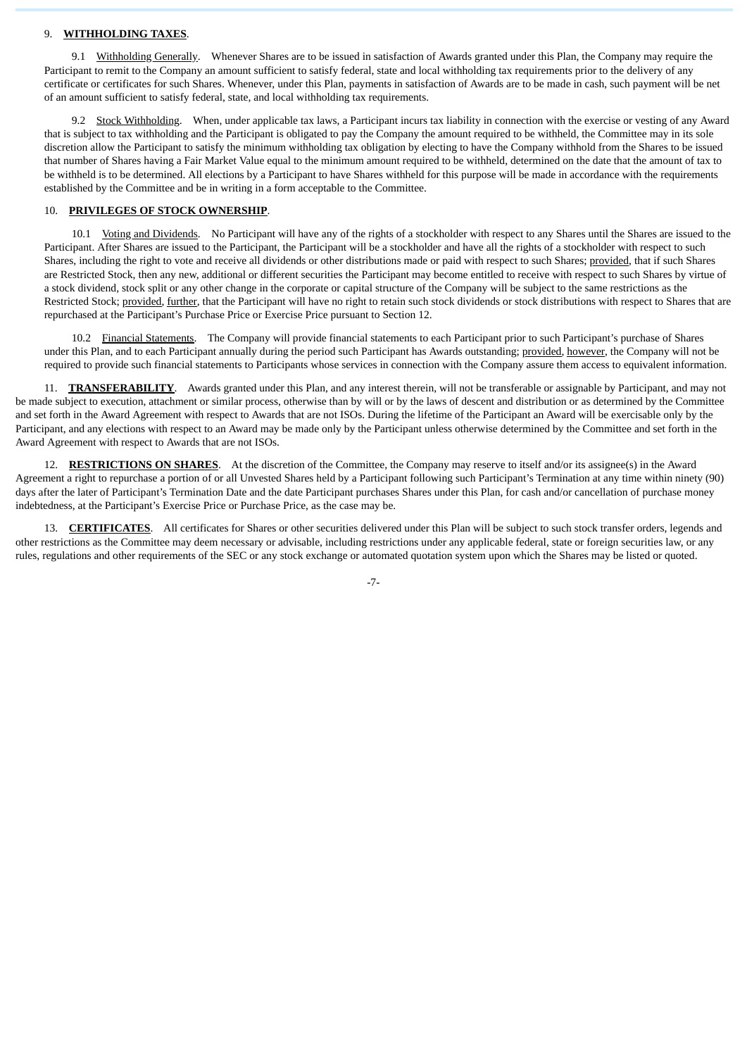#### 9. **WITHHOLDING TAXES**.

9.1 Withholding Generally. Whenever Shares are to be issued in satisfaction of Awards granted under this Plan, the Company may require the Participant to remit to the Company an amount sufficient to satisfy federal, state and local withholding tax requirements prior to the delivery of any certificate or certificates for such Shares. Whenever, under this Plan, payments in satisfaction of Awards are to be made in cash, such payment will be net of an amount sufficient to satisfy federal, state, and local withholding tax requirements.

9.2 Stock Withholding. When, under applicable tax laws, a Participant incurs tax liability in connection with the exercise or vesting of any Award that is subject to tax withholding and the Participant is obligated to pay the Company the amount required to be withheld, the Committee may in its sole discretion allow the Participant to satisfy the minimum withholding tax obligation by electing to have the Company withhold from the Shares to be issued that number of Shares having a Fair Market Value equal to the minimum amount required to be withheld, determined on the date that the amount of tax to be withheld is to be determined. All elections by a Participant to have Shares withheld for this purpose will be made in accordance with the requirements established by the Committee and be in writing in a form acceptable to the Committee.

### 10. **PRIVILEGES OF STOCK OWNERSHIP**.

10.1 Voting and Dividends. No Participant will have any of the rights of a stockholder with respect to any Shares until the Shares are issued to the Participant. After Shares are issued to the Participant, the Participant will be a stockholder and have all the rights of a stockholder with respect to such Shares, including the right to vote and receive all dividends or other distributions made or paid with respect to such Shares; provided, that if such Shares are Restricted Stock, then any new, additional or different securities the Participant may become entitled to receive with respect to such Shares by virtue of a stock dividend, stock split or any other change in the corporate or capital structure of the Company will be subject to the same restrictions as the Restricted Stock; provided, further, that the Participant will have no right to retain such stock dividends or stock distributions with respect to Shares that are repurchased at the Participant's Purchase Price or Exercise Price pursuant to Section 12.

10.2 Financial Statements. The Company will provide financial statements to each Participant prior to such Participant's purchase of Shares under this Plan, and to each Participant annually during the period such Participant has Awards outstanding; provided, however, the Company will not be required to provide such financial statements to Participants whose services in connection with the Company assure them access to equivalent information.

11. **TRANSFERABILITY**. Awards granted under this Plan, and any interest therein, will not be transferable or assignable by Participant, and may not be made subject to execution, attachment or similar process, otherwise than by will or by the laws of descent and distribution or as determined by the Committee and set forth in the Award Agreement with respect to Awards that are not ISOs. During the lifetime of the Participant an Award will be exercisable only by the Participant, and any elections with respect to an Award may be made only by the Participant unless otherwise determined by the Committee and set forth in the Award Agreement with respect to Awards that are not ISOs.

12. **RESTRICTIONS ON SHARES**. At the discretion of the Committee, the Company may reserve to itself and/or its assignee(s) in the Award Agreement a right to repurchase a portion of or all Unvested Shares held by a Participant following such Participant's Termination at any time within ninety (90) days after the later of Participant's Termination Date and the date Participant purchases Shares under this Plan, for cash and/or cancellation of purchase money indebtedness, at the Participant's Exercise Price or Purchase Price, as the case may be.

13. **CERTIFICATES**. All certificates for Shares or other securities delivered under this Plan will be subject to such stock transfer orders, legends and other restrictions as the Committee may deem necessary or advisable, including restrictions under any applicable federal, state or foreign securities law, or any rules, regulations and other requirements of the SEC or any stock exchange or automated quotation system upon which the Shares may be listed or quoted.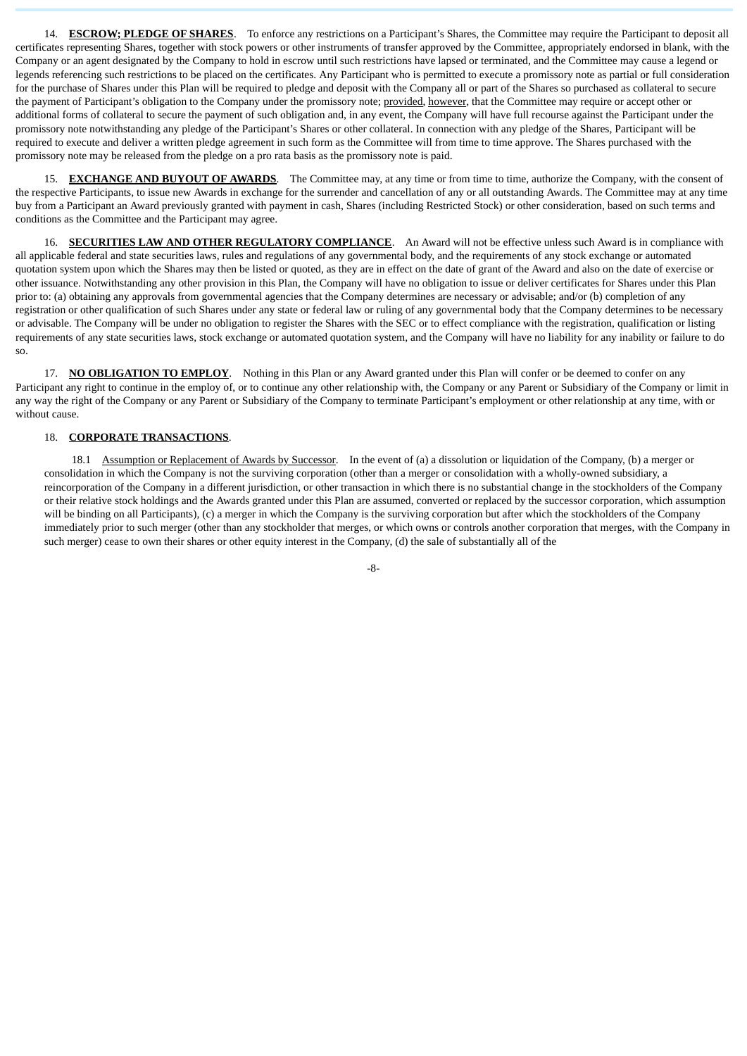14. **ESCROW; PLEDGE OF SHARES**. To enforce any restrictions on a Participant's Shares, the Committee may require the Participant to deposit all certificates representing Shares, together with stock powers or other instruments of transfer approved by the Committee, appropriately endorsed in blank, with the Company or an agent designated by the Company to hold in escrow until such restrictions have lapsed or terminated, and the Committee may cause a legend or legends referencing such restrictions to be placed on the certificates. Any Participant who is permitted to execute a promissory note as partial or full consideration for the purchase of Shares under this Plan will be required to pledge and deposit with the Company all or part of the Shares so purchased as collateral to secure the payment of Participant's obligation to the Company under the promissory note; provided, however, that the Committee may require or accept other or additional forms of collateral to secure the payment of such obligation and, in any event, the Company will have full recourse against the Participant under the promissory note notwithstanding any pledge of the Participant's Shares or other collateral. In connection with any pledge of the Shares, Participant will be required to execute and deliver a written pledge agreement in such form as the Committee will from time to time approve. The Shares purchased with the promissory note may be released from the pledge on a pro rata basis as the promissory note is paid.

15. **EXCHANGE AND BUYOUT OF AWARDS**. The Committee may, at any time or from time to time, authorize the Company, with the consent of the respective Participants, to issue new Awards in exchange for the surrender and cancellation of any or all outstanding Awards. The Committee may at any time buy from a Participant an Award previously granted with payment in cash, Shares (including Restricted Stock) or other consideration, based on such terms and conditions as the Committee and the Participant may agree.

16. **SECURITIES LAW AND OTHER REGULATORY COMPLIANCE**. An Award will not be effective unless such Award is in compliance with all applicable federal and state securities laws, rules and regulations of any governmental body, and the requirements of any stock exchange or automated quotation system upon which the Shares may then be listed or quoted, as they are in effect on the date of grant of the Award and also on the date of exercise or other issuance. Notwithstanding any other provision in this Plan, the Company will have no obligation to issue or deliver certificates for Shares under this Plan prior to: (a) obtaining any approvals from governmental agencies that the Company determines are necessary or advisable; and/or (b) completion of any registration or other qualification of such Shares under any state or federal law or ruling of any governmental body that the Company determines to be necessary or advisable. The Company will be under no obligation to register the Shares with the SEC or to effect compliance with the registration, qualification or listing requirements of any state securities laws, stock exchange or automated quotation system, and the Company will have no liability for any inability or failure to do so.

17. **NO OBLIGATION TO EMPLOY**. Nothing in this Plan or any Award granted under this Plan will confer or be deemed to confer on any Participant any right to continue in the employ of, or to continue any other relationship with, the Company or any Parent or Subsidiary of the Company or limit in any way the right of the Company or any Parent or Subsidiary of the Company to terminate Participant's employment or other relationship at any time, with or without cause.

# 18. **CORPORATE TRANSACTIONS**.

18.1 Assumption or Replacement of Awards by Successor. In the event of (a) a dissolution or liquidation of the Company, (b) a merger or consolidation in which the Company is not the surviving corporation (other than a merger or consolidation with a wholly-owned subsidiary, a reincorporation of the Company in a different jurisdiction, or other transaction in which there is no substantial change in the stockholders of the Company or their relative stock holdings and the Awards granted under this Plan are assumed, converted or replaced by the successor corporation, which assumption will be binding on all Participants), (c) a merger in which the Company is the surviving corporation but after which the stockholders of the Company immediately prior to such merger (other than any stockholder that merges, or which owns or controls another corporation that merges, with the Company in such merger) cease to own their shares or other equity interest in the Company, (d) the sale of substantially all of the

-8-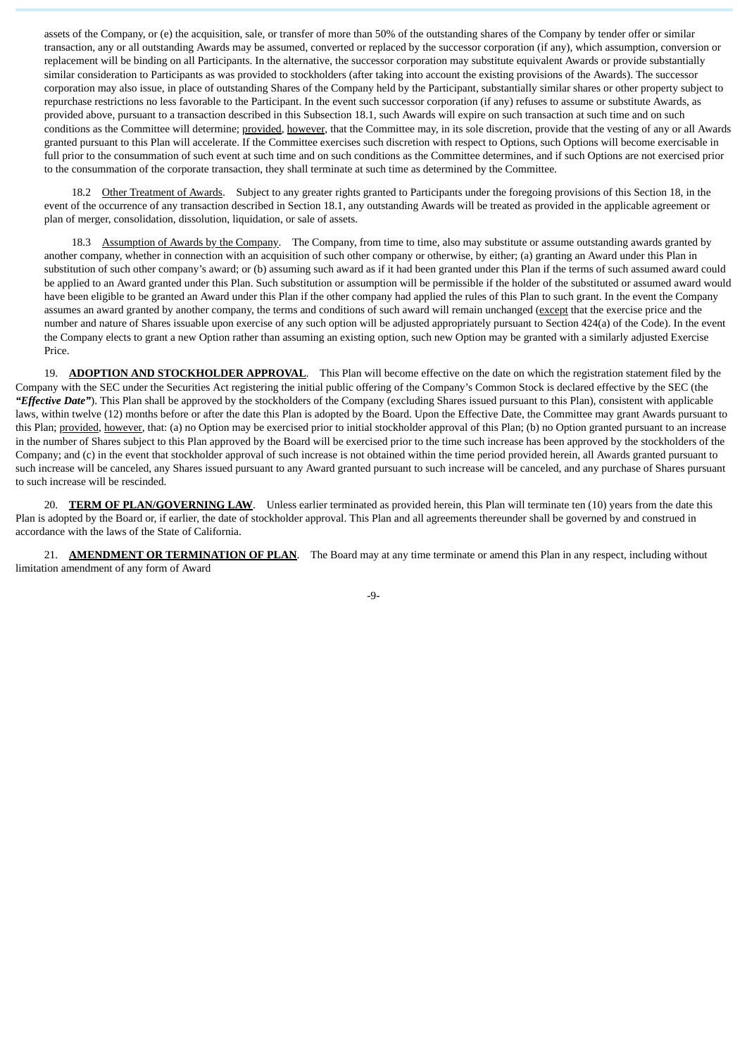assets of the Company, or (e) the acquisition, sale, or transfer of more than 50% of the outstanding shares of the Company by tender offer or similar transaction, any or all outstanding Awards may be assumed, converted or replaced by the successor corporation (if any), which assumption, conversion or replacement will be binding on all Participants. In the alternative, the successor corporation may substitute equivalent Awards or provide substantially similar consideration to Participants as was provided to stockholders (after taking into account the existing provisions of the Awards). The successor corporation may also issue, in place of outstanding Shares of the Company held by the Participant, substantially similar shares or other property subject to repurchase restrictions no less favorable to the Participant. In the event such successor corporation (if any) refuses to assume or substitute Awards, as provided above, pursuant to a transaction described in this Subsection 18.1, such Awards will expire on such transaction at such time and on such conditions as the Committee will determine; provided, however, that the Committee may, in its sole discretion, provide that the vesting of any or all Awards granted pursuant to this Plan will accelerate. If the Committee exercises such discretion with respect to Options, such Options will become exercisable in full prior to the consummation of such event at such time and on such conditions as the Committee determines, and if such Options are not exercised prior to the consummation of the corporate transaction, they shall terminate at such time as determined by the Committee.

18.2 Other Treatment of Awards. Subject to any greater rights granted to Participants under the foregoing provisions of this Section 18, in the event of the occurrence of any transaction described in Section 18.1, any outstanding Awards will be treated as provided in the applicable agreement or plan of merger, consolidation, dissolution, liquidation, or sale of assets.

18.3 Assumption of Awards by the Company. The Company, from time to time, also may substitute or assume outstanding awards granted by another company, whether in connection with an acquisition of such other company or otherwise, by either; (a) granting an Award under this Plan in substitution of such other company's award; or (b) assuming such award as if it had been granted under this Plan if the terms of such assumed award could be applied to an Award granted under this Plan. Such substitution or assumption will be permissible if the holder of the substituted or assumed award would have been eligible to be granted an Award under this Plan if the other company had applied the rules of this Plan to such grant. In the event the Company assumes an award granted by another company, the terms and conditions of such award will remain unchanged (except that the exercise price and the number and nature of Shares issuable upon exercise of any such option will be adjusted appropriately pursuant to Section 424(a) of the Code). In the event the Company elects to grant a new Option rather than assuming an existing option, such new Option may be granted with a similarly adjusted Exercise Price.

19. **ADOPTION AND STOCKHOLDER APPROVAL**. This Plan will become effective on the date on which the registration statement filed by the Company with the SEC under the Securities Act registering the initial public offering of the Company's Common Stock is declared effective by the SEC (the *"Effective Date"*). This Plan shall be approved by the stockholders of the Company (excluding Shares issued pursuant to this Plan), consistent with applicable laws, within twelve (12) months before or after the date this Plan is adopted by the Board. Upon the Effective Date, the Committee may grant Awards pursuant to this Plan; provided, however, that: (a) no Option may be exercised prior to initial stockholder approval of this Plan; (b) no Option granted pursuant to an increase in the number of Shares subject to this Plan approved by the Board will be exercised prior to the time such increase has been approved by the stockholders of the Company; and (c) in the event that stockholder approval of such increase is not obtained within the time period provided herein, all Awards granted pursuant to such increase will be canceled, any Shares issued pursuant to any Award granted pursuant to such increase will be canceled, and any purchase of Shares pursuant to such increase will be rescinded.

20. **TERM OF PLAN/GOVERNING LAW**. Unless earlier terminated as provided herein, this Plan will terminate ten (10) years from the date this Plan is adopted by the Board or, if earlier, the date of stockholder approval. This Plan and all agreements thereunder shall be governed by and construed in accordance with the laws of the State of California.

21. **AMENDMENT OR TERMINATION OF PLAN**. The Board may at any time terminate or amend this Plan in any respect, including without limitation amendment of any form of Award

-9-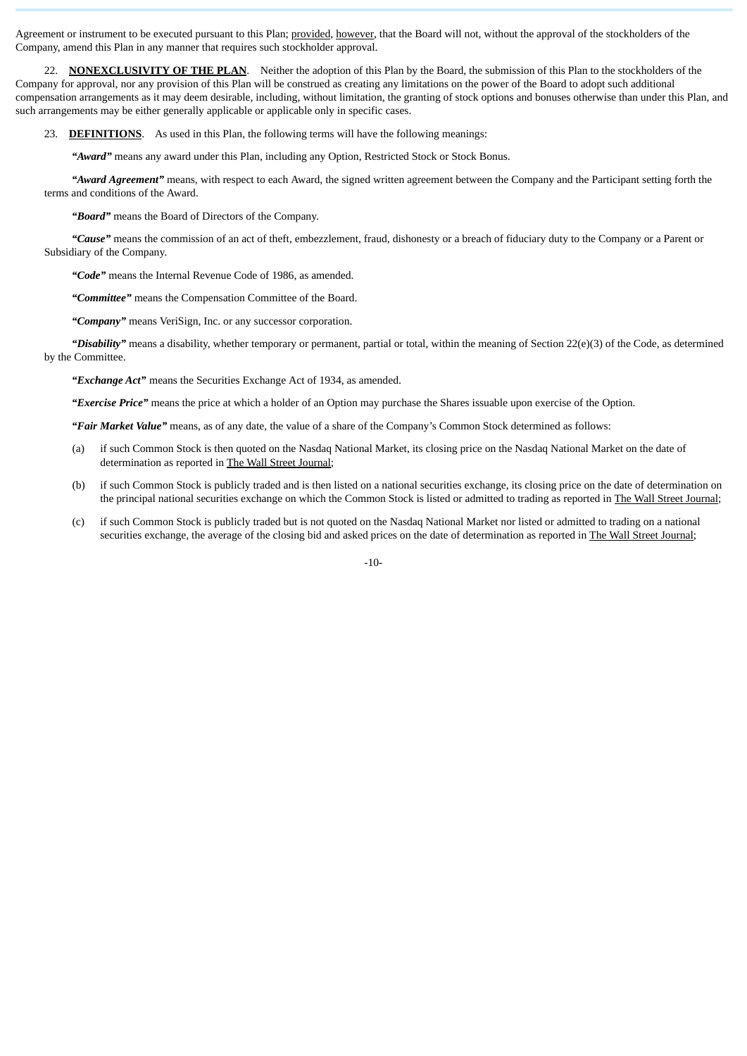Agreement or instrument to be executed pursuant to this Plan; provided, however, that the Board will not, without the approval of the stockholders of the Company, amend this Plan in any manner that requires such stockholder approval.

22. **NONEXCLUSIVITY OF THE PLAN**. Neither the adoption of this Plan by the Board, the submission of this Plan to the stockholders of the Company for approval, nor any provision of this Plan will be construed as creating any limitations on the power of the Board to adopt such additional compensation arrangements as it may deem desirable, including, without limitation, the granting of stock options and bonuses otherwise than under this Plan, and such arrangements may be either generally applicable or applicable only in specific cases.

23. **DEFINITIONS**. As used in this Plan, the following terms will have the following meanings:

*"Award"* means any award under this Plan, including any Option, Restricted Stock or Stock Bonus.

*"Award Agreement"* means, with respect to each Award, the signed written agreement between the Company and the Participant setting forth the terms and conditions of the Award.

*"Board"* means the Board of Directors of the Company.

*"Cause"* means the commission of an act of theft, embezzlement, fraud, dishonesty or a breach of fiduciary duty to the Company or a Parent or Subsidiary of the Company.

*"Code"* means the Internal Revenue Code of 1986, as amended.

*"Committee"* means the Compensation Committee of the Board.

*"Company"* means VeriSign, Inc. or any successor corporation.

*"Disability"* means a disability, whether temporary or permanent, partial or total, within the meaning of Section 22(e)(3) of the Code, as determined by the Committee.

*"Exchange Act"* means the Securities Exchange Act of 1934, as amended.

*"Exercise Price"* means the price at which a holder of an Option may purchase the Shares issuable upon exercise of the Option.

*"Fair Market Value"* means, as of any date, the value of a share of the Company's Common Stock determined as follows:

- (a) if such Common Stock is then quoted on the Nasdaq National Market, its closing price on the Nasdaq National Market on the date of determination as reported in The Wall Street Journal;
- (b) if such Common Stock is publicly traded and is then listed on a national securities exchange, its closing price on the date of determination on the principal national securities exchange on which the Common Stock is listed or admitted to trading as reported in The Wall Street Journal;
- (c) if such Common Stock is publicly traded but is not quoted on the Nasdaq National Market nor listed or admitted to trading on a national securities exchange, the average of the closing bid and asked prices on the date of determination as reported in The Wall Street Journal;

-10-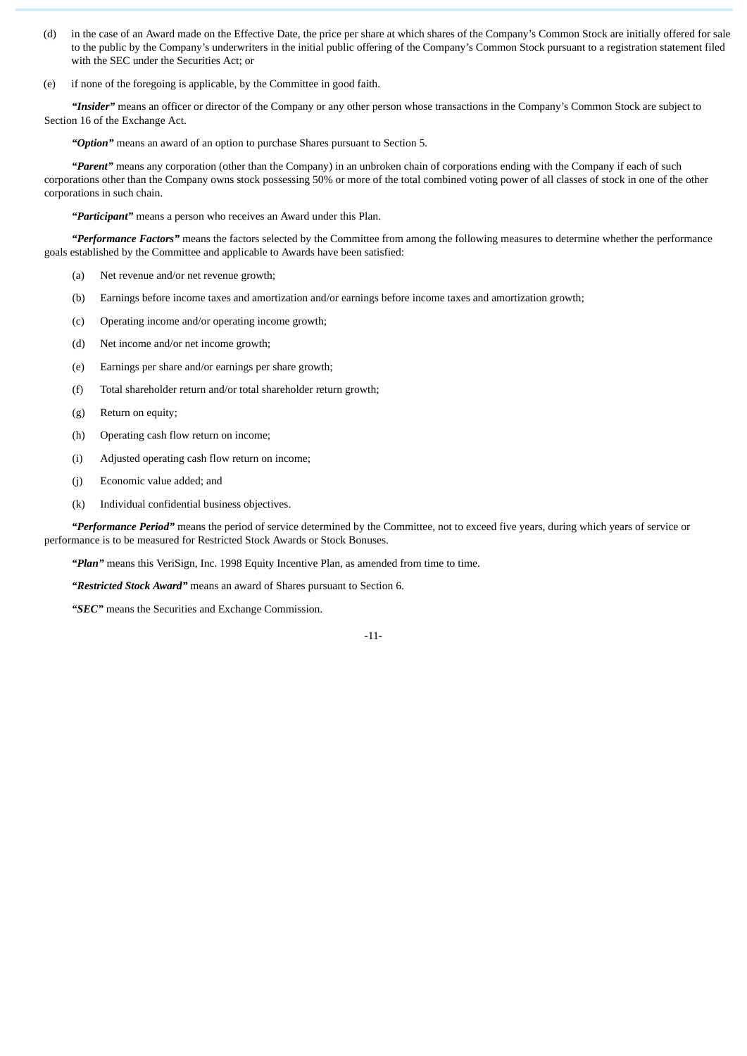- (d) in the case of an Award made on the Effective Date, the price per share at which shares of the Company's Common Stock are initially offered for sale to the public by the Company's underwriters in the initial public offering of the Company's Common Stock pursuant to a registration statement filed with the SEC under the Securities Act; or
- (e) if none of the foregoing is applicable, by the Committee in good faith.

*"Insider"* means an officer or director of the Company or any other person whose transactions in the Company's Common Stock are subject to Section 16 of the Exchange Act.

*"Option"* means an award of an option to purchase Shares pursuant to Section 5.

*"Parent"* means any corporation (other than the Company) in an unbroken chain of corporations ending with the Company if each of such corporations other than the Company owns stock possessing 50% or more of the total combined voting power of all classes of stock in one of the other corporations in such chain.

*"Participant"* means a person who receives an Award under this Plan.

*"Performance Factors"* means the factors selected by the Committee from among the following measures to determine whether the performance goals established by the Committee and applicable to Awards have been satisfied:

- (a) Net revenue and/or net revenue growth;
- (b) Earnings before income taxes and amortization and/or earnings before income taxes and amortization growth;
- (c) Operating income and/or operating income growth;
- (d) Net income and/or net income growth;
- (e) Earnings per share and/or earnings per share growth;
- (f) Total shareholder return and/or total shareholder return growth;
- (g) Return on equity;
- (h) Operating cash flow return on income;
- (i) Adjusted operating cash flow return on income;
- (j) Economic value added; and
- (k) Individual confidential business objectives.

*"Performance Period"* means the period of service determined by the Committee, not to exceed five years, during which years of service or performance is to be measured for Restricted Stock Awards or Stock Bonuses.

*"Plan"* means this VeriSign, Inc. 1998 Equity Incentive Plan, as amended from time to time.

*"Restricted Stock Award"* means an award of Shares pursuant to Section 6.

*"SEC"* means the Securities and Exchange Commission.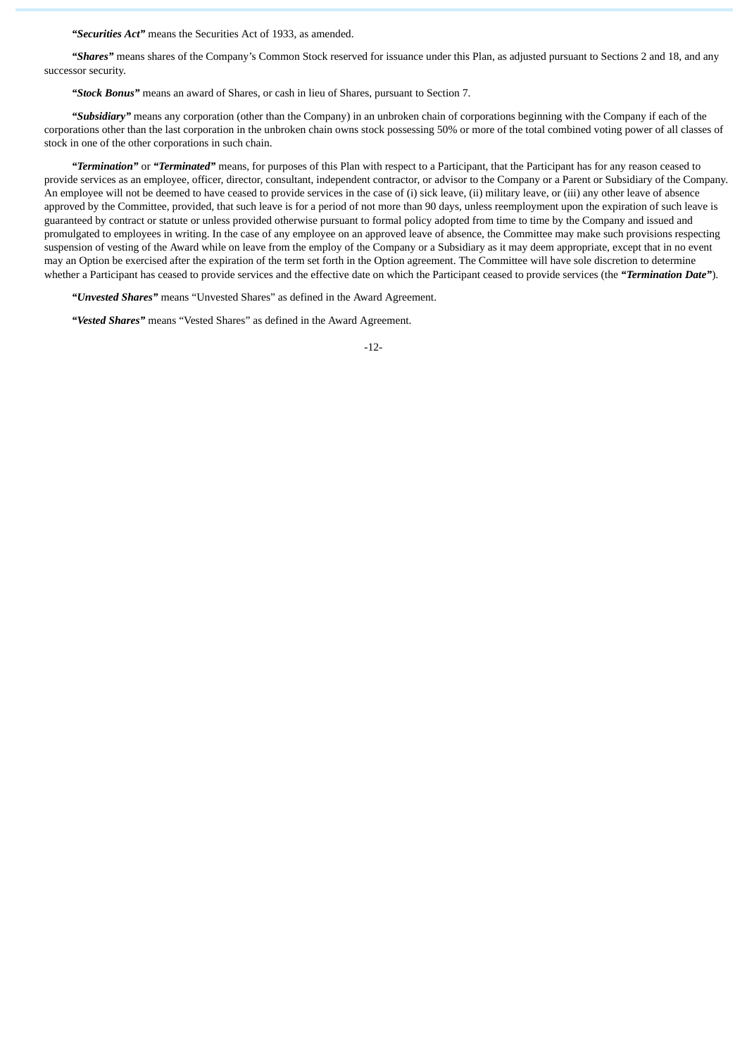*"Securities Act"* means the Securities Act of 1933, as amended.

*"Shares"* means shares of the Company's Common Stock reserved for issuance under this Plan, as adjusted pursuant to Sections 2 and 18, and any successor security.

*"Stock Bonus"* means an award of Shares, or cash in lieu of Shares, pursuant to Section 7.

*"Subsidiary"* means any corporation (other than the Company) in an unbroken chain of corporations beginning with the Company if each of the corporations other than the last corporation in the unbroken chain owns stock possessing 50% or more of the total combined voting power of all classes of stock in one of the other corporations in such chain.

*"Termination"* or *"Terminated"* means, for purposes of this Plan with respect to a Participant, that the Participant has for any reason ceased to provide services as an employee, officer, director, consultant, independent contractor, or advisor to the Company or a Parent or Subsidiary of the Company. An employee will not be deemed to have ceased to provide services in the case of (i) sick leave, (ii) military leave, or (iii) any other leave of absence approved by the Committee, provided, that such leave is for a period of not more than 90 days, unless reemployment upon the expiration of such leave is guaranteed by contract or statute or unless provided otherwise pursuant to formal policy adopted from time to time by the Company and issued and promulgated to employees in writing. In the case of any employee on an approved leave of absence, the Committee may make such provisions respecting suspension of vesting of the Award while on leave from the employ of the Company or a Subsidiary as it may deem appropriate, except that in no event may an Option be exercised after the expiration of the term set forth in the Option agreement. The Committee will have sole discretion to determine whether a Participant has ceased to provide services and the effective date on which the Participant ceased to provide services (the *"Termination Date"*).

*"Unvested Shares"* means "Unvested Shares" as defined in the Award Agreement.

*"Vested Shares"* means "Vested Shares" as defined in the Award Agreement.

-12-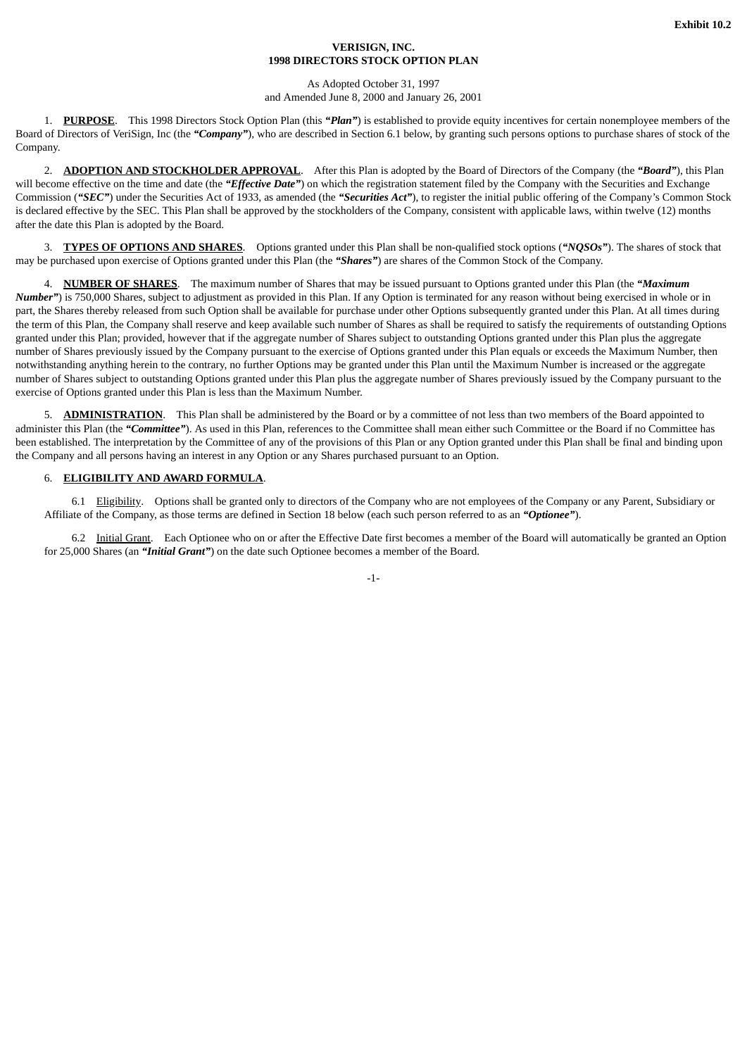## **VERISIGN, INC. 1998 DIRECTORS STOCK OPTION PLAN**

### As Adopted October 31, 1997 and Amended June 8, 2000 and January 26, 2001

1. **PURPOSE**. This 1998 Directors Stock Option Plan (this *"Plan"*) is established to provide equity incentives for certain nonemployee members of the Board of Directors of VeriSign, Inc (the *"Company"*), who are described in Section 6.1 below, by granting such persons options to purchase shares of stock of the Company.

2. **ADOPTION AND STOCKHOLDER APPROVAL**. After this Plan is adopted by the Board of Directors of the Company (the *"Board"*), this Plan will become effective on the time and date (the *"Effective Date"*) on which the registration statement filed by the Company with the Securities and Exchange Commission (*"SEC"*) under the Securities Act of 1933, as amended (the *"Securities Act"*), to register the initial public offering of the Company's Common Stock is declared effective by the SEC. This Plan shall be approved by the stockholders of the Company, consistent with applicable laws, within twelve (12) months after the date this Plan is adopted by the Board.

3. **TYPES OF OPTIONS AND SHARES**. Options granted under this Plan shall be non-qualified stock options (*"NQSOs"*). The shares of stock that may be purchased upon exercise of Options granted under this Plan (the *"Shares"*) are shares of the Common Stock of the Company.

4. **NUMBER OF SHARES**. The maximum number of Shares that may be issued pursuant to Options granted under this Plan (the *"Maximum Number"*) is 750,000 Shares, subject to adjustment as provided in this Plan. If any Option is terminated for any reason without being exercised in whole or in part, the Shares thereby released from such Option shall be available for purchase under other Options subsequently granted under this Plan. At all times during the term of this Plan, the Company shall reserve and keep available such number of Shares as shall be required to satisfy the requirements of outstanding Options granted under this Plan; provided, however that if the aggregate number of Shares subject to outstanding Options granted under this Plan plus the aggregate number of Shares previously issued by the Company pursuant to the exercise of Options granted under this Plan equals or exceeds the Maximum Number, then notwithstanding anything herein to the contrary, no further Options may be granted under this Plan until the Maximum Number is increased or the aggregate number of Shares subject to outstanding Options granted under this Plan plus the aggregate number of Shares previously issued by the Company pursuant to the exercise of Options granted under this Plan is less than the Maximum Number.

5. **ADMINISTRATION**. This Plan shall be administered by the Board or by a committee of not less than two members of the Board appointed to administer this Plan (the "Committee"). As used in this Plan, references to the Committee shall mean either such Committee or the Board if no Committee has been established. The interpretation by the Committee of any of the provisions of this Plan or any Option granted under this Plan shall be final and binding upon the Company and all persons having an interest in any Option or any Shares purchased pursuant to an Option.

## 6. **ELIGIBILITY AND AWARD FORMULA**.

6.1 Eligibility. Options shall be granted only to directors of the Company who are not employees of the Company or any Parent, Subsidiary or Affiliate of the Company, as those terms are defined in Section 18 below (each such person referred to as an *"Optionee"*).

6.2 Initial Grant. Each Optionee who on or after the Effective Date first becomes a member of the Board will automatically be granted an Option for 25,000 Shares (an *"Initial Grant"*) on the date such Optionee becomes a member of the Board.

-1-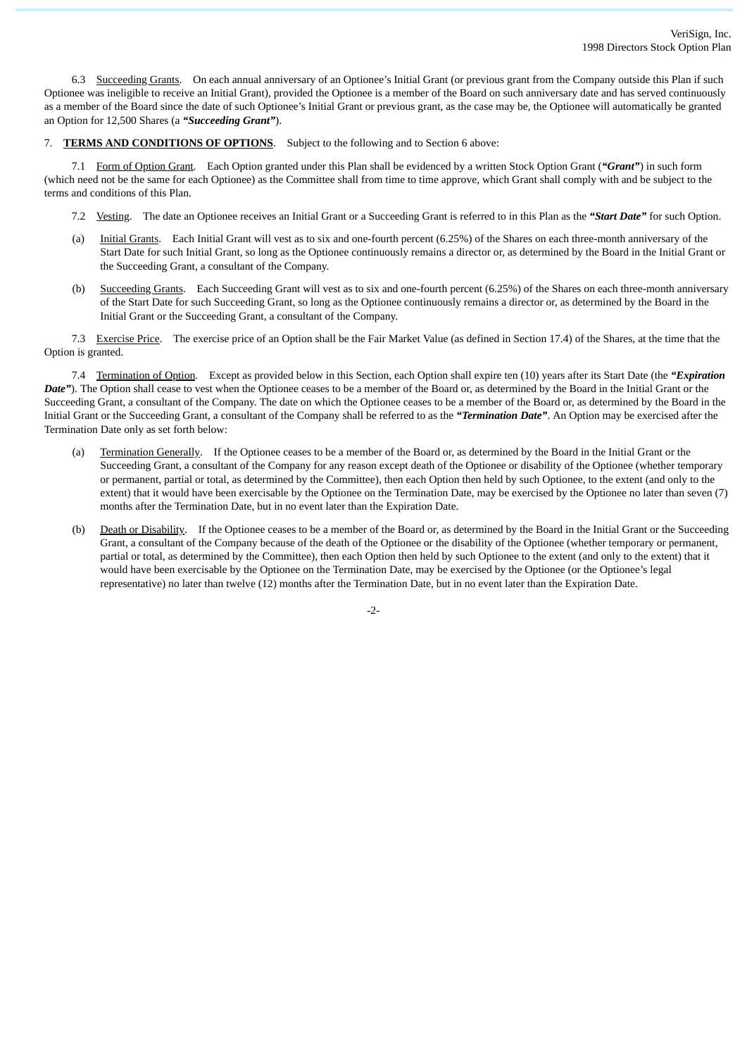6.3 Succeeding Grants. On each annual anniversary of an Optionee's Initial Grant (or previous grant from the Company outside this Plan if such Optionee was ineligible to receive an Initial Grant), provided the Optionee is a member of the Board on such anniversary date and has served continuously as a member of the Board since the date of such Optionee's Initial Grant or previous grant, as the case may be, the Optionee will automatically be granted an Option for 12,500 Shares (a *"Succeeding Grant"*).

## 7. **TERMS AND CONDITIONS OF OPTIONS**. Subject to the following and to Section 6 above:

7.1 Form of Option Grant. Each Option granted under this Plan shall be evidenced by a written Stock Option Grant (*"Grant"*) in such form (which need not be the same for each Optionee) as the Committee shall from time to time approve, which Grant shall comply with and be subject to the terms and conditions of this Plan.

- 7.2 Vesting. The date an Optionee receives an Initial Grant or a Succeeding Grant is referred to in this Plan as the *"Start Date"* for such Option.
- (a) Initial Grants. Each Initial Grant will vest as to six and one-fourth percent (6.25%) of the Shares on each three-month anniversary of the Start Date for such Initial Grant, so long as the Optionee continuously remains a director or, as determined by the Board in the Initial Grant or the Succeeding Grant, a consultant of the Company.
- (b) Succeeding Grants. Each Succeeding Grant will vest as to six and one-fourth percent (6.25%) of the Shares on each three-month anniversary of the Start Date for such Succeeding Grant, so long as the Optionee continuously remains a director or, as determined by the Board in the Initial Grant or the Succeeding Grant, a consultant of the Company.

7.3 Exercise Price. The exercise price of an Option shall be the Fair Market Value (as defined in Section 17.4) of the Shares, at the time that the Option is granted.

7.4 Termination of Option. Except as provided below in this Section, each Option shall expire ten (10) years after its Start Date (the *"Expiration Date"*). The Option shall cease to vest when the Optionee ceases to be a member of the Board or, as determined by the Board in the Initial Grant or the Succeeding Grant, a consultant of the Company. The date on which the Optionee ceases to be a member of the Board or, as determined by the Board in the Initial Grant or the Succeeding Grant, a consultant of the Company shall be referred to as the *"Termination Date"*. An Option may be exercised after the Termination Date only as set forth below:

- (a) Termination Generally. If the Optionee ceases to be a member of the Board or, as determined by the Board in the Initial Grant or the Succeeding Grant, a consultant of the Company for any reason except death of the Optionee or disability of the Optionee (whether temporary or permanent, partial or total, as determined by the Committee), then each Option then held by such Optionee, to the extent (and only to the extent) that it would have been exercisable by the Optionee on the Termination Date, may be exercised by the Optionee no later than seven (7) months after the Termination Date, but in no event later than the Expiration Date.
- (b) Death or Disability. If the Optionee ceases to be a member of the Board or, as determined by the Board in the Initial Grant or the Succeeding Grant, a consultant of the Company because of the death of the Optionee or the disability of the Optionee (whether temporary or permanent, partial or total, as determined by the Committee), then each Option then held by such Optionee to the extent (and only to the extent) that it would have been exercisable by the Optionee on the Termination Date, may be exercised by the Optionee (or the Optionee's legal representative) no later than twelve (12) months after the Termination Date, but in no event later than the Expiration Date.

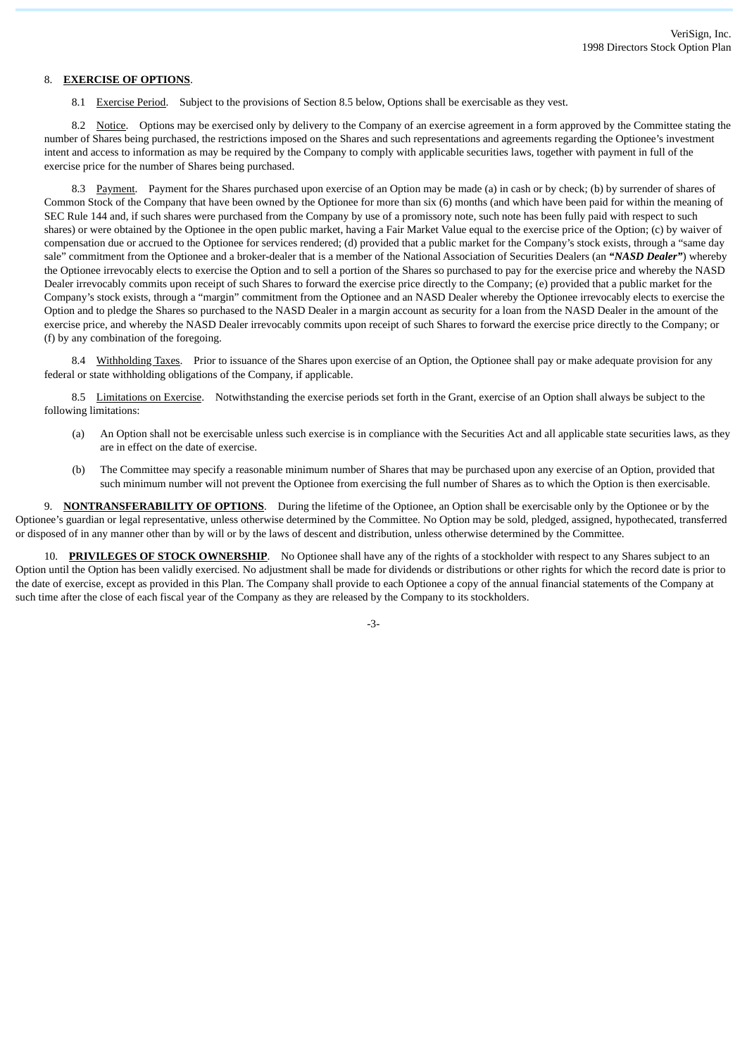## 8. **EXERCISE OF OPTIONS**.

8.1 Exercise Period. Subject to the provisions of Section 8.5 below, Options shall be exercisable as they vest.

8.2 Notice. Options may be exercised only by delivery to the Company of an exercise agreement in a form approved by the Committee stating the number of Shares being purchased, the restrictions imposed on the Shares and such representations and agreements regarding the Optionee's investment intent and access to information as may be required by the Company to comply with applicable securities laws, together with payment in full of the exercise price for the number of Shares being purchased.

8.3 Payment. Payment for the Shares purchased upon exercise of an Option may be made (a) in cash or by check; (b) by surrender of shares of Common Stock of the Company that have been owned by the Optionee for more than six (6) months (and which have been paid for within the meaning of SEC Rule 144 and, if such shares were purchased from the Company by use of a promissory note, such note has been fully paid with respect to such shares) or were obtained by the Optionee in the open public market, having a Fair Market Value equal to the exercise price of the Option; (c) by waiver of compensation due or accrued to the Optionee for services rendered; (d) provided that a public market for the Company's stock exists, through a "same day sale" commitment from the Optionee and a broker-dealer that is a member of the National Association of Securities Dealers (an *"NASD Dealer"*) whereby the Optionee irrevocably elects to exercise the Option and to sell a portion of the Shares so purchased to pay for the exercise price and whereby the NASD Dealer irrevocably commits upon receipt of such Shares to forward the exercise price directly to the Company; (e) provided that a public market for the Company's stock exists, through a "margin" commitment from the Optionee and an NASD Dealer whereby the Optionee irrevocably elects to exercise the Option and to pledge the Shares so purchased to the NASD Dealer in a margin account as security for a loan from the NASD Dealer in the amount of the exercise price, and whereby the NASD Dealer irrevocably commits upon receipt of such Shares to forward the exercise price directly to the Company; or (f) by any combination of the foregoing.

8.4 Withholding Taxes. Prior to issuance of the Shares upon exercise of an Option, the Optionee shall pay or make adequate provision for any federal or state withholding obligations of the Company, if applicable.

8.5 Limitations on Exercise. Notwithstanding the exercise periods set forth in the Grant, exercise of an Option shall always be subject to the following limitations:

- (a) An Option shall not be exercisable unless such exercise is in compliance with the Securities Act and all applicable state securities laws, as they are in effect on the date of exercise.
- (b) The Committee may specify a reasonable minimum number of Shares that may be purchased upon any exercise of an Option, provided that such minimum number will not prevent the Optionee from exercising the full number of Shares as to which the Option is then exercisable.

9. **NONTRANSFERABILITY OF OPTIONS**. During the lifetime of the Optionee, an Option shall be exercisable only by the Optionee or by the Optionee's guardian or legal representative, unless otherwise determined by the Committee. No Option may be sold, pledged, assigned, hypothecated, transferred or disposed of in any manner other than by will or by the laws of descent and distribution, unless otherwise determined by the Committee.

10. **PRIVILEGES OF STOCK OWNERSHIP**. No Optionee shall have any of the rights of a stockholder with respect to any Shares subject to an Option until the Option has been validly exercised. No adjustment shall be made for dividends or distributions or other rights for which the record date is prior to the date of exercise, except as provided in this Plan. The Company shall provide to each Optionee a copy of the annual financial statements of the Company at such time after the close of each fiscal year of the Company as they are released by the Company to its stockholders.

-3-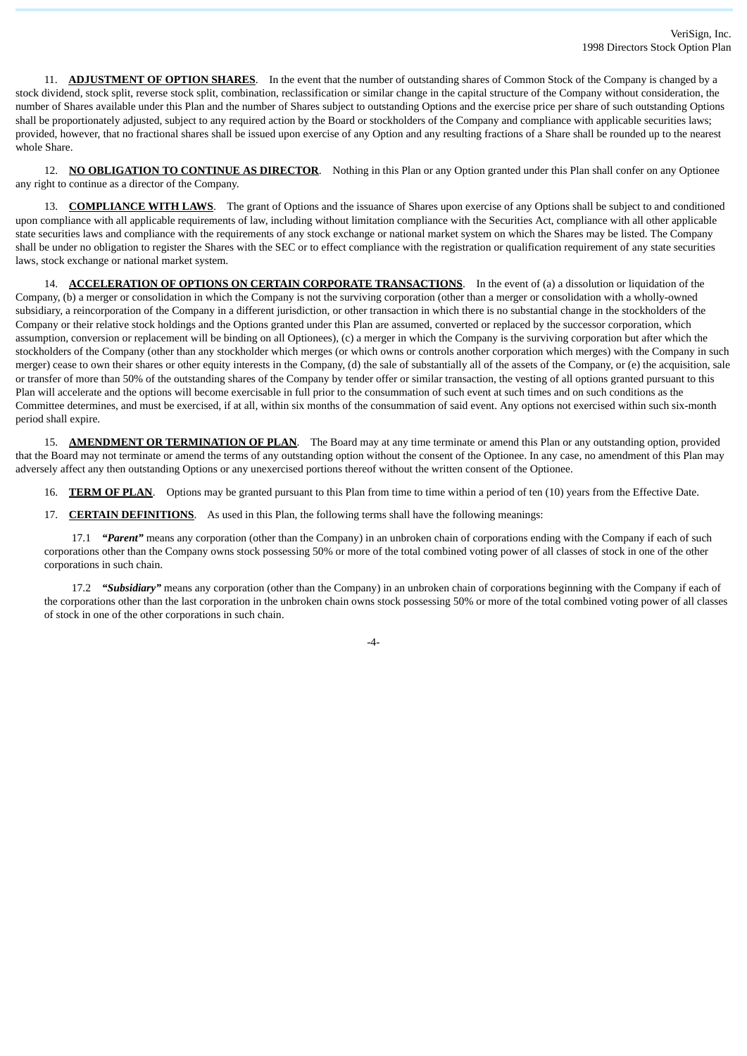11. **ADJUSTMENT OF OPTION SHARES**. In the event that the number of outstanding shares of Common Stock of the Company is changed by a stock dividend, stock split, reverse stock split, combination, reclassification or similar change in the capital structure of the Company without consideration, the number of Shares available under this Plan and the number of Shares subject to outstanding Options and the exercise price per share of such outstanding Options shall be proportionately adjusted, subject to any required action by the Board or stockholders of the Company and compliance with applicable securities laws; provided, however, that no fractional shares shall be issued upon exercise of any Option and any resulting fractions of a Share shall be rounded up to the nearest whole Share.

12. **NO OBLIGATION TO CONTINUE AS DIRECTOR**. Nothing in this Plan or any Option granted under this Plan shall confer on any Optionee any right to continue as a director of the Company.

13. **COMPLIANCE WITH LAWS**. The grant of Options and the issuance of Shares upon exercise of any Options shall be subject to and conditioned upon compliance with all applicable requirements of law, including without limitation compliance with the Securities Act, compliance with all other applicable state securities laws and compliance with the requirements of any stock exchange or national market system on which the Shares may be listed. The Company shall be under no obligation to register the Shares with the SEC or to effect compliance with the registration or qualification requirement of any state securities laws, stock exchange or national market system.

14. **ACCELERATION OF OPTIONS ON CERTAIN CORPORATE TRANSACTIONS**. In the event of (a) a dissolution or liquidation of the Company, (b) a merger or consolidation in which the Company is not the surviving corporation (other than a merger or consolidation with a wholly-owned subsidiary, a reincorporation of the Company in a different jurisdiction, or other transaction in which there is no substantial change in the stockholders of the Company or their relative stock holdings and the Options granted under this Plan are assumed, converted or replaced by the successor corporation, which assumption, conversion or replacement will be binding on all Optionees), (c) a merger in which the Company is the surviving corporation but after which the stockholders of the Company (other than any stockholder which merges (or which owns or controls another corporation which merges) with the Company in such merger) cease to own their shares or other equity interests in the Company, (d) the sale of substantially all of the assets of the Company, or (e) the acquisition, sale or transfer of more than 50% of the outstanding shares of the Company by tender offer or similar transaction, the vesting of all options granted pursuant to this Plan will accelerate and the options will become exercisable in full prior to the consummation of such event at such times and on such conditions as the Committee determines, and must be exercised, if at all, within six months of the consummation of said event. Any options not exercised within such six-month period shall expire.

15. **AMENDMENT OR TERMINATION OF PLAN**. The Board may at any time terminate or amend this Plan or any outstanding option, provided that the Board may not terminate or amend the terms of any outstanding option without the consent of the Optionee. In any case, no amendment of this Plan may adversely affect any then outstanding Options or any unexercised portions thereof without the written consent of the Optionee.

16. **TERM OF PLAN**. Options may be granted pursuant to this Plan from time to time within a period of ten (10) years from the Effective Date.

17. **CERTAIN DEFINITIONS**. As used in this Plan, the following terms shall have the following meanings:

17.1 *"Parent"* means any corporation (other than the Company) in an unbroken chain of corporations ending with the Company if each of such corporations other than the Company owns stock possessing 50% or more of the total combined voting power of all classes of stock in one of the other corporations in such chain.

17.2 *"Subsidiary"* means any corporation (other than the Company) in an unbroken chain of corporations beginning with the Company if each of the corporations other than the last corporation in the unbroken chain owns stock possessing 50% or more of the total combined voting power of all classes of stock in one of the other corporations in such chain.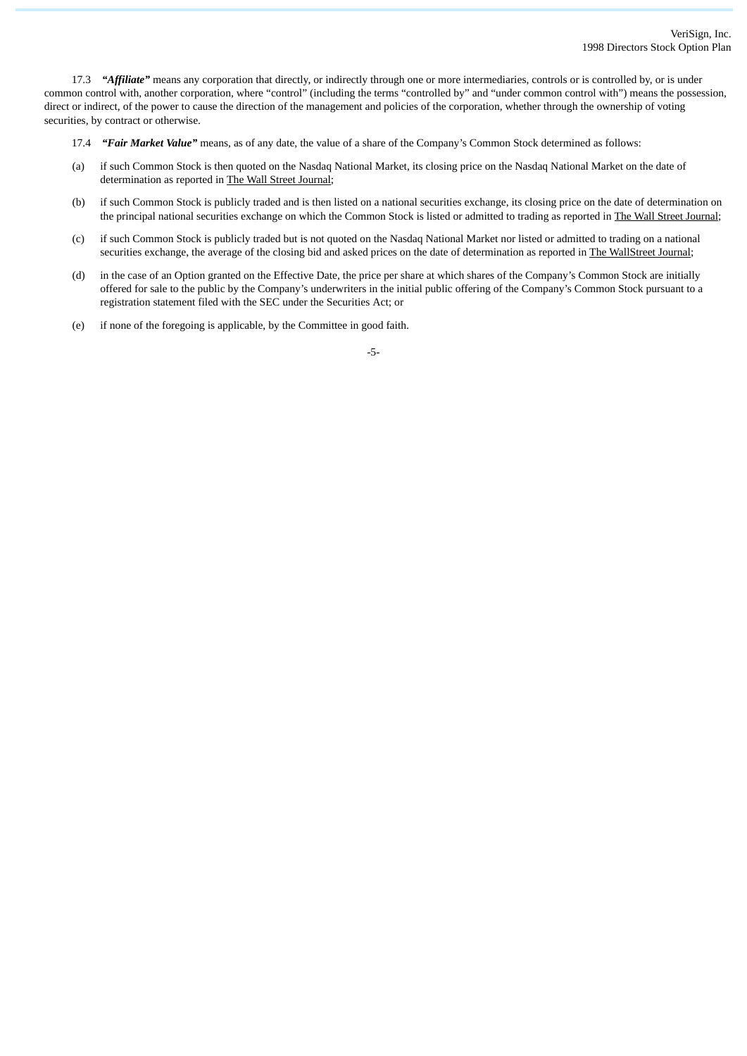17.3 *"Affiliate"* means any corporation that directly, or indirectly through one or more intermediaries, controls or is controlled by, or is under common control with, another corporation, where "control" (including the terms "controlled by" and "under common control with") means the possession, direct or indirect, of the power to cause the direction of the management and policies of the corporation, whether through the ownership of voting securities, by contract or otherwise.

17.4 *"Fair Market Value"* means, as of any date, the value of a share of the Company's Common Stock determined as follows:

- (a) if such Common Stock is then quoted on the Nasdaq National Market, its closing price on the Nasdaq National Market on the date of determination as reported in The Wall Street Journal;
- (b) if such Common Stock is publicly traded and is then listed on a national securities exchange, its closing price on the date of determination on the principal national securities exchange on which the Common Stock is listed or admitted to trading as reported in The Wall Street Journal;
- (c) if such Common Stock is publicly traded but is not quoted on the Nasdaq National Market nor listed or admitted to trading on a national securities exchange, the average of the closing bid and asked prices on the date of determination as reported in The WallStreet Journal;
- (d) in the case of an Option granted on the Effective Date, the price per share at which shares of the Company's Common Stock are initially offered for sale to the public by the Company's underwriters in the initial public offering of the Company's Common Stock pursuant to a registration statement filed with the SEC under the Securities Act; or
- (e) if none of the foregoing is applicable, by the Committee in good faith.

-5-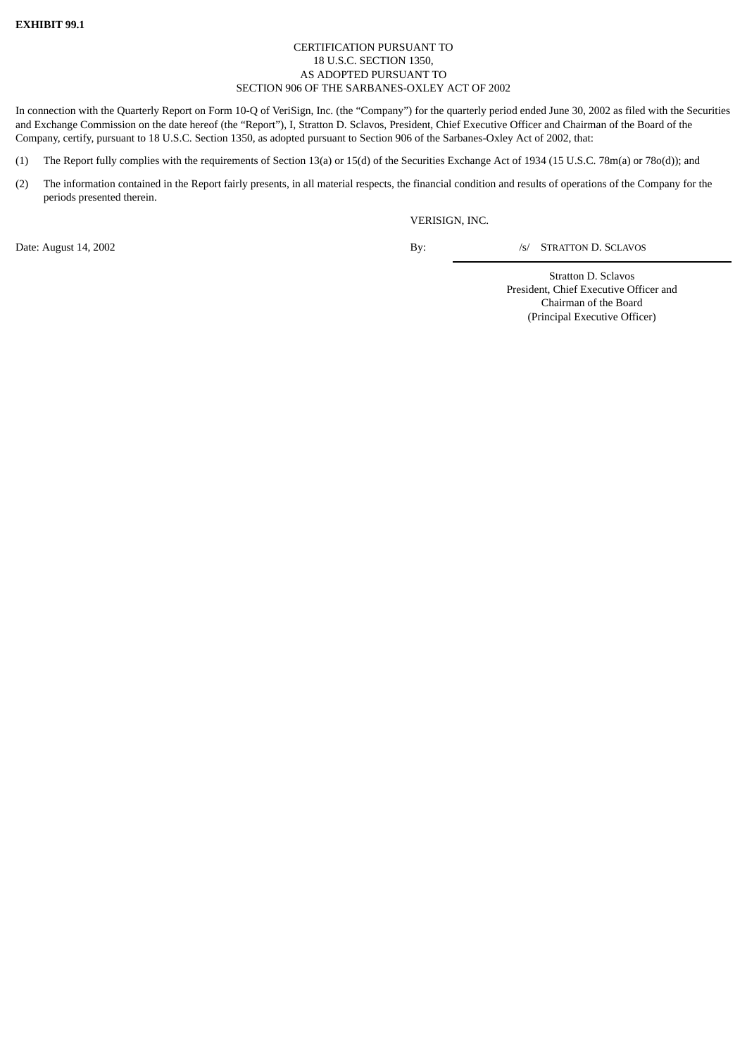# CERTIFICATION PURSUANT TO 18 U.S.C. SECTION 1350, AS ADOPTED PURSUANT TO SECTION 906 OF THE SARBANES-OXLEY ACT OF 2002

In connection with the Quarterly Report on Form 10-Q of VeriSign, Inc. (the "Company") for the quarterly period ended June 30, 2002 as filed with the Securities and Exchange Commission on the date hereof (the "Report"), I, Stratton D. Sclavos, President, Chief Executive Officer and Chairman of the Board of the Company, certify, pursuant to 18 U.S.C. Section 1350, as adopted pursuant to Section 906 of the Sarbanes-Oxley Act of 2002, that:

- (1) The Report fully complies with the requirements of Section 13(a) or 15(d) of the Securities Exchange Act of 1934 (15 U.S.C. 78m(a) or 78o(d)); and
- (2) The information contained in the Report fairly presents, in all material respects, the financial condition and results of operations of the Company for the periods presented therein.

VERISIGN, INC.

Date: August 14, 2002 By: /s/ STRATTON D. SCLAVOS

Stratton D. Sclavos President, Chief Executive Officer and Chairman of the Board (Principal Executive Officer)